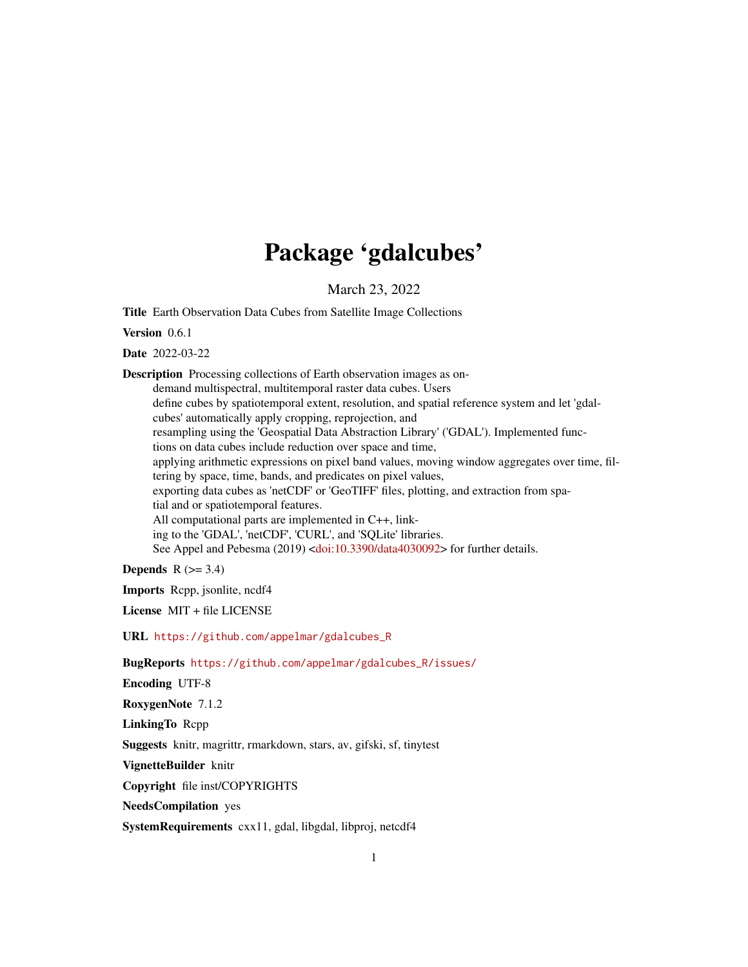# Package 'gdalcubes'

March 23, 2022

<span id="page-0-0"></span>Title Earth Observation Data Cubes from Satellite Image Collections

Version 0.6.1

Date 2022-03-22

Description Processing collections of Earth observation images as ondemand multispectral, multitemporal raster data cubes. Users define cubes by spatiotemporal extent, resolution, and spatial reference system and let 'gdalcubes' automatically apply cropping, reprojection, and resampling using the 'Geospatial Data Abstraction Library' ('GDAL'). Implemented functions on data cubes include reduction over space and time, applying arithmetic expressions on pixel band values, moving window aggregates over time, filtering by space, time, bands, and predicates on pixel values, exporting data cubes as 'netCDF' or 'GeoTIFF' files, plotting, and extraction from spatial and or spatiotemporal features. All computational parts are implemented in C++, linking to the 'GDAL', 'netCDF', 'CURL', and 'SQLite' libraries. See Appel and Pebesma (2019) [<doi:10.3390/data4030092>](https://doi.org/10.3390/data4030092) for further details.

Depends  $R$  ( $>= 3.4$ )

Imports Rcpp, jsonlite, ncdf4

License MIT + file LICENSE

URL [https://github.com/appelmar/gdalcubes\\_R](https://github.com/appelmar/gdalcubes_R)

BugReports [https://github.com/appelmar/gdalcubes\\_R/issues/](https://github.com/appelmar/gdalcubes_R/issues/)

Encoding UTF-8

RoxygenNote 7.1.2

LinkingTo Rcpp

Suggests knitr, magrittr, rmarkdown, stars, av, gifski, sf, tinytest

VignetteBuilder knitr

Copyright file inst/COPYRIGHTS

NeedsCompilation yes

SystemRequirements cxx11, gdal, libgdal, libproj, netcdf4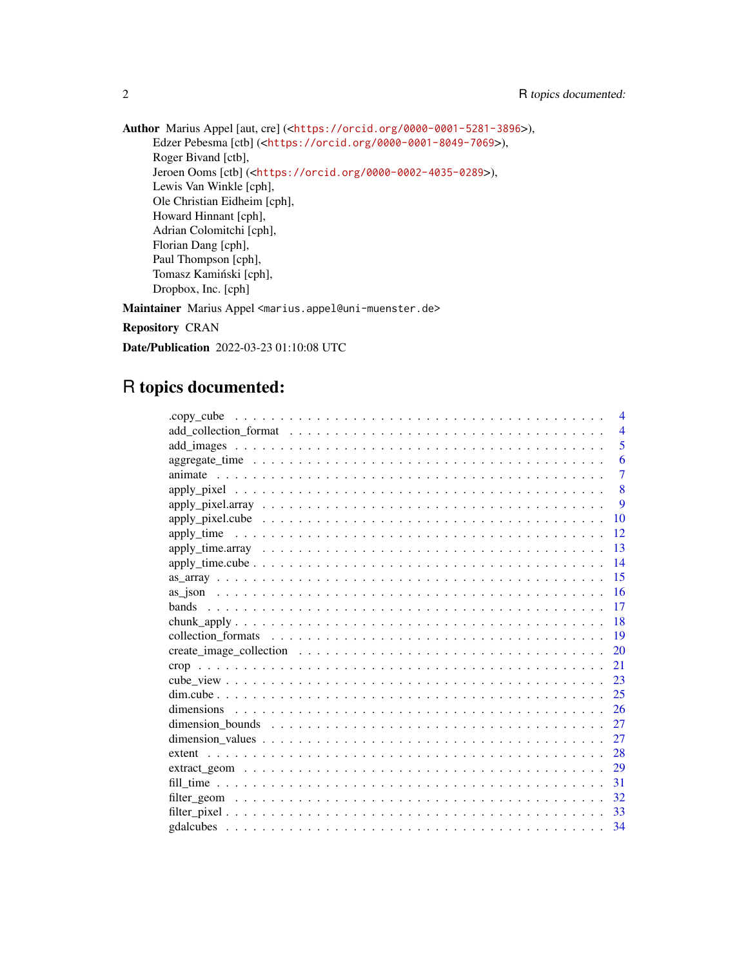Author Marius Appel [aut, cre] (<<https://orcid.org/0000-0001-5281-3896>>), Edzer Pebesma [ctb] (<<https://orcid.org/0000-0001-8049-7069>>), Roger Bivand [ctb], Jeroen Ooms [ctb] (<<https://orcid.org/0000-0002-4035-0289>>), Lewis Van Winkle [cph], Ole Christian Eidheim [cph], Howard Hinnant [cph], Adrian Colomitchi [cph], Florian Dang [cph], Paul Thompson [cph], Tomasz Kamiński [cph], Dropbox, Inc. [cph]

Maintainer Marius Appel <marius.appel@uni-muenster.de>

Repository CRAN

Date/Publication 2022-03-23 01:10:08 UTC

# R topics documented:

|    | $\overline{4}$ |
|----|----------------|
|    | $\overline{4}$ |
|    | 5              |
|    | 6              |
|    | $\overline{7}$ |
|    | 8              |
|    | $\mathbf{Q}$   |
|    | 10             |
|    | 12             |
|    | 13             |
|    | 14             |
| 15 |                |
|    | 16             |
|    | 17             |
| 18 |                |
|    | 19             |
| 20 |                |
| 21 |                |
| 23 |                |
| 25 |                |
| 26 |                |
| 27 |                |
| 27 |                |
| 28 |                |
| 29 |                |
| 31 |                |
| 32 |                |
| 33 |                |
| 34 |                |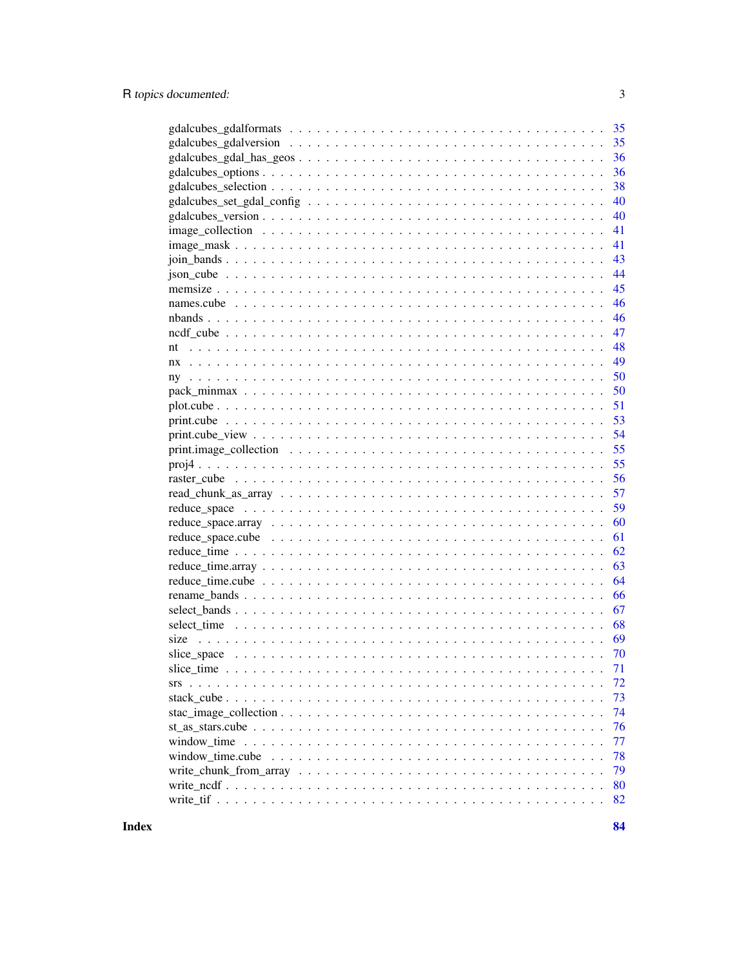| 35                                                                                                             |
|----------------------------------------------------------------------------------------------------------------|
| 35                                                                                                             |
| 36                                                                                                             |
| 36                                                                                                             |
| 38                                                                                                             |
| 40                                                                                                             |
| 40                                                                                                             |
| 41                                                                                                             |
| 41<br>$image\_mask \ldots \ldots \ldots \ldots \ldots \ldots \ldots \ldots \ldots \ldots \ldots \ldots \ldots$ |
| 43                                                                                                             |
| 44                                                                                                             |
| 45                                                                                                             |
| 46                                                                                                             |
| 46                                                                                                             |
| 47                                                                                                             |
| 48<br>nt                                                                                                       |
| 49<br>nx                                                                                                       |
| 50                                                                                                             |
| 50                                                                                                             |
| 51                                                                                                             |
| 53                                                                                                             |
| 54                                                                                                             |
| 55                                                                                                             |
| 55                                                                                                             |
| 56                                                                                                             |
| 57                                                                                                             |
| 59                                                                                                             |
| 60                                                                                                             |
| 61                                                                                                             |
| 62                                                                                                             |
| 63                                                                                                             |
| 64                                                                                                             |
| 66                                                                                                             |
| 67                                                                                                             |
| 68                                                                                                             |
| size<br>69                                                                                                     |
| 70                                                                                                             |
| 71                                                                                                             |
| 72                                                                                                             |
| 73                                                                                                             |
| 74                                                                                                             |
| 76                                                                                                             |
| 77                                                                                                             |
| window time.cube<br>78                                                                                         |
| 79                                                                                                             |
| 80                                                                                                             |
| 82                                                                                                             |

**Index**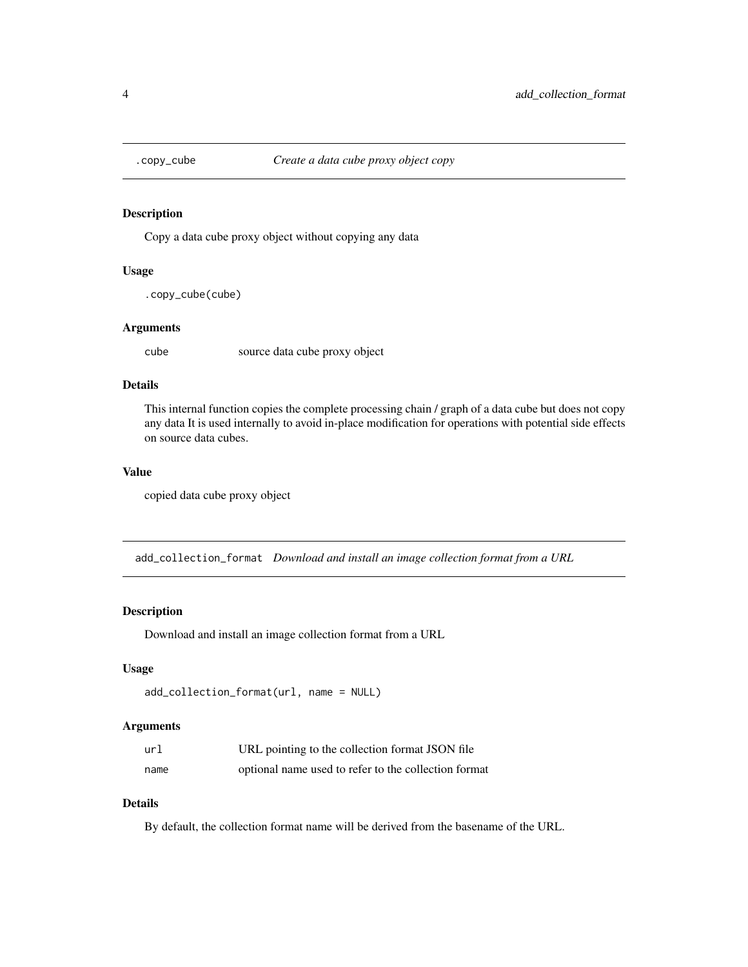<span id="page-3-0"></span>

Copy a data cube proxy object without copying any data

# Usage

.copy\_cube(cube)

# Arguments

cube source data cube proxy object

# Details

This internal function copies the complete processing chain / graph of a data cube but does not copy any data It is used internally to avoid in-place modification for operations with potential side effects on source data cubes.

# Value

copied data cube proxy object

add\_collection\_format *Download and install an image collection format from a URL*

# Description

Download and install an image collection format from a URL

# Usage

```
add_collection_format(url, name = NULL)
```
# Arguments

| url  | URL pointing to the collection format JSON file      |
|------|------------------------------------------------------|
| name | optional name used to refer to the collection format |

# Details

By default, the collection format name will be derived from the basename of the URL.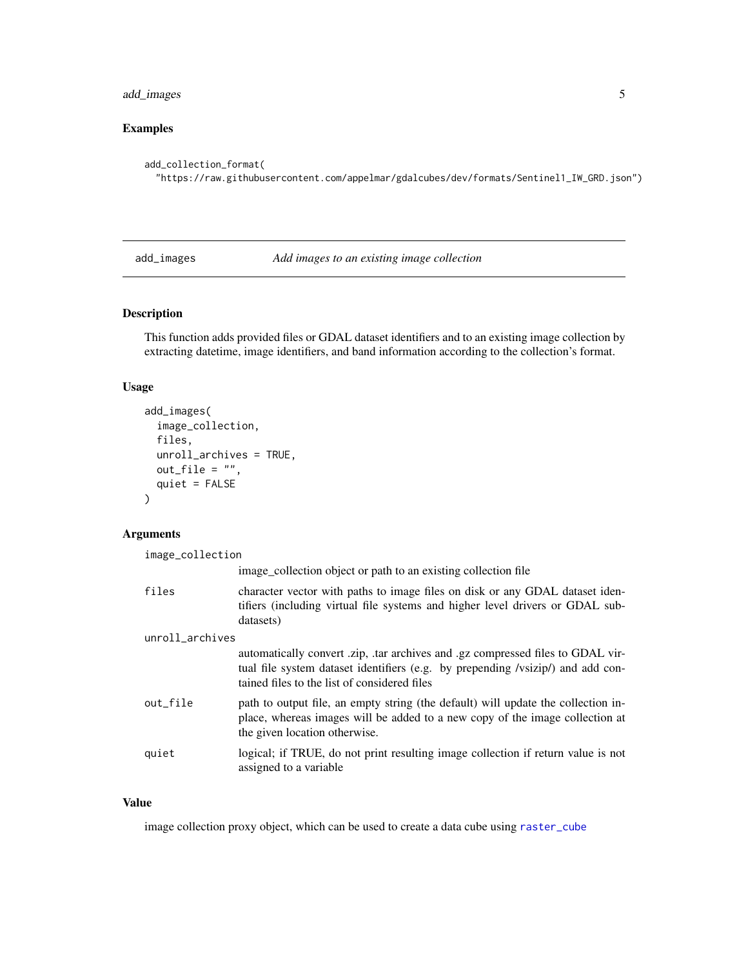# <span id="page-4-0"></span>add\_images 5

# Examples

```
add_collection_format(
  "https://raw.githubusercontent.com/appelmar/gdalcubes/dev/formats/Sentinel1_IW_GRD.json")
```
add\_images *Add images to an existing image collection*

# Description

This function adds provided files or GDAL dataset identifiers and to an existing image collection by extracting datetime, image identifiers, and band information according to the collection's format.

# Usage

```
add_images(
  image_collection,
  files,
  unroll_archives = TRUE,
 out\_file = "",quiet = FALSE)
```
# Arguments

| image_collection |                                                                                                                                                                                                                    |  |
|------------------|--------------------------------------------------------------------------------------------------------------------------------------------------------------------------------------------------------------------|--|
|                  | image_collection object or path to an existing collection file                                                                                                                                                     |  |
| files            | character vector with paths to image files on disk or any GDAL dataset iden-<br>tifiers (including virtual file systems and higher level drivers or GDAL sub-<br>datasets)                                         |  |
| unroll_archives  |                                                                                                                                                                                                                    |  |
|                  | automatically convert .zip, .tar archives and .gz compressed files to GDAL vir-<br>tual file system dataset identifiers (e.g. by prepending /vsizip/) and add con-<br>tained files to the list of considered files |  |
| out_file         | path to output file, an empty string (the default) will update the collection in-<br>place, whereas images will be added to a new copy of the image collection at<br>the given location otherwise.                 |  |
| quiet            | logical; if TRUE, do not print resulting image collection if return value is not<br>assigned to a variable                                                                                                         |  |

# Value

image collection proxy object, which can be used to create a data cube using [raster\\_cube](#page-55-1)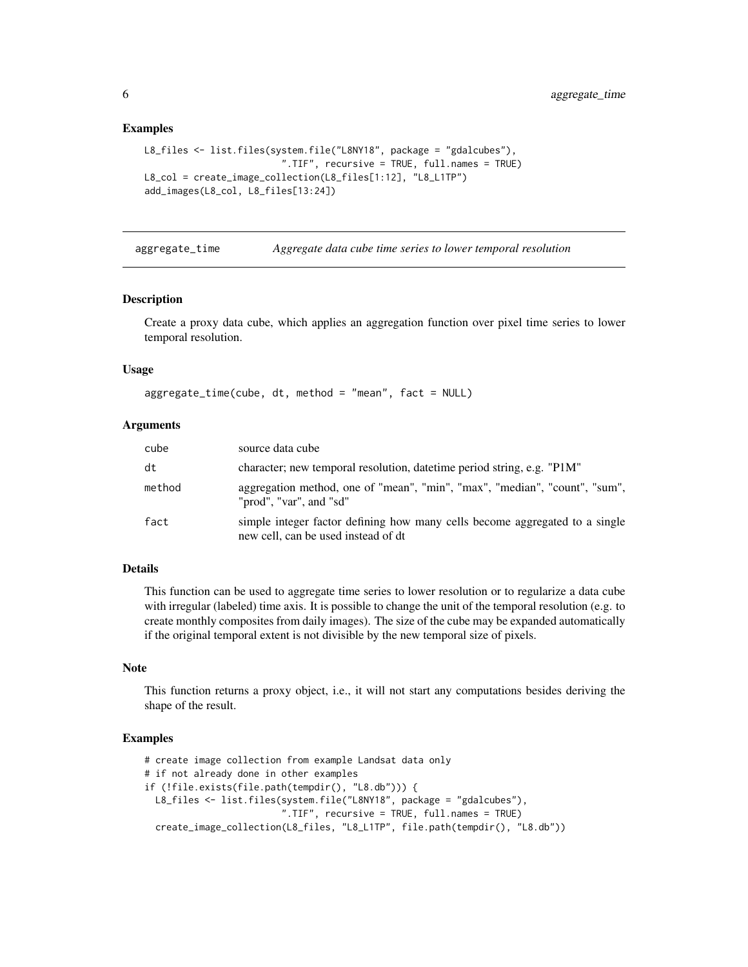# Examples

```
L8_files <- list.files(system.file("L8NY18", package = "gdalcubes"),
                         ".TIF", recursive = TRUE, full.names = TRUE)
L8_col = create_image_collection(L8_files[1:12], "L8_L1TP")
add_images(L8_col, L8_files[13:24])
```
aggregate\_time *Aggregate data cube time series to lower temporal resolution*

# Description

Create a proxy data cube, which applies an aggregation function over pixel time series to lower temporal resolution.

# Usage

```
aggregate_time(cube, dt, method = "mean", fact = NULL)
```
# Arguments

| cube   | source data cube                                                                                                   |
|--------|--------------------------------------------------------------------------------------------------------------------|
| dt     | character; new temporal resolution, date time period string, e.g. "P1M"                                            |
| method | aggregation method, one of "mean", "min", "max", "median", "count", "sum",<br>"prod", "var", and "sd"              |
| fact   | simple integer factor defining how many cells become aggregated to a single<br>new cell, can be used instead of dt |

# **Details**

This function can be used to aggregate time series to lower resolution or to regularize a data cube with irregular (labeled) time axis. It is possible to change the unit of the temporal resolution (e.g. to create monthly composites from daily images). The size of the cube may be expanded automatically if the original temporal extent is not divisible by the new temporal size of pixels.

# Note

This function returns a proxy object, i.e., it will not start any computations besides deriving the shape of the result.

```
# create image collection from example Landsat data only
# if not already done in other examples
if (!file.exists(file.path(tempdir(), "L8.db"))) {
 L8_files <- list.files(system.file("L8NY18", package = "gdalcubes"),
                         ".TIF", recursive = TRUE, full.names = TRUE)
 create_image_collection(L8_files, "L8_L1TP", file.path(tempdir(), "L8.db"))
```
<span id="page-5-0"></span>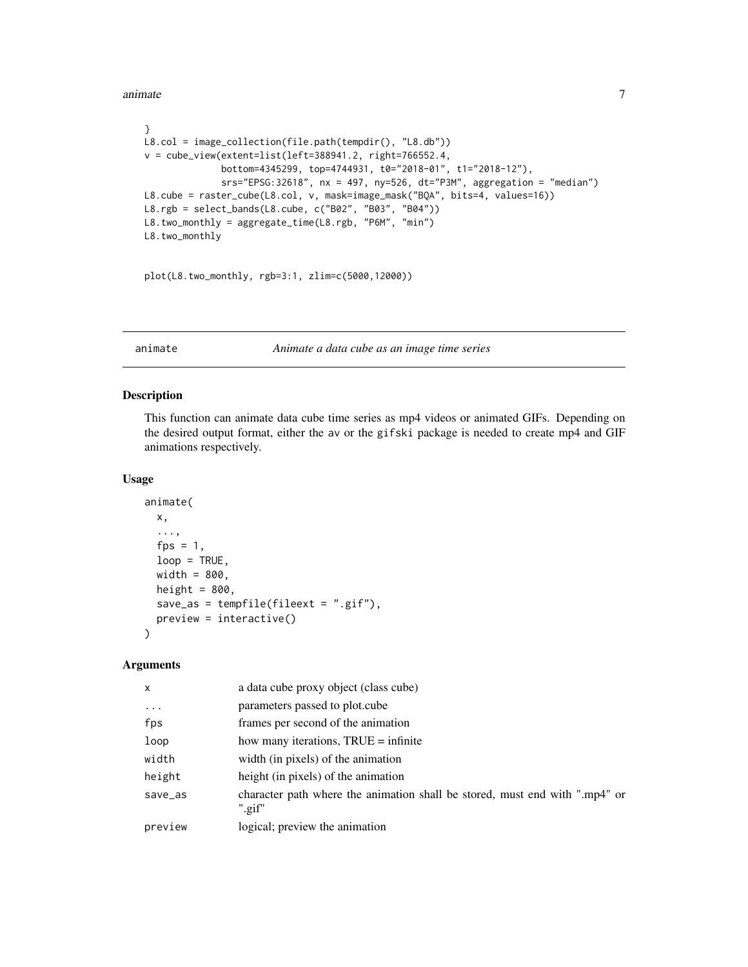<span id="page-6-0"></span>animate 7 animate 7 animate 7 animate 7 animate 7 animate 7 animate 7 animate 7 animate 7 animate 7 animate 7 animate 7 animate 7 animate 7 animate 7 animate 7 animate 7 animate 7 animate 7 animate 7 animate 7 animate 7 an

```
}
L8.col = image_collection(file.path(tempdir(), "L8.db"))
v = cube_view(extent=list(left=388941.2, right=766552.4,
              bottom=4345299, top=4744931, t0="2018-01", t1="2018-12"),
              srs="EPSG:32618", nx = 497, ny=526, dt="P3M", aggregation = "median")
L8.cube = raster_cube(L8.col, v, mask=image_mask("BQA", bits=4, values=16))
L8.rgb = select_bands(L8.cube, c("B02", "B03", "B04"))
L8.two_monthly = aggregate_time(L8.rgb, "P6M", "min")
L8.two_monthly
```
plot(L8.two\_monthly, rgb=3:1, zlim=c(5000,12000))

animate *Animate a data cube as an image time series*

# Description

This function can animate data cube time series as mp4 videos or animated GIFs. Depending on the desired output format, either the av or the gifski package is needed to create mp4 and GIF animations respectively.

# Usage

```
animate(
 x,
  ...,
  fps = 1,
 loop = TRUE,width = 800,
 height = 800,
  save_as = tempfile(fileext = ".gif"),
 preview = interactive()
)
```
# Arguments

| $\mathsf{x}$ | a data cube proxy object (class cube)                                                 |
|--------------|---------------------------------------------------------------------------------------|
| .            | parameters passed to plot.cube                                                        |
| fps          | frames per second of the animation                                                    |
| loop         | how many iterations, TRUE = infinite                                                  |
| width        | width (in pixels) of the animation                                                    |
| height       | height (in pixels) of the animation                                                   |
| save_as      | character path where the animation shall be stored, must end with ".mp4" or<br>".gif" |
| preview      | logical; preview the animation                                                        |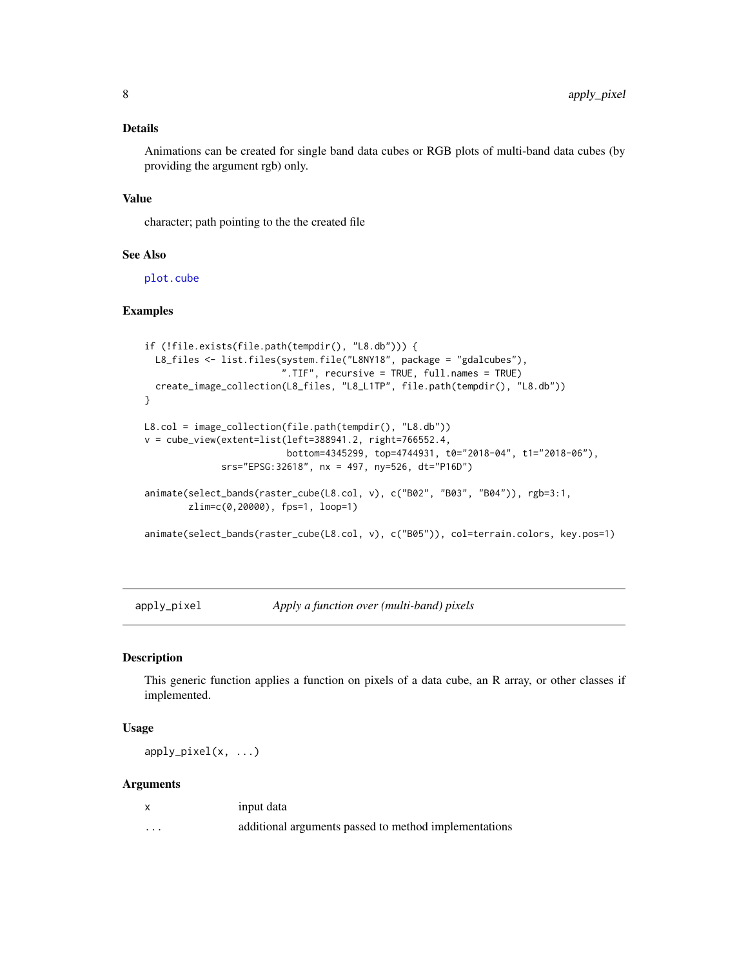# <span id="page-7-0"></span>Details

Animations can be created for single band data cubes or RGB plots of multi-band data cubes (by providing the argument rgb) only.

#### Value

character; path pointing to the the created file

# See Also

[plot.cube](#page-50-1)

# Examples

```
if (!file.exists(file.path(tempdir(), "L8.db"))) {
  L8_files <- list.files(system.file("L8NY18", package = "gdalcubes"),
                         ".TIF", recursive = TRUE, full.names = TRUE)
  create_image_collection(L8_files, "L8_L1TP", file.path(tempdir(), "L8.db"))
}
L8.col = image_collection(file.path(tempdir(), "L8.db"))
v = cube_view(extent=list(left=388941.2, right=766552.4,
                          bottom=4345299, top=4744931, t0="2018-04", t1="2018-06"),
              srs="EPSG:32618", nx = 497, ny=526, dt="P16D")
animate(select_bands(raster_cube(L8.col, v), c("B02", "B03", "B04")), rgb=3:1,
        zlim=c(0,20000), fps=1, loop=1)
animate(select_bands(raster_cube(L8.col, v), c("B05")), col=terrain.colors, key.pos=1)
```
apply\_pixel *Apply a function over (multi-band) pixels*

# Description

This generic function applies a function on pixels of a data cube, an R array, or other classes if implemented.

# Usage

apply\_pixel(x, ...)

# Arguments

|         | input data                                            |
|---------|-------------------------------------------------------|
| $\cdot$ | additional arguments passed to method implementations |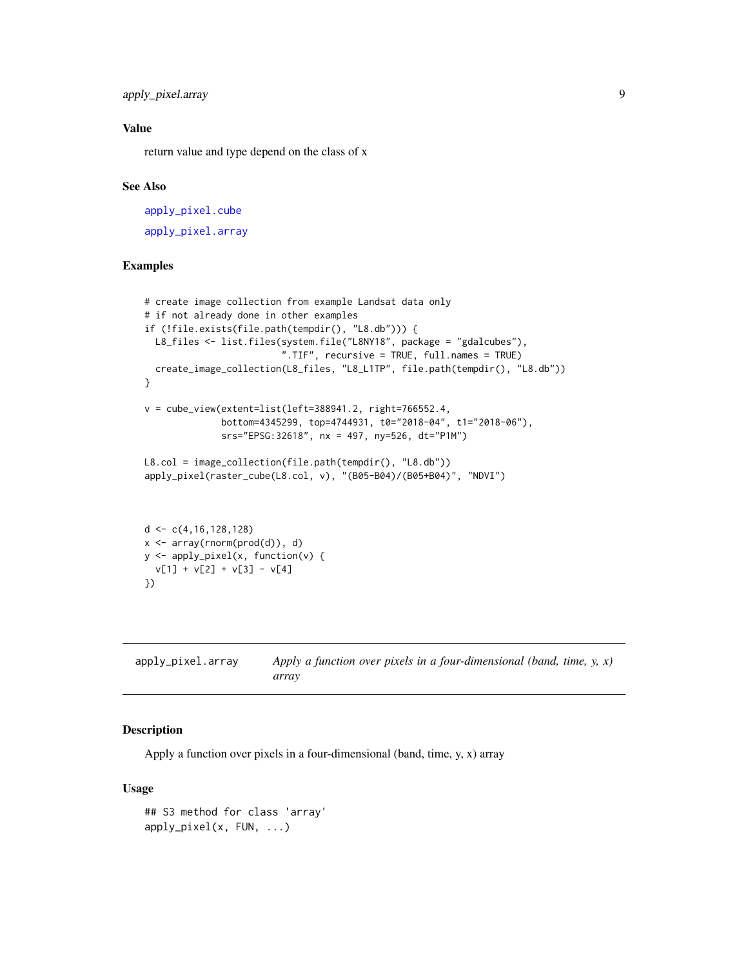<span id="page-8-0"></span>apply\_pixel.array 9

# Value

return value and type depend on the class of x

# See Also

[apply\\_pixel.cube](#page-9-1) [apply\\_pixel.array](#page-8-1)

# Examples

```
# create image collection from example Landsat data only
# if not already done in other examples
if (!file.exists(file.path(tempdir(), "L8.db"))) {
  L8_files <- list.files(system.file("L8NY18", package = "gdalcubes"),
                         ".TIF", recursive = TRUE, full.names = TRUE)
  create_image_collection(L8_files, "L8_L1TP", file.path(tempdir(), "L8.db"))
}
v = cube\_view(extent=list(left=388941.2, right=766552.4,bottom=4345299, top=4744931, t0="2018-04", t1="2018-06"),
              srs="EPSG:32618", nx = 497, ny=526, dt="P1M")
L8.col = image_collection(file.path(tempdir(), "L8.db"))
apply_pixel(raster_cube(L8.col, v), "(B05-B04)/(B05+B04)", "NDVI")
d \leftarrow c(4, 16, 128, 128)x <- array(rnorm(prod(d)), d)
y <- apply_pixel(x, function(v) {
  v[1] + v[2] + v[3] - v[4]
```
<span id="page-8-1"></span>apply\_pixel.array *Apply a function over pixels in a four-dimensional (band, time, y, x) array*

# Description

})

Apply a function over pixels in a four-dimensional (band, time, y, x) array

#### Usage

```
## S3 method for class 'array'
apply_pixel(x, FUN, ...)
```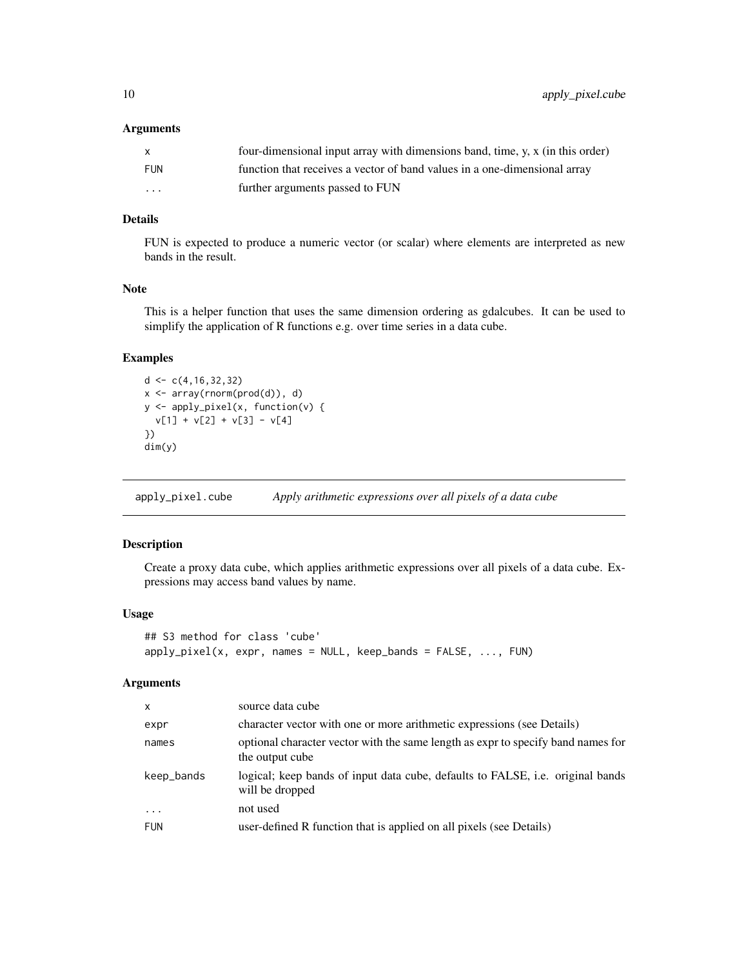#### <span id="page-9-0"></span>Arguments

|            | four-dimensional input array with dimensions band, time, y, x (in this order) |
|------------|-------------------------------------------------------------------------------|
| <b>FUN</b> | function that receives a vector of band values in a one-dimensional array     |
| $\cdots$   | further arguments passed to FUN                                               |

# Details

FUN is expected to produce a numeric vector (or scalar) where elements are interpreted as new bands in the result.

# Note

This is a helper function that uses the same dimension ordering as gdalcubes. It can be used to simplify the application of R functions e.g. over time series in a data cube.

# Examples

```
d < -c(4, 16, 32, 32)x <- array(rnorm(prod(d)), d)
y <- apply_pixel(x, function(v) {
 v[1] + v[2] + v[3] - v[4]
})
dim(y)
```
<span id="page-9-1"></span>apply\_pixel.cube *Apply arithmetic expressions over all pixels of a data cube*

# Description

Create a proxy data cube, which applies arithmetic expressions over all pixels of a data cube. Expressions may access band values by name.

#### Usage

```
## S3 method for class 'cube'
apply\_pixel(x, expr, names = NULL, keep\_bands = FALSE, ..., FUN)
```
# Arguments

| $\mathsf{x}$ | source data cube                                                                                    |
|--------------|-----------------------------------------------------------------------------------------------------|
| expr         | character vector with one or more arithmetic expressions (see Details)                              |
| names        | optional character vector with the same length as expr to specify band names for<br>the output cube |
| keep_bands   | logical; keep bands of input data cube, defaults to FALSE, i.e. original bands<br>will be dropped   |
| $\ddotsc$    | not used                                                                                            |
| <b>FUN</b>   | user-defined R function that is applied on all pixels (see Details)                                 |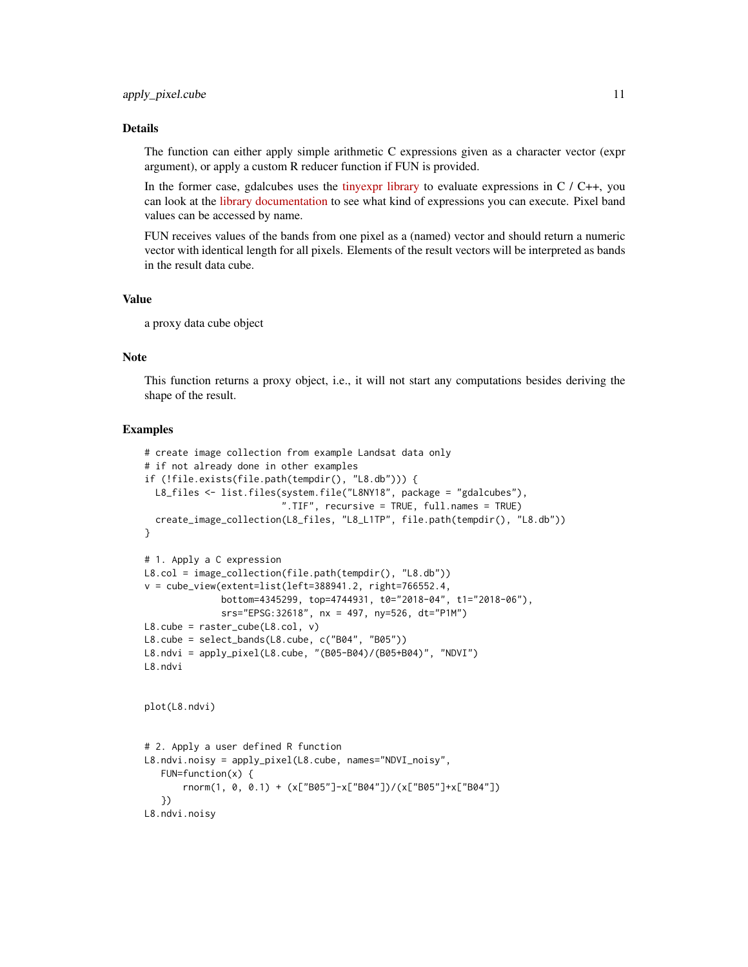# Details

The function can either apply simple arithmetic C expressions given as a character vector (expr argument), or apply a custom R reducer function if FUN is provided.

In the former case, gdalcubes uses the [tinyexpr library](https://github.com/codeplea/tinyexpr) to evaluate expressions in  $C / C_{++}$ , you can look at the [library documentation](https://github.com/codeplea/tinyexpr#functions-supported) to see what kind of expressions you can execute. Pixel band values can be accessed by name.

FUN receives values of the bands from one pixel as a (named) vector and should return a numeric vector with identical length for all pixels. Elements of the result vectors will be interpreted as bands in the result data cube.

#### Value

a proxy data cube object

#### Note

This function returns a proxy object, i.e., it will not start any computations besides deriving the shape of the result.

```
# create image collection from example Landsat data only
# if not already done in other examples
if (!file.exists(file.path(tempdir(), "L8.db"))) {
  L8_files <- list.files(system.file("L8NY18", package = "gdalcubes"),
                          ".TIF", recursive = TRUE, full.names = TRUE)
  create_image_collection(L8_files, "L8_L1TP", file.path(tempdir(), "L8.db"))
}
# 1. Apply a C expression
L8.col = image_collection(file.path(tempdir(), "L8.db"))
v = cube\_view(extent=list(left=388941.2, right=766552.4,bottom=4345299, top=4744931, t0="2018-04", t1="2018-06"),
              srs="EPSG:32618", nx = 497, ny=526, dt="P1M")
L8.\text{cube} = \text{raster\_cube}(L8.\text{col}, \text{v})L8.cube = select_bands(L8.cube, c("B04", "B05"))
L8.ndvi = apply_pixel(L8.cube, "(B05-B04)/(B05+B04)", "NDVI")
L8.ndvi
plot(L8.ndvi)
# 2. Apply a user defined R function
L8.ndvi.noisy = apply_pixel(L8.cube, names="NDVI_noisy",
   FUN=function(x) {
       rnorm(1, 0, 0.1) + (x["B05"]-x["B04"])/(x["B05"]+x["B04"])
   })
L8.ndvi.noisy
```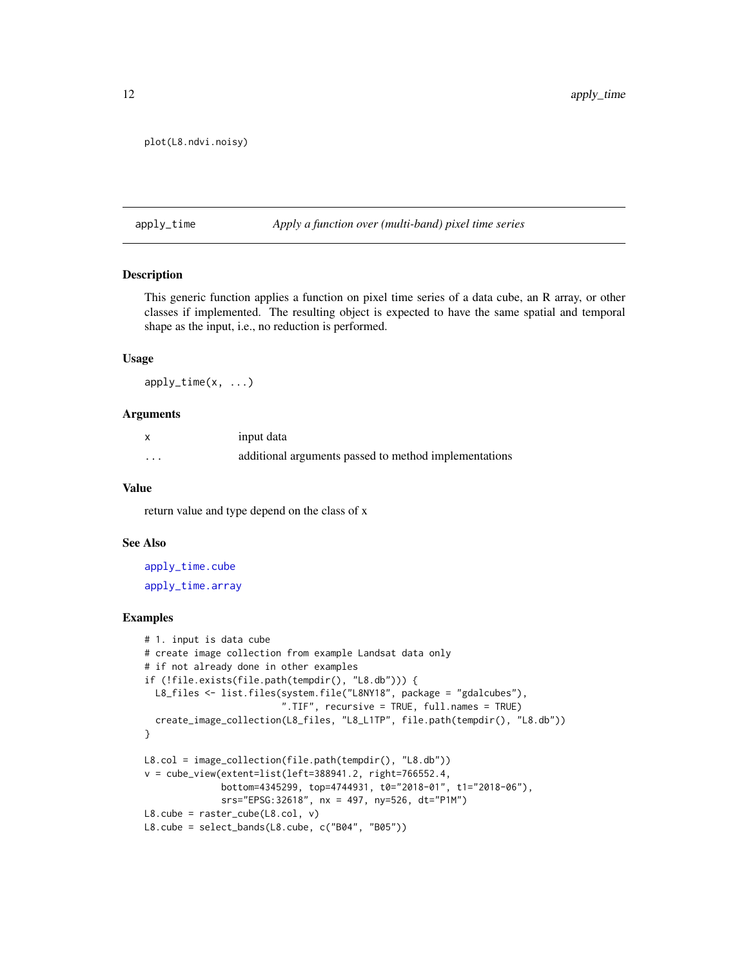```
plot(L8.ndvi.noisy)
```
#### apply\_time *Apply a function over (multi-band) pixel time series*

# Description

This generic function applies a function on pixel time series of a data cube, an R array, or other classes if implemented. The resulting object is expected to have the same spatial and temporal shape as the input, i.e., no reduction is performed.

# Usage

 $apply_time(x, ...)$ 

# Arguments

| $\boldsymbol{\mathsf{x}}$ | input data                                            |
|---------------------------|-------------------------------------------------------|
| $\cdots$                  | additional arguments passed to method implementations |

#### Value

return value and type depend on the class of x

# See Also

[apply\\_time.cube](#page-13-1) [apply\\_time.array](#page-12-1)

```
# 1. input is data cube
# create image collection from example Landsat data only
# if not already done in other examples
if (!file.exists(file.path(tempdir(), "L8.db"))) {
  L8_files <- list.files(system.file("L8NY18", package = "gdalcubes"),
                          ".TIF", recursive = TRUE, full.names = TRUE)
  create_image_collection(L8_files, "L8_L1TP", file.path(tempdir(), "L8.db"))
}
L8.col = image_collection(file.path(tempdir(), "L8.db"))
v = cube\_view(extent=list(left=388941.2, right=766552.4,bottom=4345299, top=4744931, t0="2018-01", t1="2018-06"),
              srs="EPSG:32618", nx = 497, ny=526, dt="P1M")
L8.\text{cube} = \text{raster\_cube}(L8.\text{col}, \text{v})L8.cube = select_bands(L8.cube, c("B04", "B05"))
```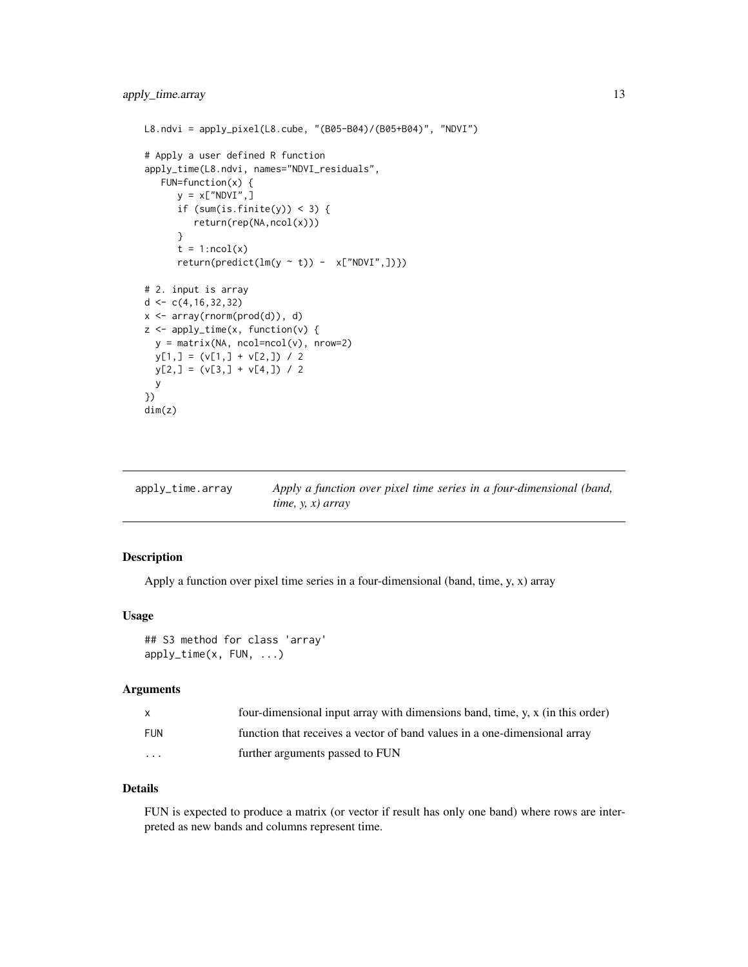```
L8.ndvi = apply_pixel(L8.cube, "(B05-B04)/(B05+B04)", "NDVI")
# Apply a user defined R function
apply_time(L8.ndvi, names="NDVI_residuals",
  FUN=function(x) {
      y = x["NDVI",]
      if (sum(is.finite(y)) < 3) {
         return(rep(NA,ncol(x)))
      }
      t = 1:ncol(x)return(predict(ln(y \sim t)) - x['NDVI", ]})# 2. input is array
d \leftarrow c(4, 16, 32, 32)x <- array(rnorm(prod(d)), d)
z <- apply_time(x, function(v) {
 y = matrix(NA, ncol=ncol(v), nrow=2)
 y[1,] = (v[1,] + v[2,]) / 2y[2,] = (v[3,] + v[4,]) / 2y
})
dim(z)
```
<span id="page-12-1"></span>

| apply_time.array | Apply a function over pixel time series in a four-dimensional (band, |
|------------------|----------------------------------------------------------------------|
|                  | time, $y, x$ ) array                                                 |

Apply a function over pixel time series in a four-dimensional (band, time, y, x) array

#### Usage

```
## S3 method for class 'array'
apply_time(x, FUN, ...)
```
#### Arguments

| $\mathsf{x}$ | four-dimensional input array with dimensions band, time, y, x (in this order) |
|--------------|-------------------------------------------------------------------------------|
| <b>FUN</b>   | function that receives a vector of band values in a one-dimensional array     |
| .            | further arguments passed to FUN                                               |

# Details

FUN is expected to produce a matrix (or vector if result has only one band) where rows are interpreted as new bands and columns represent time.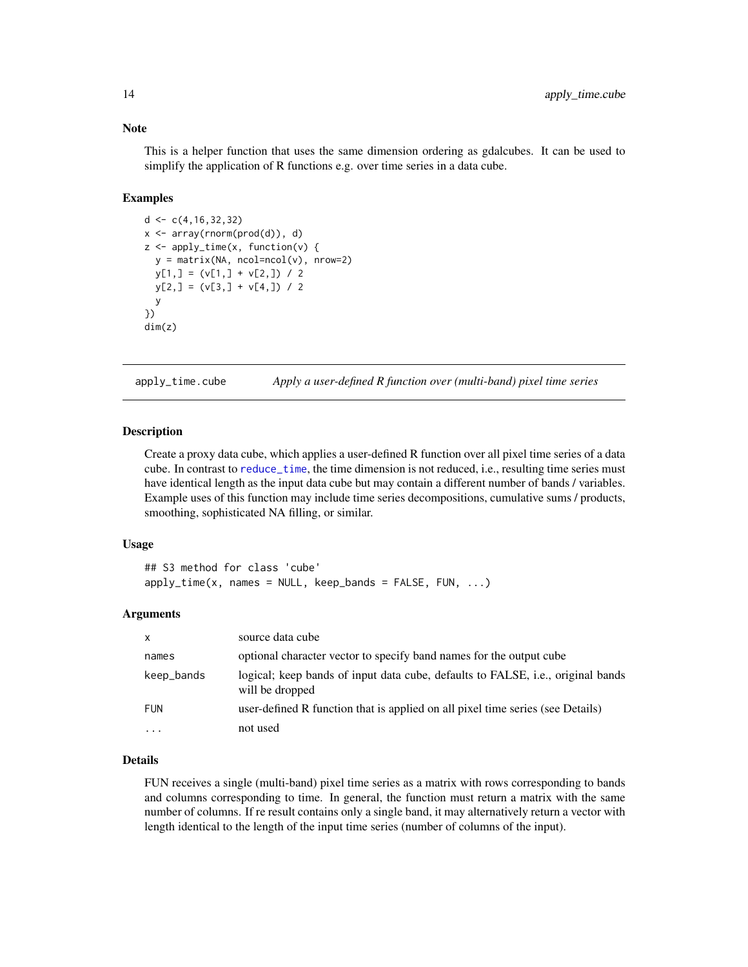# Note

This is a helper function that uses the same dimension ordering as gdalcubes. It can be used to simplify the application of R functions e.g. over time series in a data cube.

# Examples

```
d < -c(4, 16, 32, 32)x <- array(rnorm(prod(d)), d)
z <- apply_time(x, function(v) {
 y = matrix(NA, ncol=ncol(v), nrow=2)y[1,] = (v[1,] + v[2,]) / 2y[2,] = (v[3,] + v[4,]) / 2y
})
dim(z)
```
<span id="page-13-1"></span>apply\_time.cube *Apply a user-defined R function over (multi-band) pixel time series*

# Description

Create a proxy data cube, which applies a user-defined R function over all pixel time series of a data cube. In contrast to [reduce\\_time](#page-61-1), the time dimension is not reduced, i.e., resulting time series must have identical length as the input data cube but may contain a different number of bands / variables. Example uses of this function may include time series decompositions, cumulative sums / products, smoothing, sophisticated NA filling, or similar.

# Usage

```
## S3 method for class 'cube'
apply_time(x, names = NULL, keep-bands = FALSE, FUN, ...)
```
#### Arguments

| $\mathsf{x}$         | source data cube                                                                                   |
|----------------------|----------------------------------------------------------------------------------------------------|
| names                | optional character vector to specify band names for the output cube                                |
| keep_bands           | logical; keep bands of input data cube, defaults to FALSE, i.e., original bands<br>will be dropped |
| <b>FUN</b>           | user-defined R function that is applied on all pixel time series (see Details)                     |
| $\ddot{\phantom{0}}$ | not used                                                                                           |

# Details

FUN receives a single (multi-band) pixel time series as a matrix with rows corresponding to bands and columns corresponding to time. In general, the function must return a matrix with the same number of columns. If re result contains only a single band, it may alternatively return a vector with length identical to the length of the input time series (number of columns of the input).

<span id="page-13-0"></span>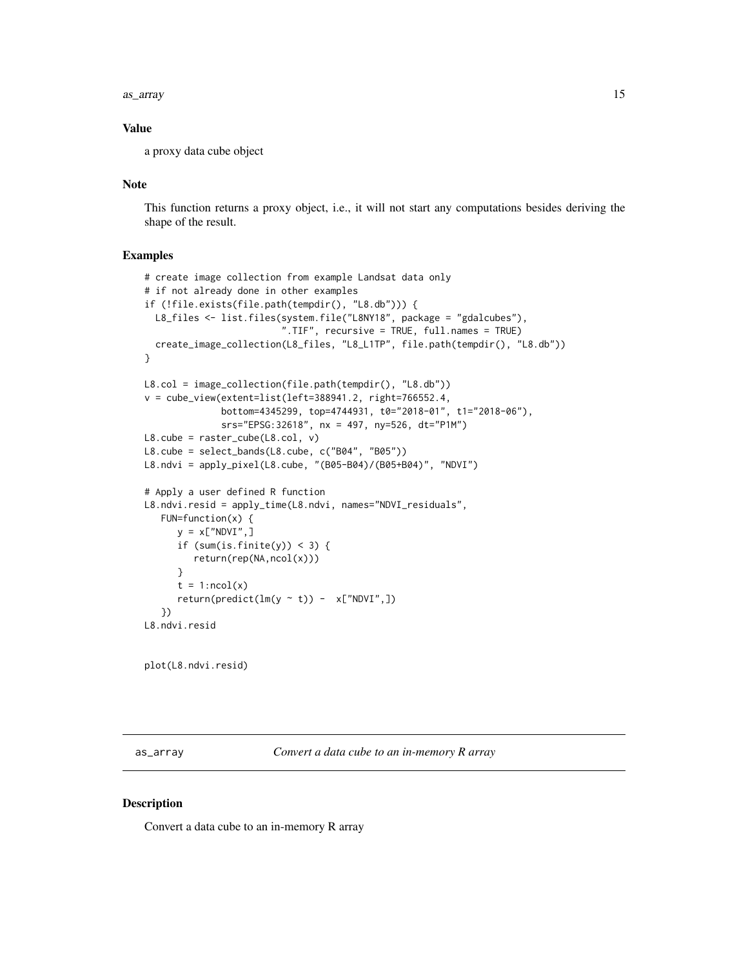<span id="page-14-0"></span>as\_array 15

# Value

a proxy data cube object

# Note

This function returns a proxy object, i.e., it will not start any computations besides deriving the shape of the result.

# Examples

```
# create image collection from example Landsat data only
# if not already done in other examples
if (!file.exists(file.path(tempdir(), "L8.db"))) {
  L8_files <- list.files(system.file("L8NY18", package = "gdalcubes"),
                         ".TIF", recursive = TRUE, full.names = TRUE)
  create_image_collection(L8_files, "L8_L1TP", file.path(tempdir(), "L8.db"))
}
L8.col = image_collection(file.path(tempdir(), "L8.db"))
v = cube_view(extent=list(left=388941.2, right=766552.4,
              bottom=4345299, top=4744931, t0="2018-01", t1="2018-06"),
              srs="EPSG:32618", nx = 497, ny=526, dt="P1M")
L8.cube = raster_cube(L8.col, v)
L8.cube = select_bands(L8.cube, c("B04", "B05"))
L8.ndvi = apply_pixel(L8.cube, "(B05-B04)/(B05+B04)", "NDVI")
# Apply a user defined R function
L8.ndvi.resid = apply_time(L8.ndvi, names="NDVI_residuals",
   FUN=function(x) {
      y = x["NDVI",]
      if (sum(is.finite(y)) < 3) {
        return(rep(NA,ncol(x)))
      }
      t = 1:ncol(x)return(predict(lm(y \sim t)) - x["NDVI",])
   })
L8.ndvi.resid
```
plot(L8.ndvi.resid)

as\_array *Convert a data cube to an in-memory R array*

# Description

Convert a data cube to an in-memory R array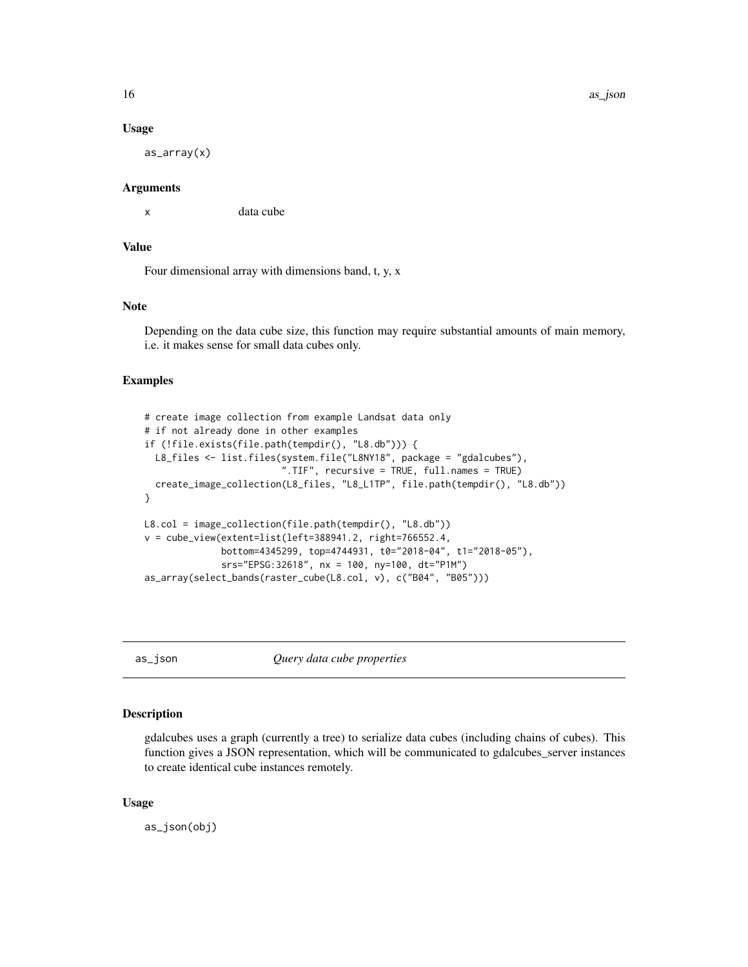16 as\_json as\_json as\_json as\_json as\_json as\_json as\_json as\_json as\_json as\_json as\_json as\_json as\_json as\_json as\_json as\_json as\_json as\_json as\_json as\_json as\_json as\_json as\_json as\_json as\_json as\_json as\_json as\_

#### Usage

as\_array(x)

# Arguments

x data cube

# Value

Four dimensional array with dimensions band, t, y, x

# **Note**

Depending on the data cube size, this function may require substantial amounts of main memory, i.e. it makes sense for small data cubes only.

#### Examples

```
# create image collection from example Landsat data only
# if not already done in other examples
if (!file.exists(file.path(tempdir(), "L8.db"))) {
  L8_files <- list.files(system.file("L8NY18", package = "gdalcubes"),
                         ".TIF", recursive = TRUE, full.names = TRUE)
  create_image_collection(L8_files, "L8_L1TP", file.path(tempdir(), "L8.db"))
}
L8.col = image_collection(file.path(tempdir(), "L8.db"))
v = cube_view(extent=list(left=388941.2, right=766552.4,
              bottom=4345299, top=4744931, t0="2018-04", t1="2018-05"),
              srs="EPSG:32618", nx = 100, ny=100, dt="P1M")
as_array(select_bands(raster_cube(L8.col, v), c("B04", "B05")))
```
as\_json *Query data cube properties*

# Description

gdalcubes uses a graph (currently a tree) to serialize data cubes (including chains of cubes). This function gives a JSON representation, which will be communicated to gdalcubes\_server instances to create identical cube instances remotely.

#### Usage

as\_json(obj)

<span id="page-15-0"></span>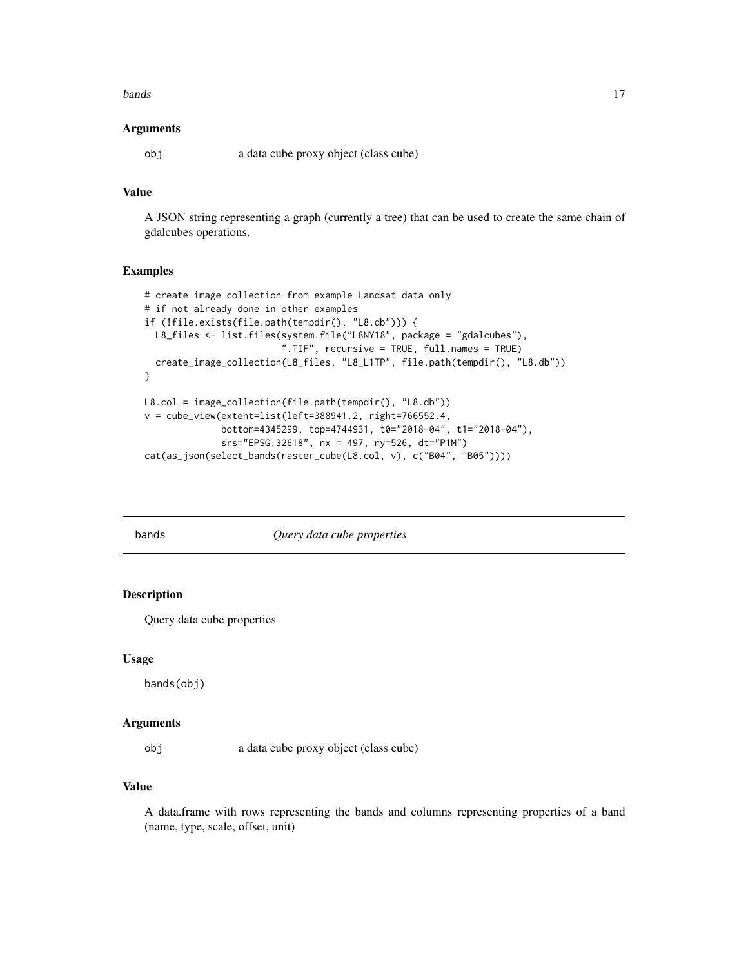#### <span id="page-16-0"></span>bands and the contract of the contract of the contract of the contract of the contract of the contract of the contract of the contract of the contract of the contract of the contract of the contract of the contract of the

# Arguments

obj a data cube proxy object (class cube)

# Value

A JSON string representing a graph (currently a tree) that can be used to create the same chain of gdalcubes operations.

# Examples

```
# create image collection from example Landsat data only
# if not already done in other examples
if (!file.exists(file.path(tempdir(), "L8.db"))) {
 L8_files <- list.files(system.file("L8NY18", package = "gdalcubes"),
                         ".TIF", recursive = TRUE, full.names = TRUE)
  create_image_collection(L8_files, "L8_L1TP", file.path(tempdir(), "L8.db"))
}
L8.col = image_collection(file.path(tempdir(), "L8.db"))
v = cube_view(extent=list(left=388941.2, right=766552.4,
              bottom=4345299, top=4744931, t0="2018-04", t1="2018-04"),
              srs="EPSG:32618", nx = 497, ny=526, dt="P1M")
cat(as_json(select_bands(raster_cube(L8.col, v), c("B04", "B05"))))
```
bands *Query data cube properties*

# Description

Query data cube properties

#### Usage

bands(obj)

### Arguments

obj a data cube proxy object (class cube)

# Value

A data.frame with rows representing the bands and columns representing properties of a band (name, type, scale, offset, unit)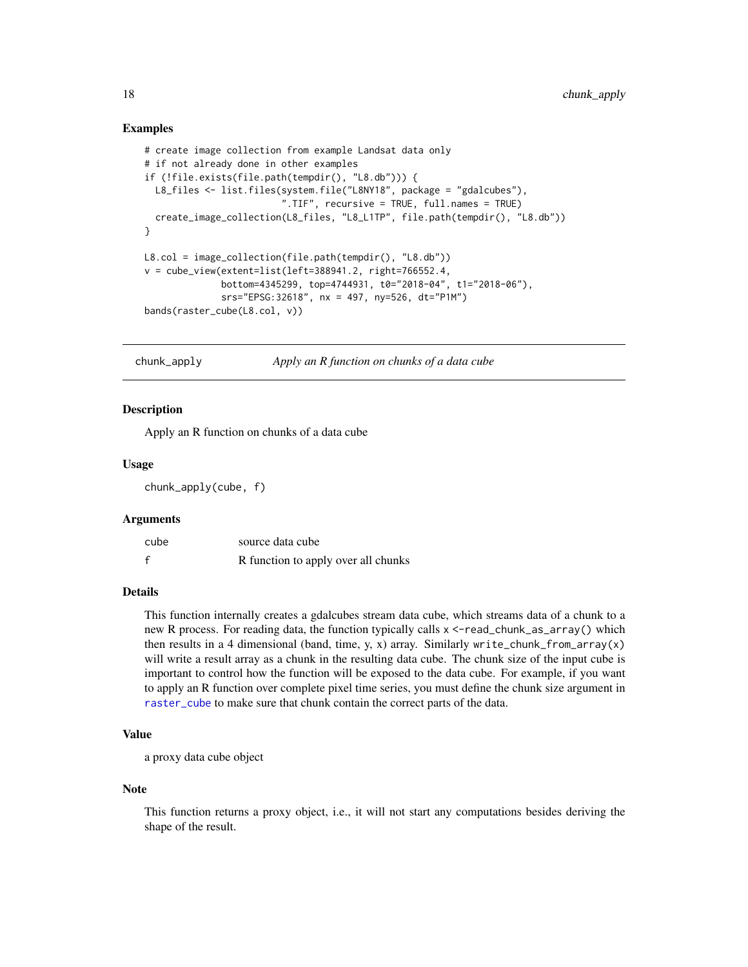# <span id="page-17-0"></span>Examples

```
# create image collection from example Landsat data only
# if not already done in other examples
if (!file.exists(file.path(tempdir(), "L8.db"))) {
  L8_files <- list.files(system.file("L8NY18", package = "gdalcubes"),
                         ".TIF", recursive = TRUE, full.names = TRUE)
  create_image_collection(L8_files, "L8_L1TP", file.path(tempdir(), "L8.db"))
}
L8.col = image_collection(file.path(tempdir(), "L8.db"))
v = cube_view(extent=list(left=388941.2, right=766552.4,
              bottom=4345299, top=4744931, t0="2018-04", t1="2018-06"),
              srs="EPSG:32618", nx = 497, ny=526, dt="P1M")
bands(raster_cube(L8.col, v))
```
chunk\_apply *Apply an R function on chunks of a data cube*

# Description

Apply an R function on chunks of a data cube

# Usage

chunk\_apply(cube, f)

#### **Arguments**

| cube | source data cube                    |
|------|-------------------------------------|
| f    | R function to apply over all chunks |

#### Details

This function internally creates a gdalcubes stream data cube, which streams data of a chunk to a new R process. For reading data, the function typically calls x <-read\_chunk\_as\_array() which then results in a 4 dimensional (band, time, y, x) array. Similarly write\_chunk\_from\_array(x) will write a result array as a chunk in the resulting data cube. The chunk size of the input cube is important to control how the function will be exposed to the data cube. For example, if you want to apply an R function over complete pixel time series, you must define the chunk size argument in [raster\\_cube](#page-55-1) to make sure that chunk contain the correct parts of the data.

#### Value

```
a proxy data cube object
```
# Note

This function returns a proxy object, i.e., it will not start any computations besides deriving the shape of the result.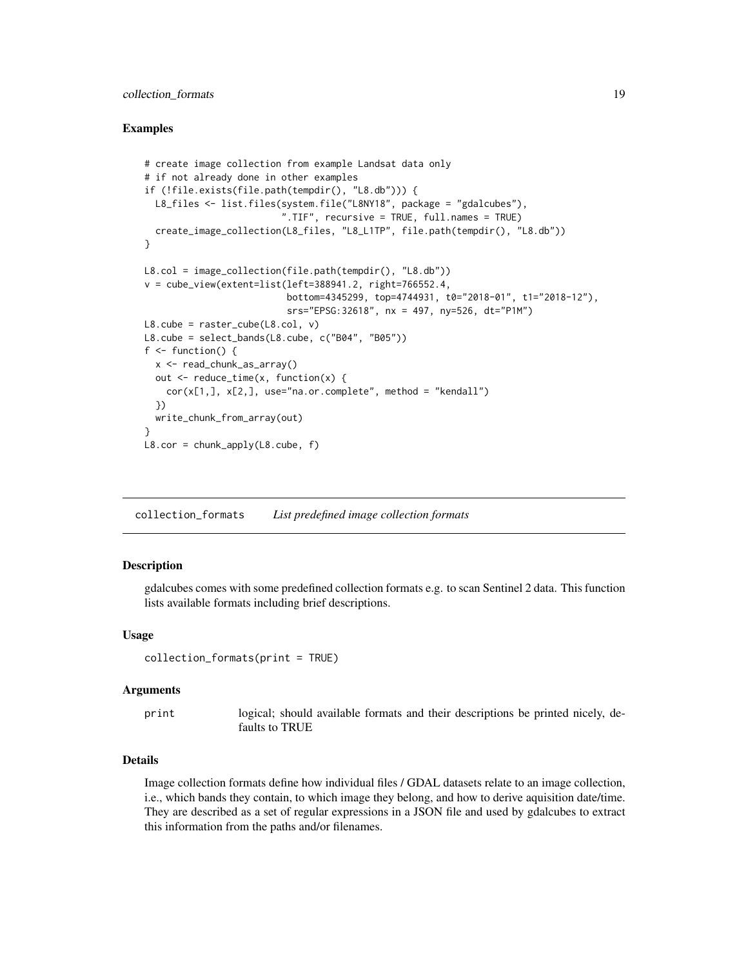# <span id="page-18-0"></span>collection\_formats 19

# Examples

```
# create image collection from example Landsat data only
# if not already done in other examples
if (!file.exists(file.path(tempdir(), "L8.db"))) {
  L8_files <- list.files(system.file("L8NY18", package = "gdalcubes"),
                          ".TIF", recursive = TRUE, full.names = TRUE)
  create_image_collection(L8_files, "L8_L1TP", file.path(tempdir(), "L8.db"))
}
L8.col = image_collection(file.path(tempdir(), "L8.db"))
v = cube_view(extent=list(left=388941.2, right=766552.4,
                           bottom=4345299, top=4744931, t0="2018-01", t1="2018-12"),
                           srs="EPSG:32618", nx = 497, ny=526, dt="P1M")
L8.\text{cube} = \text{raster\_cube}(L8.\text{col}, \text{v})L8.cube = select_bands(L8.cube, c("B04", "B05"))
f \leftarrow function() {
  x <- read_chunk_as_array()
  out \leq reduce_time(x, function(x) {
    cor(x[1,], x[2,], use="na.or.complete", method = "kendall")
  })
  write_chunk_from_array(out)
}
L8.cor = chunk\_apply(L8.cube, f)
```
<span id="page-18-1"></span>collection\_formats *List predefined image collection formats*

# **Description**

gdalcubes comes with some predefined collection formats e.g. to scan Sentinel 2 data. This function lists available formats including brief descriptions.

#### Usage

```
collection_formats(print = TRUE)
```
#### Arguments

print logical; should available formats and their descriptions be printed nicely, defaults to TRUE

# Details

Image collection formats define how individual files / GDAL datasets relate to an image collection, i.e., which bands they contain, to which image they belong, and how to derive aquisition date/time. They are described as a set of regular expressions in a JSON file and used by gdalcubes to extract this information from the paths and/or filenames.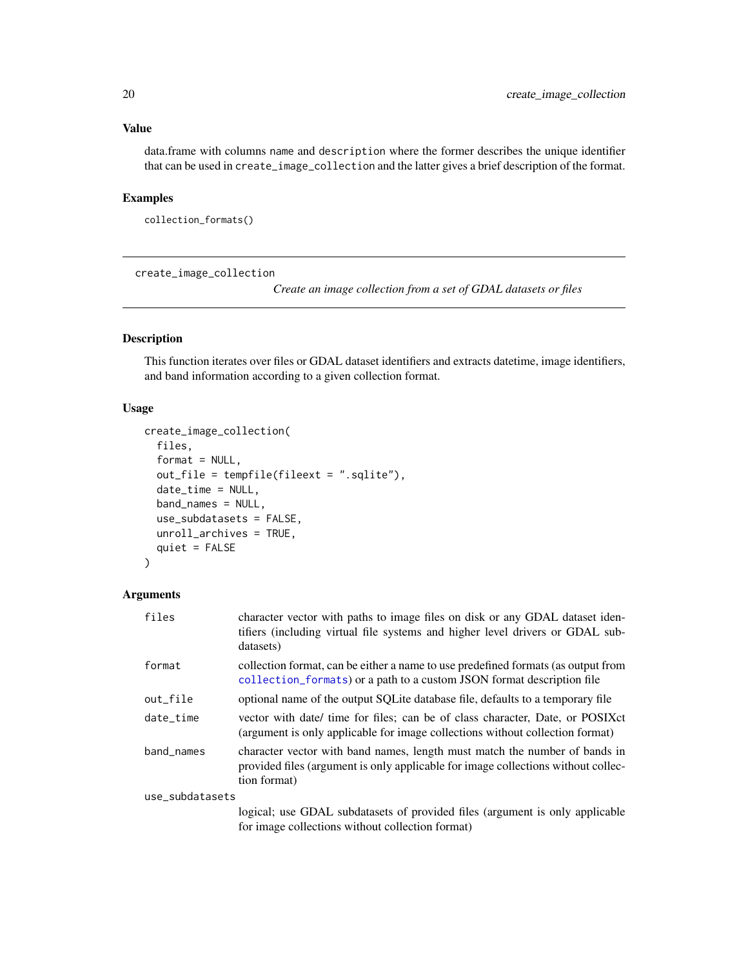# <span id="page-19-0"></span>Value

data.frame with columns name and description where the former describes the unique identifier that can be used in create\_image\_collection and the latter gives a brief description of the format.

# Examples

collection\_formats()

create\_image\_collection

*Create an image collection from a set of GDAL datasets or files*

# Description

This function iterates over files or GDAL dataset identifiers and extracts datetime, image identifiers, and band information according to a given collection format.

# Usage

```
create_image_collection(
  files,
  format = NULL,out_file = tempfile(fileext = ".sqlite"),
  date_time = NULL,
  band_names = NULL,
  use_subdatasets = FALSE,
  unroll_archives = TRUE,
  quiet = FALSE
)
```
# Arguments

| files           | character vector with paths to image files on disk or any GDAL dataset iden-<br>tifiers (including virtual file systems and higher level drivers or GDAL sub-<br>datasets)      |
|-----------------|---------------------------------------------------------------------------------------------------------------------------------------------------------------------------------|
| format          | collection format, can be either a name to use predefined formats (as output from<br>collection_formats) or a path to a custom JSON format description file                     |
| out_file        | optional name of the output SQLite database file, defaults to a temporary file                                                                                                  |
| date_time       | vector with date/ time for files; can be of class character, Date, or POSIX ct<br>(argument is only applicable for image collections without collection format)                 |
| band names      | character vector with band names, length must match the number of bands in<br>provided files (argument is only applicable for image collections without collec-<br>tion format) |
| use_subdatasets |                                                                                                                                                                                 |
|                 | logical; use GDAL subdatasets of provided files (argument is only applicable                                                                                                    |
|                 | for image collections without collection format)                                                                                                                                |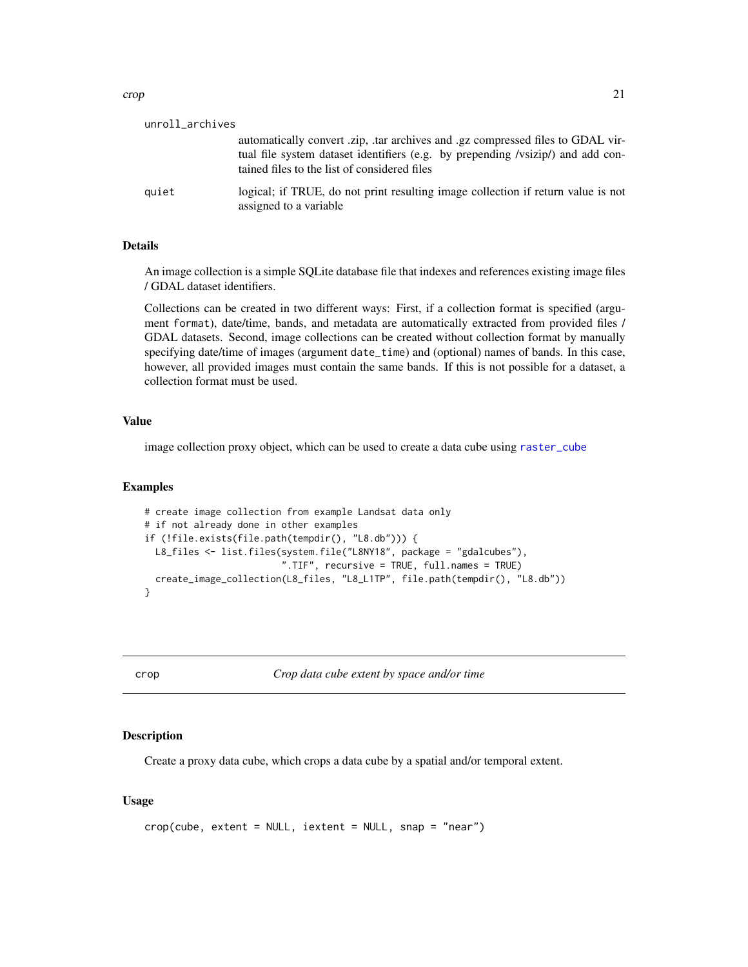<span id="page-20-0"></span>

| unroll_archives |                                                                                                                                 |
|-----------------|---------------------------------------------------------------------------------------------------------------------------------|
|                 | automatically convert zip, tar archives and gz compressed files to GDAL vir-                                                    |
|                 | tual file system dataset identifiers (e.g. by prepending /vsizip/) and add con-<br>tained files to the list of considered files |
| quiet           | logical; if TRUE, do not print resulting image collection if return value is not<br>assigned to a variable                      |

# **Details**

An image collection is a simple SQLite database file that indexes and references existing image files / GDAL dataset identifiers.

Collections can be created in two different ways: First, if a collection format is specified (argument format), date/time, bands, and metadata are automatically extracted from provided files / GDAL datasets. Second, image collections can be created without collection format by manually specifying date/time of images (argument date\_time) and (optional) names of bands. In this case, however, all provided images must contain the same bands. If this is not possible for a dataset, a collection format must be used.

# Value

image collection proxy object, which can be used to create a data cube using [raster\\_cube](#page-55-1)

# Examples

```
# create image collection from example Landsat data only
# if not already done in other examples
if (!file.exists(file.path(tempdir(), "L8.db"))) {
 L8_files <- list.files(system.file("L8NY18", package = "gdalcubes"),
                         ".TIF", recursive = TRUE, full.names = TRUE)
 create_image_collection(L8_files, "L8_L1TP", file.path(tempdir(), "L8.db"))
}
```
crop *Crop data cube extent by space and/or time*

# Description

Create a proxy data cube, which crops a data cube by a spatial and/or temporal extent.

# Usage

```
crop(cube, extent = NULL, iextent = NULL, snap = "near")
```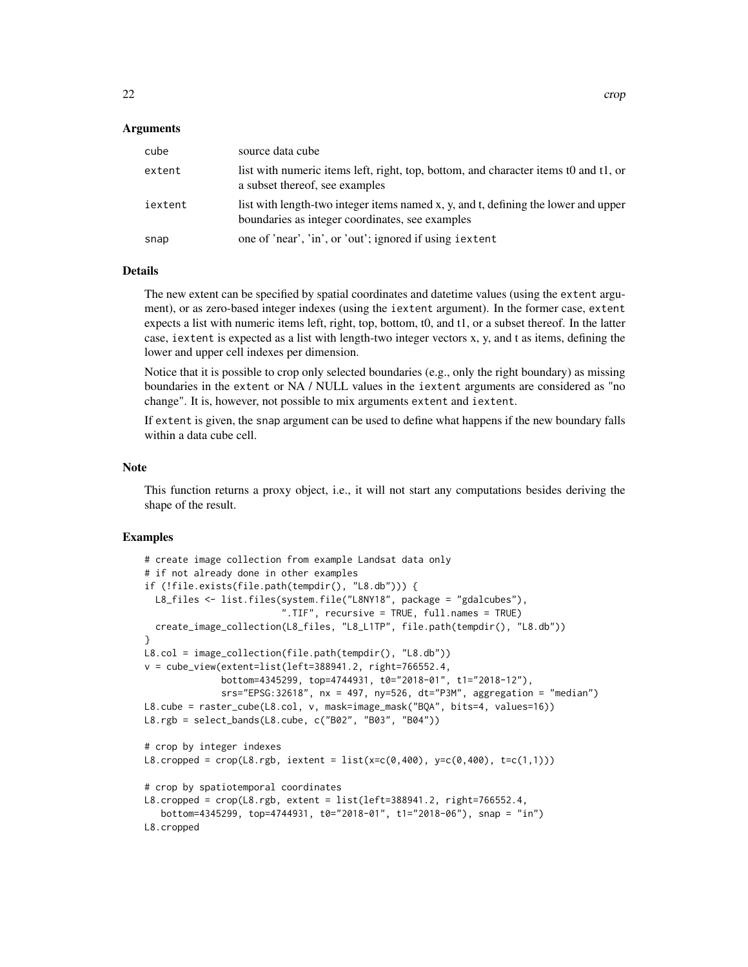# Arguments

| cube    | source data cube                                                                                                                      |
|---------|---------------------------------------------------------------------------------------------------------------------------------------|
| extent  | list with numeric items left, right, top, bottom, and character items to and t1, or<br>a subset thereof, see examples                 |
| iextent | list with length-two integer items named x, y, and t, defining the lower and upper<br>boundaries as integer coordinates, see examples |
| snap    | one of 'near', 'in', or 'out'; ignored if using i extent                                                                              |

# Details

The new extent can be specified by spatial coordinates and datetime values (using the extent argument), or as zero-based integer indexes (using the iextent argument). In the former case, extent expects a list with numeric items left, right, top, bottom, t0, and t1, or a subset thereof. In the latter case, iextent is expected as a list with length-two integer vectors x, y, and t as items, defining the lower and upper cell indexes per dimension.

Notice that it is possible to crop only selected boundaries (e.g., only the right boundary) as missing boundaries in the extent or NA / NULL values in the iextent arguments are considered as "no change". It is, however, not possible to mix arguments extent and iextent.

If extent is given, the snap argument can be used to define what happens if the new boundary falls within a data cube cell.

#### Note

This function returns a proxy object, i.e., it will not start any computations besides deriving the shape of the result.

```
# create image collection from example Landsat data only
# if not already done in other examples
if (!file.exists(file.path(tempdir(), "L8.db"))) {
  L8_files <- list.files(system.file("L8NY18", package = "gdalcubes"),
                         ".TIF", recursive = TRUE, full.names = TRUE)
  create_image_collection(L8_files, "L8_L1TP", file.path(tempdir(), "L8.db"))
}
L8.col = image_collection(file.path(tempdir(), "L8.db"))
v = cube\_view(extent=list(left=388941.2, right=766552.4,bottom=4345299, top=4744931, t0="2018-01", t1="2018-12"),
              srs="EPSG:32618", nx = 497, ny=526, dt="P3M", aggregation = "median")
L8.cube = raster_cube(L8.col, v, mask=image_mask("BQA", bits=4, values=16))
L8.rgb = select_bands(L8.cube, c("B02", "B03", "B04"))
# crop by integer indexes
L8.cropped = crop(L8.rgb, iextent = list(x=c(0,400), y=c(0,400), t=c(1,1)))
# crop by spatiotemporal coordinates
L8.cropped = crop(L8.rgb, extent = list(left=388941.2, right=766552.4,
   bottom=4345299, top=4744931, t0="2018-01", t1="2018-06"), snap = "in")
L8.cropped
```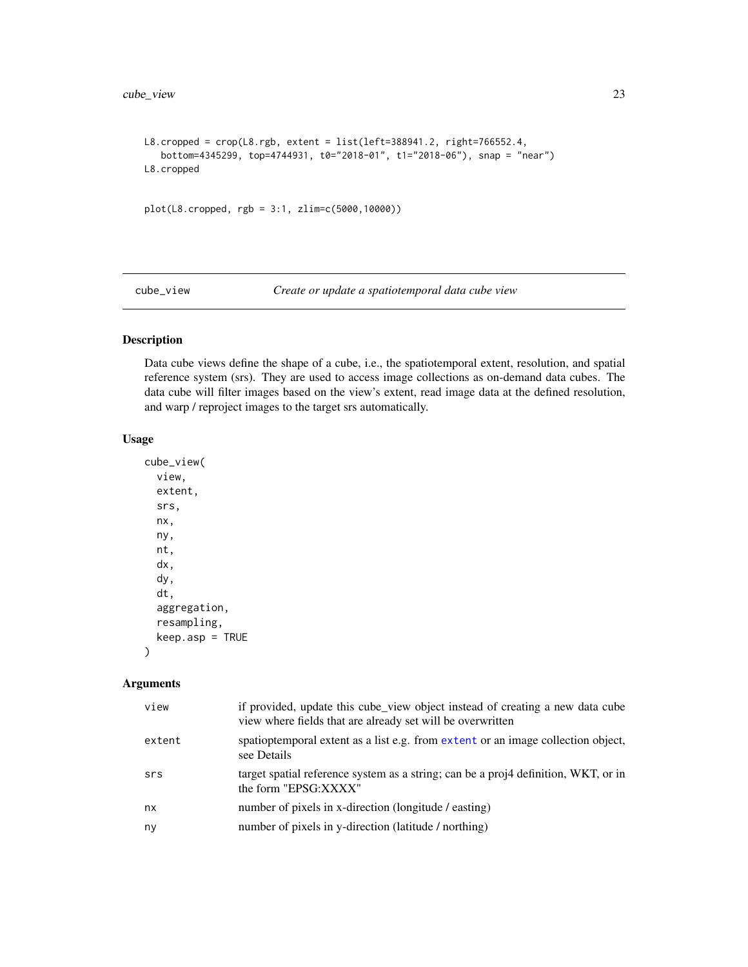```
L8.cropped = \text{crop}(\text{L8.rgb}, \text{extent} = \text{list}(\text{left=388941.2}, \text{right=766552.4},bottom=4345299, top=4744931, t0="2018-01", t1="2018-06"), snap = "near")
L8.cropped
plot(L8.cropped, rgb = 3:1, zlim=c(5000,10000))
```
cube\_view *Create or update a spatiotemporal data cube view*

# Description

Data cube views define the shape of a cube, i.e., the spatiotemporal extent, resolution, and spatial reference system (srs). They are used to access image collections as on-demand data cubes. The data cube will filter images based on the view's extent, read image data at the defined resolution, and warp / reproject images to the target srs automatically.

# Usage

```
cube_view(
  view,
  extent,
  srs,
  nx,
  ny,
  nt,
  dx,
  dy,
  dt,
  aggregation,
  resampling,
  keep.asp = TRUE
```
# $\mathcal{E}$

# Arguments

| view   | if provided, update this cube_view object instead of creating a new data cube<br>view where fields that are already set will be overwritten |
|--------|---------------------------------------------------------------------------------------------------------------------------------------------|
| extent | spatioptemporal extent as a list e.g. from extent or an image collection object,<br>see Details                                             |
| srs    | target spatial reference system as a string; can be a proj4 definition, WKT, or in<br>the form "EPSG:XXXX"                                  |
| nx     | number of pixels in x-direction (longitude / easting)                                                                                       |
| ny     | number of pixels in y-direction (latitude / northing)                                                                                       |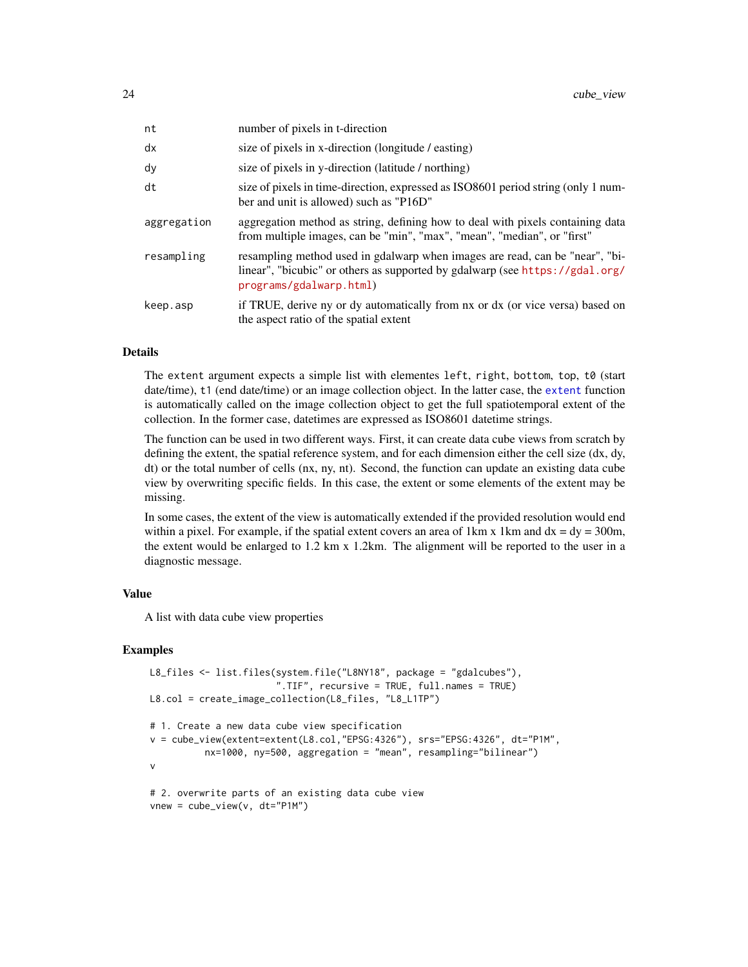| nt          | number of pixels in t-direction                                                                                                                                                         |
|-------------|-----------------------------------------------------------------------------------------------------------------------------------------------------------------------------------------|
| dx          | size of pixels in x-direction (longitude / easting)                                                                                                                                     |
| dy          | size of pixels in y-direction (latitude / northing)                                                                                                                                     |
| dt          | size of pixels in time-direction, expressed as ISO8601 period string (only 1 num-<br>ber and unit is allowed) such as "P16D"                                                            |
| aggregation | aggregation method as string, defining how to deal with pixels containing data<br>from multiple images, can be "min", "max", "mean", "median", or "first"                               |
| resampling  | resampling method used in gdalwarp when images are read, can be "near", "bi-<br>linear", "bicubic" or others as supported by gdalwarp (see https://gdal.org/<br>programs/gdalwarp.html) |
| keep.asp    | if TRUE, derive ny or dy automatically from nx or dx (or vice versa) based on<br>the aspect ratio of the spatial extent                                                                 |

#### **Details**

The extent argument expects a simple list with elementes left, right, bottom, top, t0 (start date/time), t1 (end date/time) or an image collection object. In the latter case, the [extent](#page-27-1) function is automatically called on the image collection object to get the full spatiotemporal extent of the collection. In the former case, datetimes are expressed as ISO8601 datetime strings.

The function can be used in two different ways. First, it can create data cube views from scratch by defining the extent, the spatial reference system, and for each dimension either the cell size (dx, dy, dt) or the total number of cells (nx, ny, nt). Second, the function can update an existing data cube view by overwriting specific fields. In this case, the extent or some elements of the extent may be missing.

In some cases, the extent of the view is automatically extended if the provided resolution would end within a pixel. For example, if the spatial extent covers an area of 1 km x 1 km and  $dx = dy = 300$ m, the extent would be enlarged to 1.2 km x 1.2km. The alignment will be reported to the user in a diagnostic message.

# Value

A list with data cube view properties

```
L8_files <- list.files(system.file("L8NY18", package = "gdalcubes"),
                       ".TIF", recursive = TRUE, full.names = TRUE)
L8.col = create_image_collection(L8_files, "L8_L1TP")
# 1. Create a new data cube view specification
v = cube_view(extent=extent(L8.col,"EPSG:4326"), srs="EPSG:4326", dt="P1M",
          nx=1000, ny=500, aggregation = "mean", resampling="bilinear")
v
# 2. overwrite parts of an existing data cube view
vnew = cube_view(v, dt="P1M")
```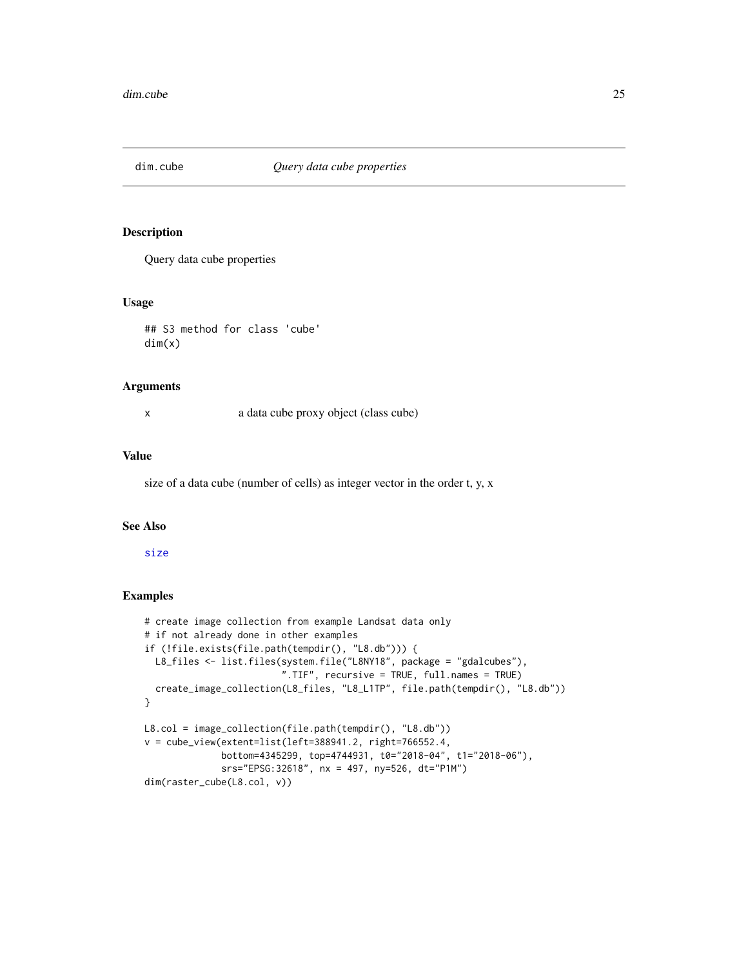<span id="page-24-0"></span>

Query data cube properties

# Usage

## S3 method for class 'cube' dim(x)

#### Arguments

x a data cube proxy object (class cube)

# Value

size of a data cube (number of cells) as integer vector in the order t, y, x

#### See Also

[size](#page-68-1)

```
# create image collection from example Landsat data only
# if not already done in other examples
if (!file.exists(file.path(tempdir(), "L8.db"))) {
  L8_files <- list.files(system.file("L8NY18", package = "gdalcubes"),
                         ".TIF", recursive = TRUE, full.names = TRUE)
  create_image_collection(L8_files, "L8_L1TP", file.path(tempdir(), "L8.db"))
}
L8.col = image_collection(file.path(tempdir(), "L8.db"))
v = cube_view(extent=list(left=388941.2, right=766552.4,
              bottom=4345299, top=4744931, t0="2018-04", t1="2018-06"),
              srs="EPSG:32618", nx = 497, ny=526, dt="P1M")
dim(raster_cube(L8.col, v))
```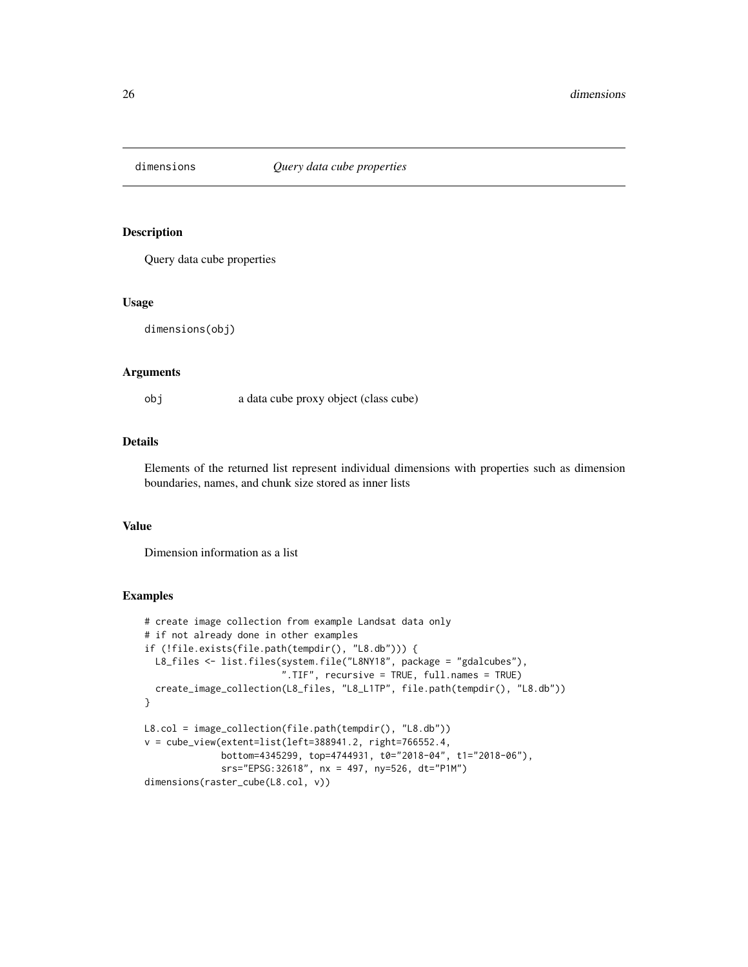<span id="page-25-0"></span>

Query data cube properties

#### Usage

dimensions(obj)

# Arguments

obj a data cube proxy object (class cube)

# Details

Elements of the returned list represent individual dimensions with properties such as dimension boundaries, names, and chunk size stored as inner lists

# Value

Dimension information as a list

```
# create image collection from example Landsat data only
# if not already done in other examples
if (!file.exists(file.path(tempdir(), "L8.db"))) {
  L8_files <- list.files(system.file("L8NY18", package = "gdalcubes"),
                         ".TIF", recursive = TRUE, full.names = TRUE)
  create_image_collection(L8_files, "L8_L1TP", file.path(tempdir(), "L8.db"))
}
L8.col = image_collection(file.path(tempdir(), "L8.db"))
v = cube\_view(extent=list(left=388941.2, right=766552.4,bottom=4345299, top=4744931, t0="2018-04", t1="2018-06"),
              srs="EPSG:32618", nx = 497, ny=526, dt="P1M")
dimensions(raster_cube(L8.col, v))
```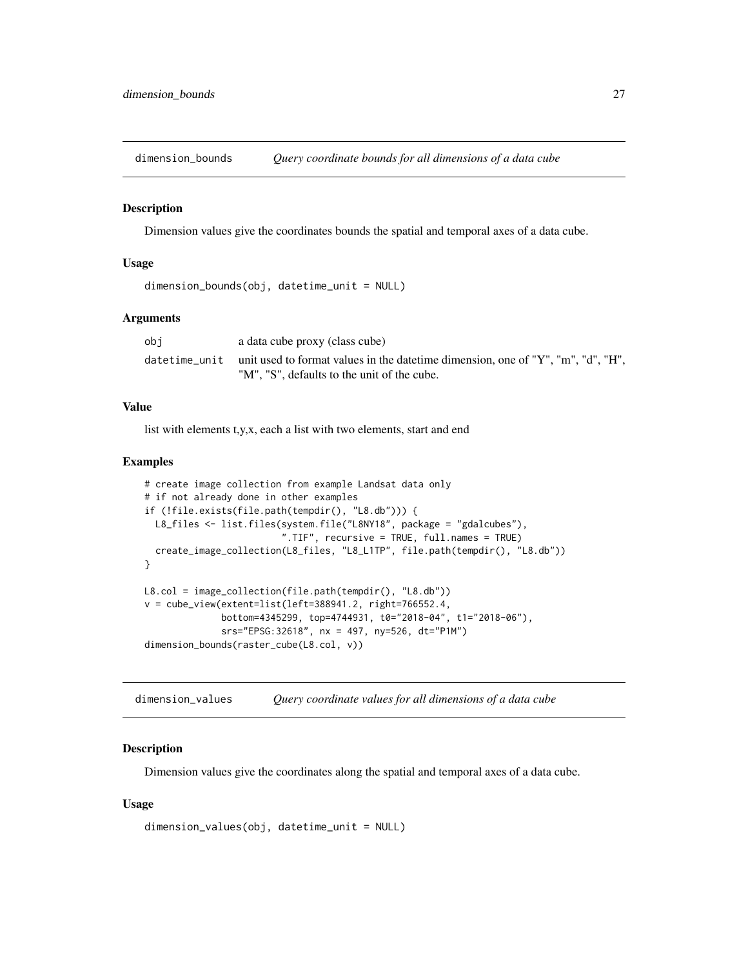<span id="page-26-0"></span>

Dimension values give the coordinates bounds the spatial and temporal axes of a data cube.

# Usage

```
dimension_bounds(obj, datetime_unit = NULL)
```
# Arguments

| obi | a data cube proxy (class cube)                                                                 |
|-----|------------------------------------------------------------------------------------------------|
|     | datetime_unit unit used to format values in the datetime dimension, one of "Y", "m", "d", "H", |
|     | "M", "S", defaults to the unit of the cube.                                                    |

# Value

list with elements t,y,x, each a list with two elements, start and end

# Examples

```
# create image collection from example Landsat data only
# if not already done in other examples
if (!file.exists(file.path(tempdir(), "L8.db"))) {
  L8_files <- list.files(system.file("L8NY18", package = "gdalcubes"),
                         ".TIF", recursive = TRUE, full.names = TRUE)
  create_image_collection(L8_files, "L8_L1TP", file.path(tempdir(), "L8.db"))
}
L8.col = image_collection(file.path(tempdir(), "L8.db"))
v = cube_view(extent=list(left=388941.2, right=766552.4,
              bottom=4345299, top=4744931, t0="2018-04", t1="2018-06"),
              srs="EPSG:32618", nx = 497, ny=526, dt="P1M")
dimension_bounds(raster_cube(L8.col, v))
```
dimension\_values *Query coordinate values for all dimensions of a data cube*

# Description

Dimension values give the coordinates along the spatial and temporal axes of a data cube.

# Usage

```
dimension_values(obj, datetime_unit = NULL)
```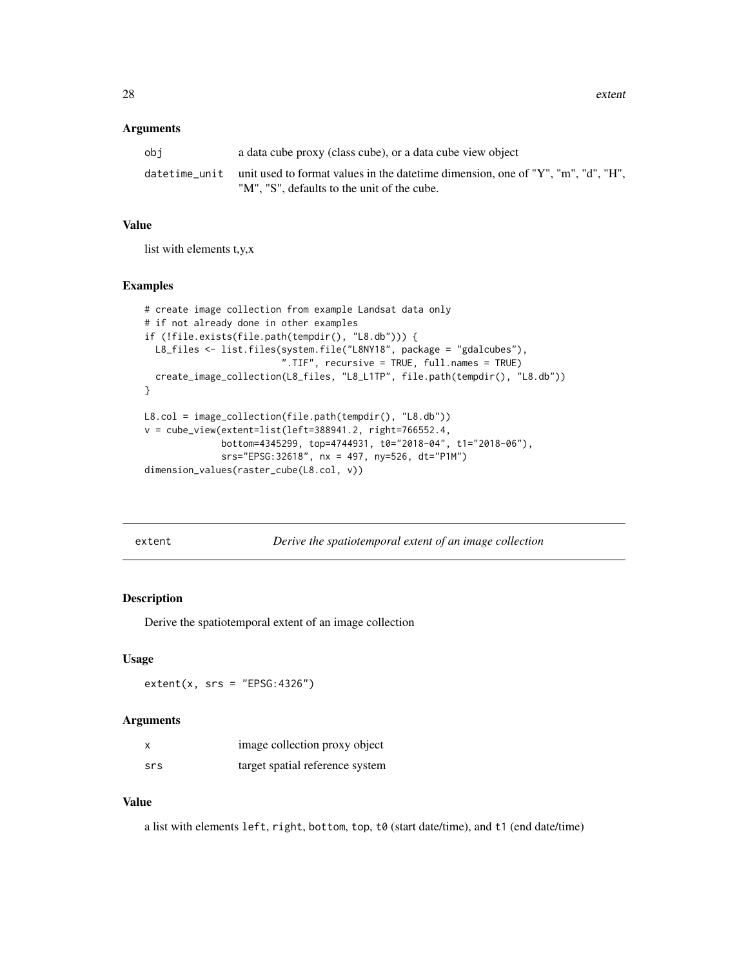<span id="page-27-0"></span>28 extent

#### Arguments

| obi | a data cube proxy (class cube), or a data cube view object                                     |
|-----|------------------------------------------------------------------------------------------------|
|     | datetime_unit unit used to format values in the datetime dimension, one of "Y", "m", "d", "H", |
|     | "M", "S", defaults to the unit of the cube.                                                    |

#### Value

list with elements t,y,x

# Examples

```
# create image collection from example Landsat data only
# if not already done in other examples
if (!file.exists(file.path(tempdir(), "L8.db"))) {
 L8_files <- list.files(system.file("L8NY18", package = "gdalcubes"),
                         ".TIF", recursive = TRUE, full.names = TRUE)
  create_image_collection(L8_files, "L8_L1TP", file.path(tempdir(), "L8.db"))
}
L8.col = image_collection(file.path(tempdir(), "L8.db"))
v = cube_view(extent=list(left=388941.2, right=766552.4,
              bottom=4345299, top=4744931, t0="2018-04", t1="2018-06"),
              srs="EPSG:32618", nx = 497, ny=526, dt="P1M")
dimension_values(raster_cube(L8.col, v))
```
<span id="page-27-1"></span>extent *Derive the spatiotemporal extent of an image collection*

# Description

Derive the spatiotemporal extent of an image collection

# Usage

 $extent(x, srs = "EPSG:4326")$ 

# Arguments

|     | image collection proxy object   |
|-----|---------------------------------|
| srs | target spatial reference system |

# Value

a list with elements left, right, bottom, top, t0 (start date/time), and t1 (end date/time)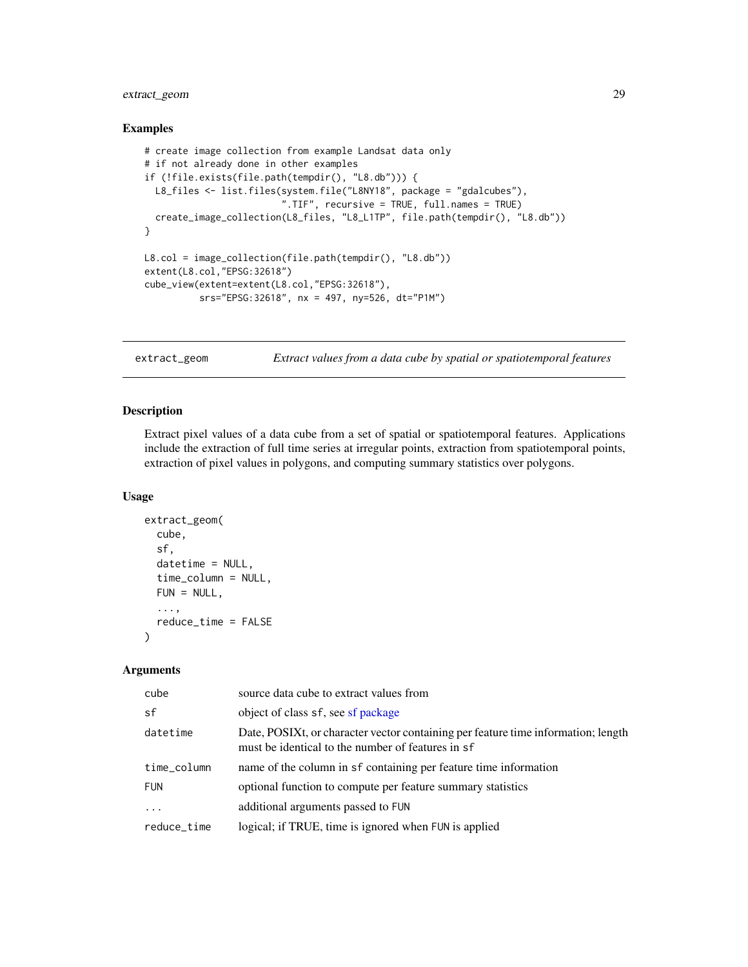# <span id="page-28-0"></span>extract\_geom 29

# Examples

```
# create image collection from example Landsat data only
# if not already done in other examples
if (!file.exists(file.path(tempdir(), "L8.db"))) {
  L8_files <- list.files(system.file("L8NY18", package = "gdalcubes"),
                         ".TIF", recursive = TRUE, full.names = TRUE)
  create_image_collection(L8_files, "L8_L1TP", file.path(tempdir(), "L8.db"))
}
L8.col = image_collection(file.path(tempdir(), "L8.db"))
extent(L8.col,"EPSG:32618")
cube_view(extent=extent(L8.col,"EPSG:32618"),
         srs="EPSG:32618", nx = 497, ny=526, dt="P1M")
```
extract\_geom *Extract values from a data cube by spatial or spatiotemporal features*

#### Description

Extract pixel values of a data cube from a set of spatial or spatiotemporal features. Applications include the extraction of full time series at irregular points, extraction from spatiotemporal points, extraction of pixel values in polygons, and computing summary statistics over polygons.

# Usage

```
extract_geom(
  cube,
  sf,
  datetime = NULL,
  time_column = NULL,
  FUN = NULL,...,
  reduce_time = FALSE
\lambda
```
#### Arguments

| cube        | source data cube to extract values from                                                                                                |
|-------------|----------------------------------------------------------------------------------------------------------------------------------------|
| sf          | object of class sf, see sf package                                                                                                     |
| datetime    | Date, POSIXt, or character vector containing per feature time information; length<br>must be identical to the number of features in sf |
| time_column | name of the column in sf containing per feature time information                                                                       |
| <b>FUN</b>  | optional function to compute per feature summary statistics                                                                            |
|             | additional arguments passed to FUN                                                                                                     |
| reduce_time | logical; if TRUE, time is ignored when FUN is applied                                                                                  |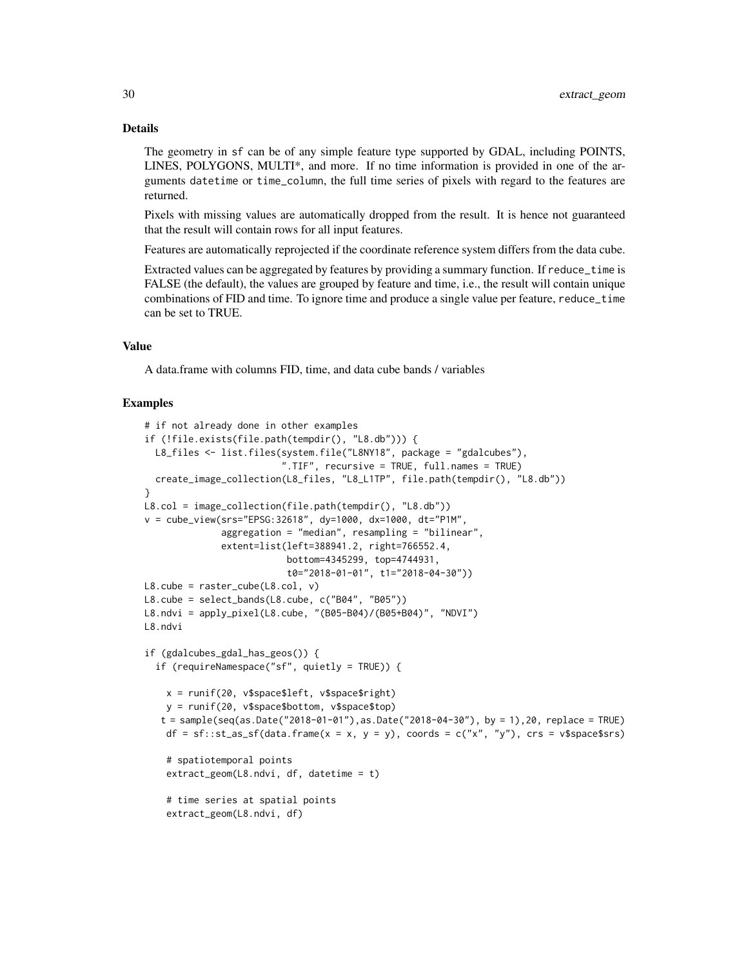#### Details

The geometry in sf can be of any simple feature type supported by GDAL, including POINTS, LINES, POLYGONS, MULTI\*, and more. If no time information is provided in one of the arguments datetime or time\_column, the full time series of pixels with regard to the features are returned.

Pixels with missing values are automatically dropped from the result. It is hence not guaranteed that the result will contain rows for all input features.

Features are automatically reprojected if the coordinate reference system differs from the data cube.

Extracted values can be aggregated by features by providing a summary function. If reduce\_time is FALSE (the default), the values are grouped by feature and time, i.e., the result will contain unique combinations of FID and time. To ignore time and produce a single value per feature, reduce\_time can be set to TRUE.

# Value

A data.frame with columns FID, time, and data cube bands / variables

```
# if not already done in other examples
if (!file.exists(file.path(tempdir(), "L8.db"))) {
  L8_files <- list.files(system.file("L8NY18", package = "gdalcubes"),
                          ".TIF", recursive = TRUE, full.names = TRUE)
  create_image_collection(L8_files, "L8_L1TP", file.path(tempdir(), "L8.db"))
}
L8.col = image_collection(file.path(tempdir(), "L8.db"))
v = cube_view(srs="EPSG:32618", dy=1000, dx=1000, dt="P1M",
              aggregation = "median", resampling = "bilinear",
              extent=list(left=388941.2, right=766552.4,
                           bottom=4345299, top=4744931,
                           t0="2018-01-01", t1="2018-04-30"))
L8.\text{cube} = \text{raster\_cube}(L8.\text{col}, \text{v})L8.cube = select_bands(L8.cube, c("B04", "B05"))
L8.ndvi = apply_pixel(L8.cube, "(B05-B04)/(B05+B04)", "NDVI")
L8.ndvi
if (gdalcubes_gdal_has_geos()) {
  if (requireNamespace("sf", quietly = TRUE)) {
    x = runif(20, v$space$left, v$space$right)
   y = runif(20, v$space$bottom, v$space$top)
   t = sample(seq(as.Date("2018-01-01"), as.Date("2018-04-30"), by = 1),20, replace = TRUE)df = sf::st_as_sf(data.frame(x = x, y = y), coords = c("x", "y"), crs = v$spaces# spatiotemporal points
    extract_geom(L8.ndvi, df, datetime = t)
    # time series at spatial points
    extract_geom(L8.ndvi, df)
```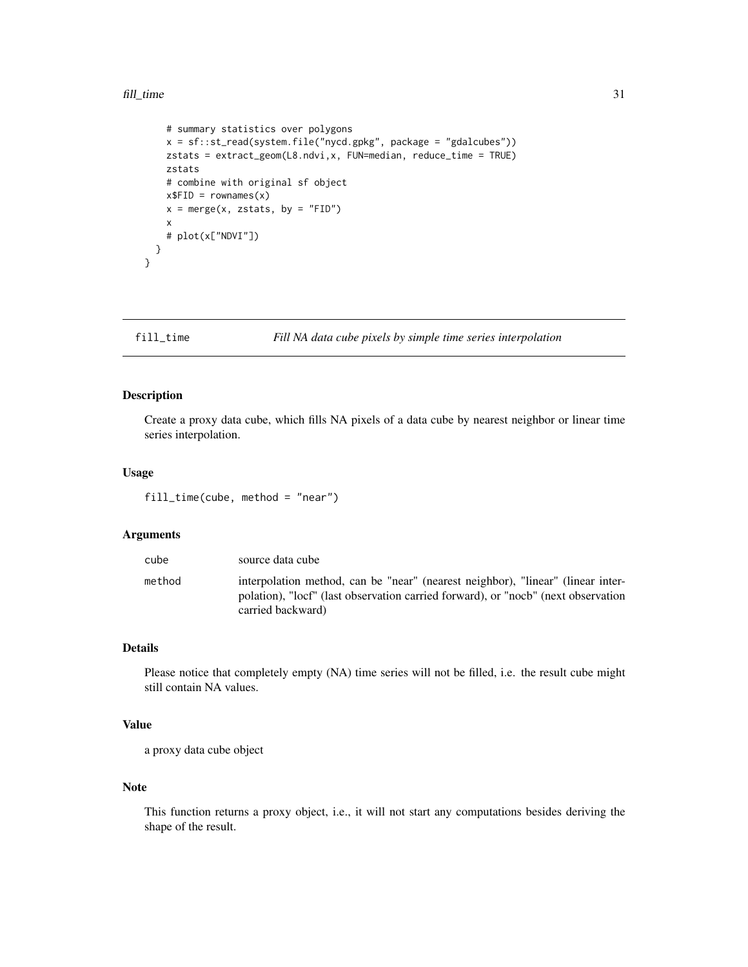```
# summary statistics over polygons
  x = sf::st_read(system.file("nycd.gpkg", package = "gdalcubes"))
 zstats = extract_geom(L8.ndvi,x, FUN=median, reduce_time = TRUE)
 zstats
  # combine with original sf object
 x$FID = rownames(x)x = merge(x, zstats, by = "FID")x
  # plot(x["NDVI"])
}
```
}

# fill\_time *Fill NA data cube pixels by simple time series interpolation*

# Description

Create a proxy data cube, which fills NA pixels of a data cube by nearest neighbor or linear time series interpolation.

# Usage

fill\_time(cube, method = "near")

#### Arguments

| cube   | source data cube                                                                                                                                                                          |
|--------|-------------------------------------------------------------------------------------------------------------------------------------------------------------------------------------------|
| method | interpolation method, can be "near" (nearest neighbor), "linear" (linear inter-<br>polation), "locf" (last observation carried forward), or "nocb" (next observation<br>carried backward) |

# Details

Please notice that completely empty (NA) time series will not be filled, i.e. the result cube might still contain NA values.

# Value

a proxy data cube object

# Note

This function returns a proxy object, i.e., it will not start any computations besides deriving the shape of the result.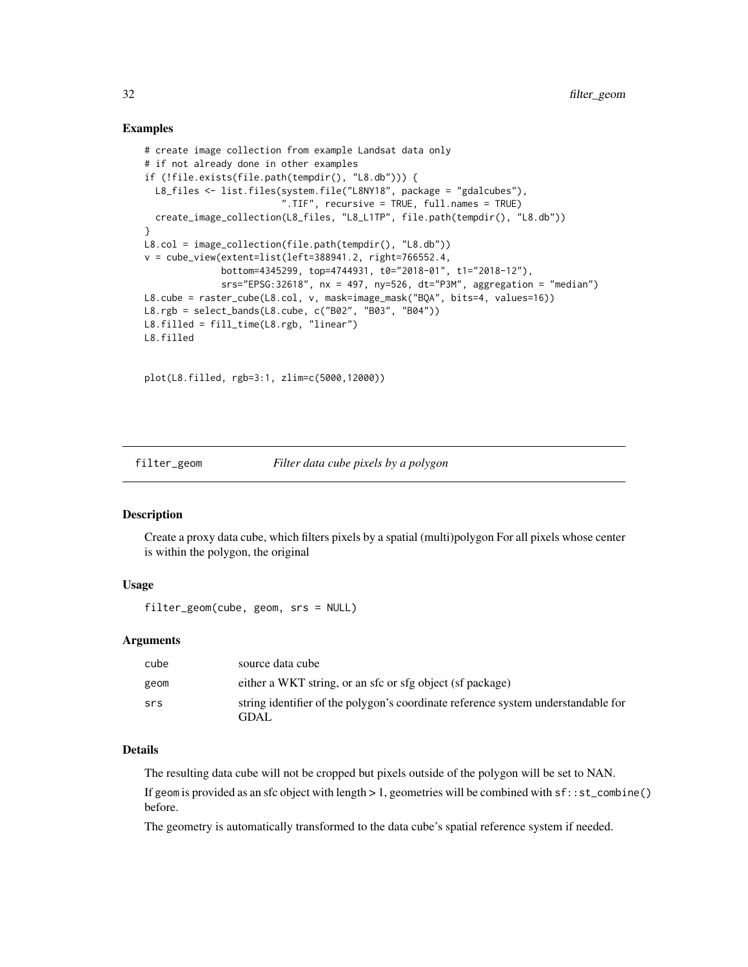# Examples

```
# create image collection from example Landsat data only
# if not already done in other examples
if (!file.exists(file.path(tempdir(), "L8.db"))) {
  L8_files <- list.files(system.file("L8NY18", package = "gdalcubes"),
                         ".TIF", recursive = TRUE, full.names = TRUE)
  create_image_collection(L8_files, "L8_L1TP", file.path(tempdir(), "L8.db"))
}
L8.col = image_collection(file.path(tempdir(), "L8.db"))
v = cube\_view(extent=list(left=388941.2, right=766552.4,bottom=4345299, top=4744931, t0="2018-01", t1="2018-12"),
              srs="EPSG:32618", nx = 497, ny=526, dt="P3M", aggregation = "median")
L8.cube = raster_cube(L8.col, v, mask=image_mask("BQA", bits=4, values=16))
L8.rgb = select_bands(L8.cube, c("B02", "B03", "B04"))
L8.filled = fill_time(L8.rgb, "linear")
L8.filled
```
plot(L8.filled, rgb=3:1, zlim=c(5000,12000))

# filter\_geom *Filter data cube pixels by a polygon*

# Description

Create a proxy data cube, which filters pixels by a spatial (multi)polygon For all pixels whose center is within the polygon, the original

# Usage

```
filter_geom(cube, geom, srs = NULL)
```
#### Arguments

| cube | source data cube                                                                  |
|------|-----------------------------------------------------------------------------------|
| geom | either a WKT string, or an sfc or sfg object (sf package)                         |
| srs  | string identifier of the polygon's coordinate reference system understandable for |
|      | GDAL.                                                                             |

#### Details

The resulting data cube will not be cropped but pixels outside of the polygon will be set to NAN.

If geom is provided as an sfc object with length  $> 1$ , geometries will be combined with  $sf::st\_combine()$ before.

The geometry is automatically transformed to the data cube's spatial reference system if needed.

<span id="page-31-0"></span>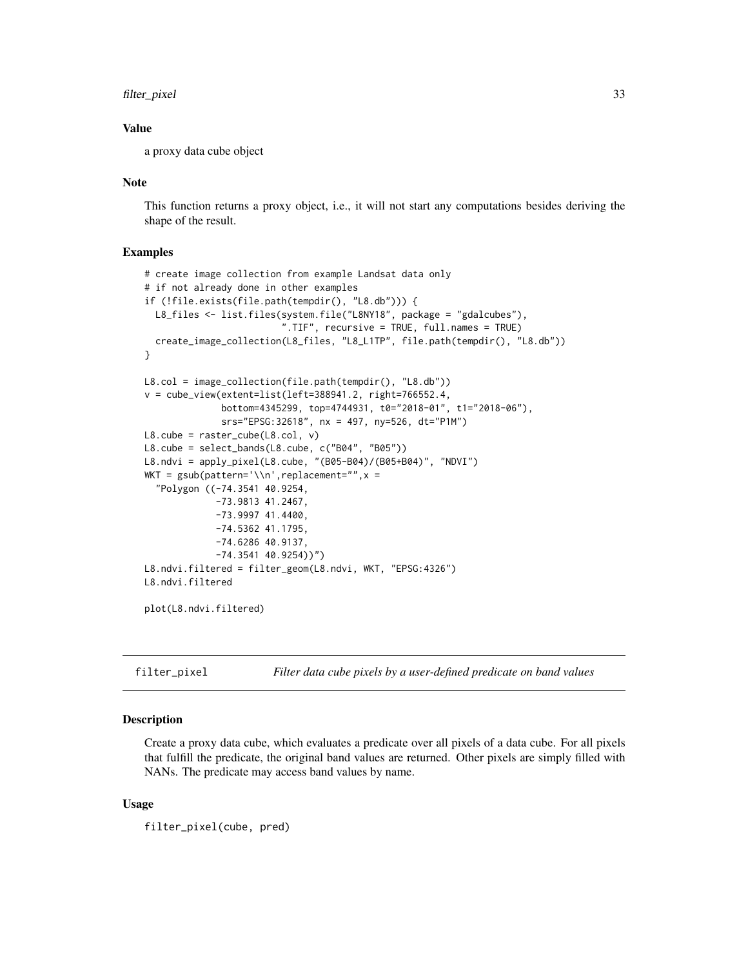# <span id="page-32-0"></span>filter\_pixel 33

# Value

a proxy data cube object

# Note

This function returns a proxy object, i.e., it will not start any computations besides deriving the shape of the result.

# Examples

```
# create image collection from example Landsat data only
# if not already done in other examples
if (!file.exists(file.path(tempdir(), "L8.db"))) {
  L8_files <- list.files(system.file("L8NY18", package = "gdalcubes"),
                          ".TIF", recursive = TRUE, full.names = TRUE)
  create_image_collection(L8_files, "L8_L1TP", file.path(tempdir(), "L8.db"))
}
L8.col = image_collection(file.path(tempdir(), "L8.db"))
v = cube_view(extent=list(left=388941.2, right=766552.4,
              bottom=4345299, top=4744931, t0="2018-01", t1="2018-06"),
              srs="EPSG:32618", nx = 497, ny=526, dt="P1M")
L8.\text{cube} = \text{raster\_cube}(L8.\text{col}, \text{v})L8.cube = select_bands(L8.cube, c("B04", "B05"))
L8.ndvi = apply_pixel(L8.cube, "(B05-B04)/(B05+B04)", "NDVI")
WKT = gsub(pattern='\\n',replacement="", x ="Polygon ((-74.3541 40.9254,
             -73.9813 41.2467,
             -73.9997 41.4400,
             -74.5362 41.1795,
             -74.6286 40.9137,
             -74.3541 40.9254))")
L8.ndvi.filtered = filter_geom(L8.ndvi, WKT, "EPSG:4326")
L8.ndvi.filtered
plot(L8.ndvi.filtered)
```
filter\_pixel *Filter data cube pixels by a user-defined predicate on band values*

#### Description

Create a proxy data cube, which evaluates a predicate over all pixels of a data cube. For all pixels that fulfill the predicate, the original band values are returned. Other pixels are simply filled with NANs. The predicate may access band values by name.

# Usage

filter\_pixel(cube, pred)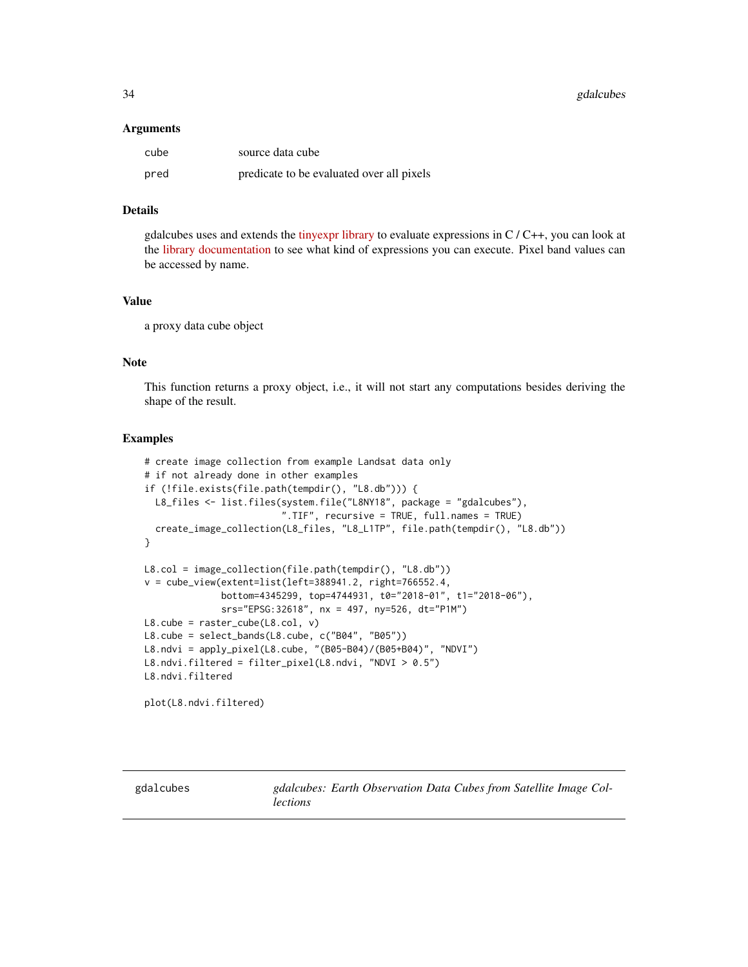<span id="page-33-0"></span>34 gdalcubes

#### Arguments

| cube | source data cube                          |
|------|-------------------------------------------|
| pred | predicate to be evaluated over all pixels |

# Details

gdalcubes uses and extends the [tinyexpr library](https://github.com/codeplea/tinyexpr) to evaluate expressions in  $C/C++$ , you can look at the [library documentation](https://github.com/codeplea/tinyexpr#functions-supported) to see what kind of expressions you can execute. Pixel band values can be accessed by name.

# Value

a proxy data cube object

# Note

This function returns a proxy object, i.e., it will not start any computations besides deriving the shape of the result.

#### Examples

```
# create image collection from example Landsat data only
# if not already done in other examples
if (!file.exists(file.path(tempdir(), "L8.db"))) {
  L8_files <- list.files(system.file("L8NY18", package = "gdalcubes"),
                         ".TIF", recursive = TRUE, full.names = TRUE)
  create_image_collection(L8_files, "L8_L1TP", file.path(tempdir(), "L8.db"))
}
L8.col = image_collection(file.path(tempdir(), "L8.db"))
v = cube_view(extent=list(left=388941.2, right=766552.4,
              bottom=4345299, top=4744931, t0="2018-01", t1="2018-06"),
              srs="EPSG:32618", nx = 497, ny=526, dt="P1M")
L8.cube = raster_cube(L8.col, v)
L8.cube = select_bands(L8.cube, c("B04", "B05"))
L8.ndvi = apply_pixel(L8.cube, "(B05-B04)/(B05+B04)", "NDVI")
L8.ndvi.filtered = filter_pixel(L8.ndvi, "NDVI > 0.5")
L8.ndvi.filtered
plot(L8.ndvi.filtered)
```
gdalcubes *gdalcubes: Earth Observation Data Cubes from Satellite Image Collections*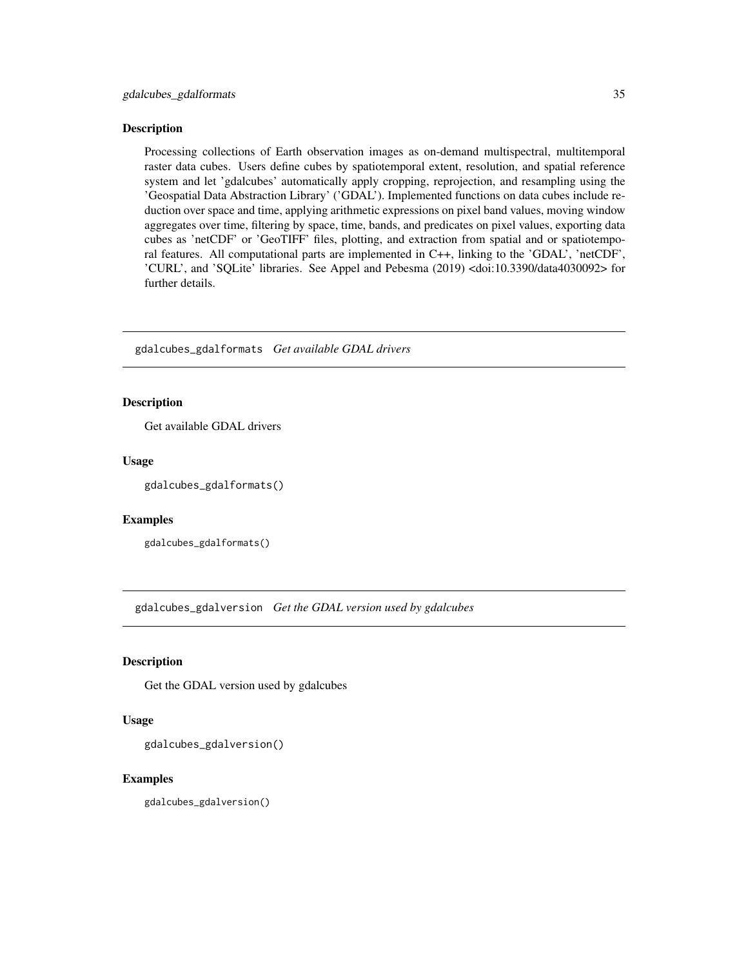<span id="page-34-0"></span>Processing collections of Earth observation images as on-demand multispectral, multitemporal raster data cubes. Users define cubes by spatiotemporal extent, resolution, and spatial reference system and let 'gdalcubes' automatically apply cropping, reprojection, and resampling using the 'Geospatial Data Abstraction Library' ('GDAL'). Implemented functions on data cubes include reduction over space and time, applying arithmetic expressions on pixel band values, moving window aggregates over time, filtering by space, time, bands, and predicates on pixel values, exporting data cubes as 'netCDF' or 'GeoTIFF' files, plotting, and extraction from spatial and or spatiotemporal features. All computational parts are implemented in C++, linking to the 'GDAL', 'netCDF', 'CURL', and 'SQLite' libraries. See Appel and Pebesma (2019) <doi:10.3390/data4030092> for further details.

gdalcubes\_gdalformats *Get available GDAL drivers*

# Description

Get available GDAL drivers

# Usage

gdalcubes\_gdalformats()

#### Examples

gdalcubes\_gdalformats()

gdalcubes\_gdalversion *Get the GDAL version used by gdalcubes*

# Description

Get the GDAL version used by gdalcubes

# Usage

gdalcubes\_gdalversion()

# Examples

gdalcubes\_gdalversion()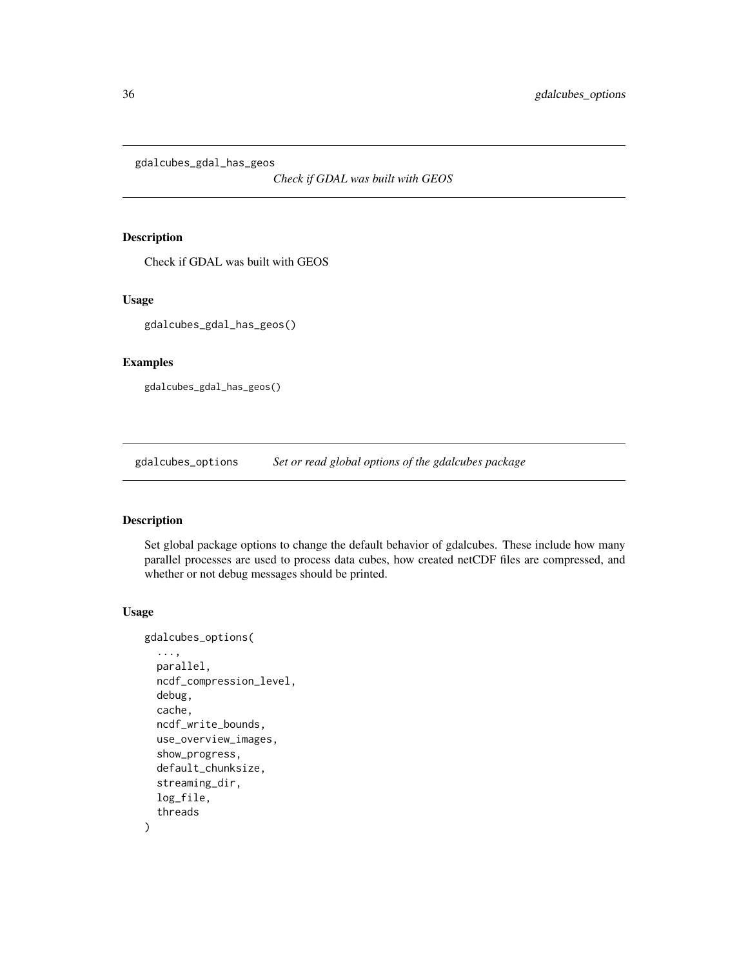<span id="page-35-0"></span>gdalcubes\_gdal\_has\_geos

*Check if GDAL was built with GEOS*

# Description

Check if GDAL was built with GEOS

# Usage

```
gdalcubes_gdal_has_geos()
```
# Examples

gdalcubes\_gdal\_has\_geos()

gdalcubes\_options *Set or read global options of the gdalcubes package*

# Description

Set global package options to change the default behavior of gdalcubes. These include how many parallel processes are used to process data cubes, how created netCDF files are compressed, and whether or not debug messages should be printed.

#### Usage

```
gdalcubes_options(
  ...,
 parallel,
 ncdf_compression_level,
  debug,
  cache,
  ncdf_write_bounds,
  use_overview_images,
  show_progress,
  default_chunksize,
  streaming_dir,
  log_file,
  threads
)
```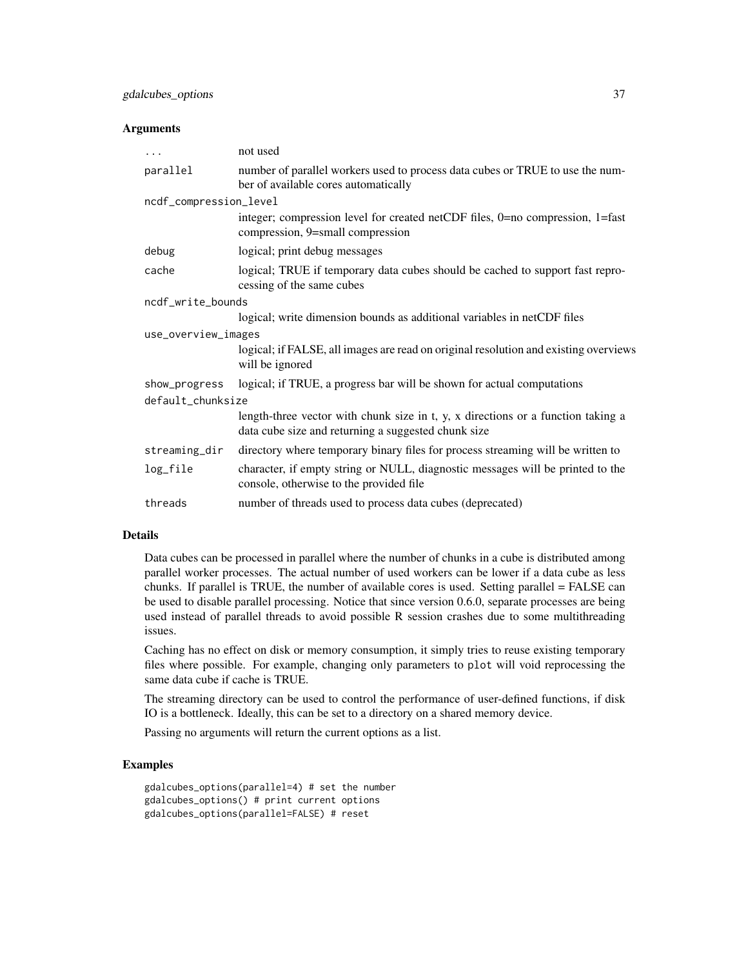#### Arguments

| $\cdots$               | not used                                                                                                                                |  |
|------------------------|-----------------------------------------------------------------------------------------------------------------------------------------|--|
| parallel               | number of parallel workers used to process data cubes or TRUE to use the num-<br>ber of available cores automatically                   |  |
| ncdf_compression_level |                                                                                                                                         |  |
|                        | integer; compression level for created netCDF files, 0=no compression, 1=fast<br>compression, 9=small compression                       |  |
| debug                  | logical; print debug messages                                                                                                           |  |
| cache                  | logical; TRUE if temporary data cubes should be cached to support fast repro-<br>cessing of the same cubes                              |  |
| ncdf_write_bounds      |                                                                                                                                         |  |
|                        | logical; write dimension bounds as additional variables in netCDF files                                                                 |  |
| use_overview_images    |                                                                                                                                         |  |
|                        | logical; if FALSE, all images are read on original resolution and existing overviews<br>will be ignored                                 |  |
| show_progress          | logical; if TRUE, a progress bar will be shown for actual computations                                                                  |  |
| default_chunksize      |                                                                                                                                         |  |
|                        | length-three vector with chunk size in t, y, x directions or a function taking a<br>data cube size and returning a suggested chunk size |  |
| streaming_dir          | directory where temporary binary files for process streaming will be written to                                                         |  |
| log_file               | character, if empty string or NULL, diagnostic messages will be printed to the<br>console, otherwise to the provided file               |  |
| threads                | number of threads used to process data cubes (deprecated)                                                                               |  |

#### Details

Data cubes can be processed in parallel where the number of chunks in a cube is distributed among parallel worker processes. The actual number of used workers can be lower if a data cube as less chunks. If parallel is TRUE, the number of available cores is used. Setting parallel = FALSE can be used to disable parallel processing. Notice that since version 0.6.0, separate processes are being used instead of parallel threads to avoid possible R session crashes due to some multithreading issues.

Caching has no effect on disk or memory consumption, it simply tries to reuse existing temporary files where possible. For example, changing only parameters to plot will void reprocessing the same data cube if cache is TRUE.

The streaming directory can be used to control the performance of user-defined functions, if disk IO is a bottleneck. Ideally, this can be set to a directory on a shared memory device.

Passing no arguments will return the current options as a list.

```
gdalcubes_options(parallel=4) # set the number
gdalcubes_options() # print current options
gdalcubes_options(parallel=FALSE) # reset
```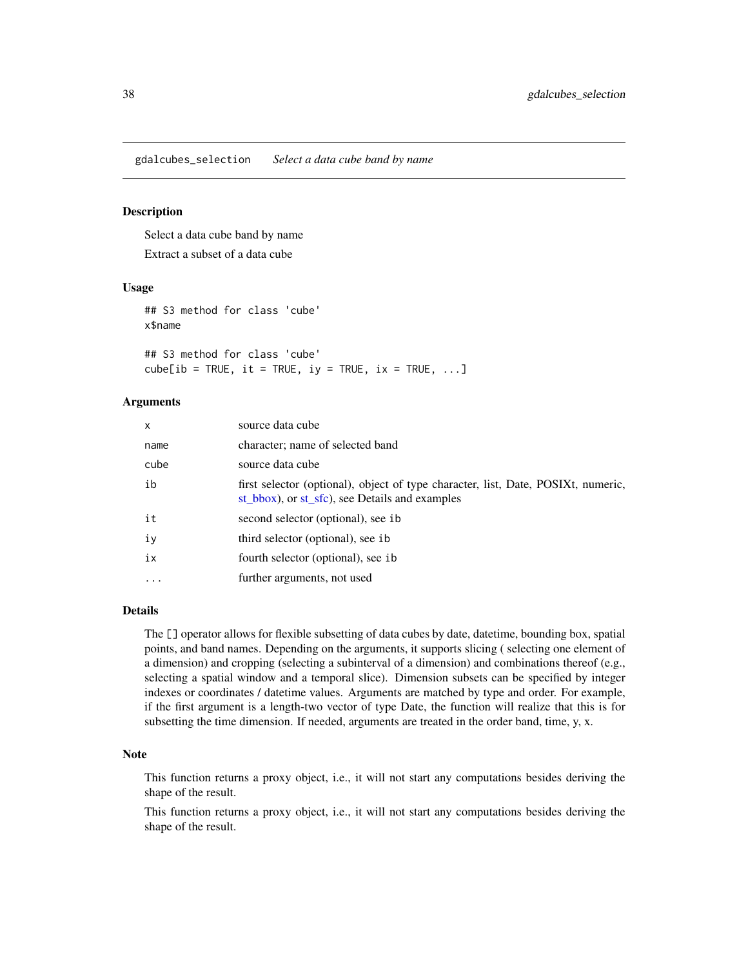gdalcubes\_selection *Select a data cube band by name*

### Description

Select a data cube band by name

Extract a subset of a data cube

# Usage

## S3 method for class 'cube' x\$name

## S3 method for class 'cube'  $cube[ib = TRUE, it = TRUE, iy = TRUE, ix = TRUE, ...]$ 

# Arguments

| $\mathsf{x}$ | source data cube                                                                                                                    |
|--------------|-------------------------------------------------------------------------------------------------------------------------------------|
| name         | character; name of selected band                                                                                                    |
| cube         | source data cube                                                                                                                    |
| ib           | first selector (optional), object of type character, list, Date, POSIXt, numeric,<br>st bbox), or st sfc), see Details and examples |
| it           | second selector (optional), see ib                                                                                                  |
| iy           | third selector (optional), see ib                                                                                                   |
| ix           | fourth selector (optional), see ib                                                                                                  |
| .            | further arguments, not used                                                                                                         |

# Details

The [] operator allows for flexible subsetting of data cubes by date, datetime, bounding box, spatial points, and band names. Depending on the arguments, it supports slicing ( selecting one element of a dimension) and cropping (selecting a subinterval of a dimension) and combinations thereof (e.g., selecting a spatial window and a temporal slice). Dimension subsets can be specified by integer indexes or coordinates / datetime values. Arguments are matched by type and order. For example, if the first argument is a length-two vector of type Date, the function will realize that this is for subsetting the time dimension. If needed, arguments are treated in the order band, time, y, x.

### Note

This function returns a proxy object, i.e., it will not start any computations besides deriving the shape of the result.

This function returns a proxy object, i.e., it will not start any computations besides deriving the shape of the result.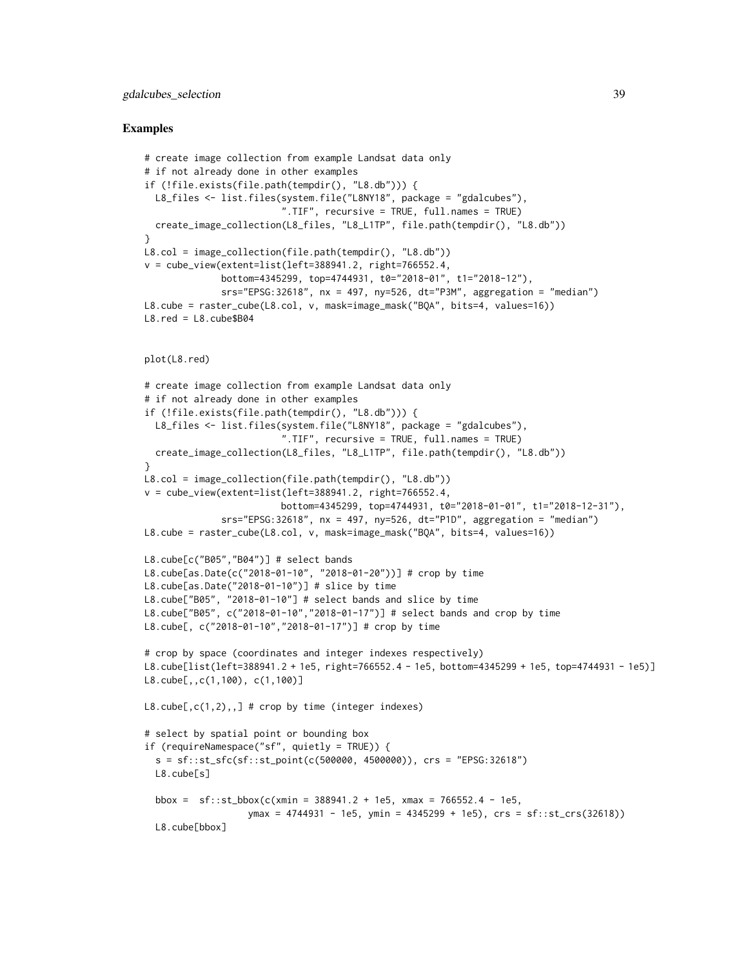# gdalcubes\_selection 39

```
# create image collection from example Landsat data only
# if not already done in other examples
if (!file.exists(file.path(tempdir(), "L8.db"))) {
  L8_files <- list.files(system.file("L8NY18", package = "gdalcubes"),
                         ".TIF", recursive = TRUE, full.names = TRUE)
 create_image_collection(L8_files, "L8_L1TP", file.path(tempdir(), "L8.db"))
}
L8.col = image_collection(file.path(tempdir(), "L8.db"))
v = cube\_view(extent=list(left=388941.2, right=766552.4,bottom=4345299, top=4744931, t0="2018-01", t1="2018-12"),
              srs="EPSG:32618", nx = 497, ny=526, dt="P3M", aggregation = "median")
L8.cube = raster_cube(L8.col, v, mask=image_mask("BQA", bits=4, values=16))
L8.red = L8.cube$B04
plot(L8.red)
# create image collection from example Landsat data only
# if not already done in other examples
if (!file.exists(file.path(tempdir(), "L8.db"))) {
 L8_files <- list.files(system.file("L8NY18", package = "gdalcubes"),
                         ".TIF", recursive = TRUE, full.names = TRUE)
 create_image_collection(L8_files, "L8_L1TP", file.path(tempdir(), "L8.db"))
}
L8.col = image_collection(file.path(tempdir(), "L8.db"))
v = cube\_view(extent=list(left=388941.2, right=766552.4,bottom=4345299, top=4744931, t0="2018-01-01", t1="2018-12-31"),
              srs="EPSG:32618", nx = 497, ny=526, dt="P1D", aggregation = "median")
L8.cube = raster_cube(L8.col, v, mask=image_mask("BQA", bits=4, values=16))
L8.cube[c("B05","B04")] # select bands
L8.cube[as.Date(c("2018-01-10", "2018-01-20"))] # crop by time
L8.cube[as.Date("2018-01-10")] # slice by time
L8.cube["B05", "2018-01-10"] # select bands and slice by time
L8.cube["B05", c("2018-01-10","2018-01-17")] # select bands and crop by time
L8.cube[, c("2018-01-10","2018-01-17")] # crop by time
# crop by space (coordinates and integer indexes respectively)
L8.cube[list(left=388941.2 + 1e5, right=766552.4 - 1e5, bottom=4345299 + 1e5, top=4744931 - 1e5)]
L8.cube[,,c(1,100), c(1,100)]
L8.\text{cube}, c(1,2),,] # crop by time (integer indexes)
# select by spatial point or bounding box
if (requireNamespace("sf", quietly = TRUE)) {
  s = sf::st_sfc(sf::st_point(c(500000, 4500000)), crs = "EPSG:32618")
  L8.cube[s]
  bbox = sf::st_bbox(c(xmin = 388941.2 + 1e5, xmax = 766552.4 - 1e5,ymax = 4744931 - 1e5, ymin = 4345299 + 1e5), crs = sf::st_crs(32618))
  L8.cube[bbox]
```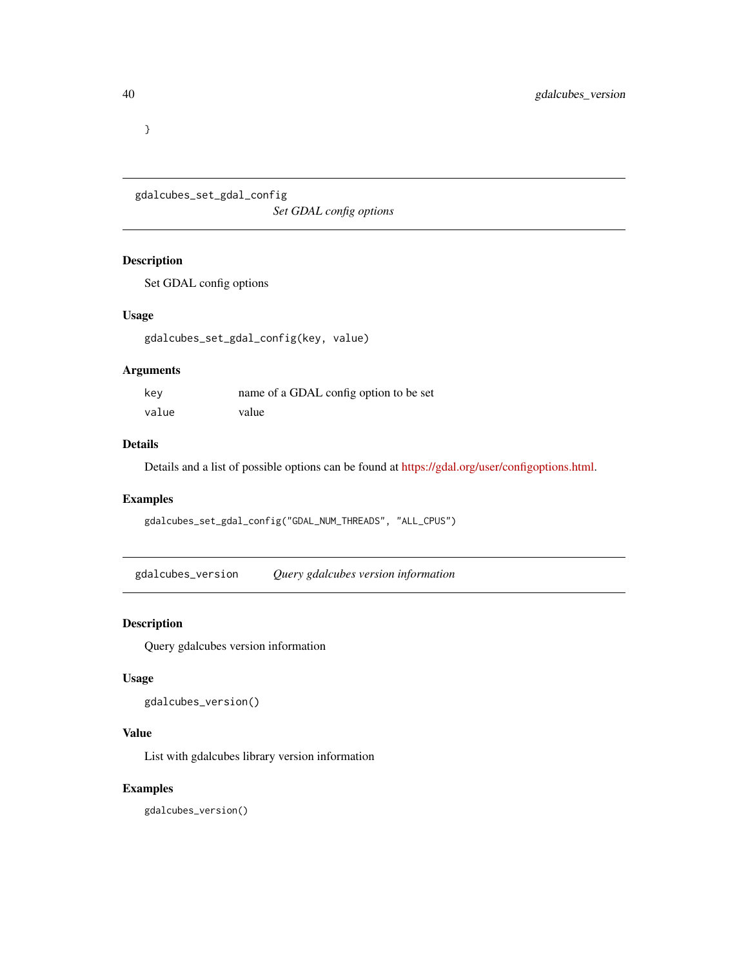}

gdalcubes\_set\_gdal\_config *Set GDAL config options*

# Description

Set GDAL config options

# Usage

```
gdalcubes_set_gdal_config(key, value)
```
# Arguments

| key   | name of a GDAL config option to be set |
|-------|----------------------------------------|
| value | value                                  |

# Details

Details and a list of possible options can be found at [https://gdal.org/user/configoptions.html.](https://gdal.org/user/configoptions.html)

# Examples

gdalcubes\_set\_gdal\_config("GDAL\_NUM\_THREADS", "ALL\_CPUS")

gdalcubes\_version *Query gdalcubes version information*

# Description

Query gdalcubes version information

# Usage

gdalcubes\_version()

# Value

List with gdalcubes library version information

### Examples

gdalcubes\_version()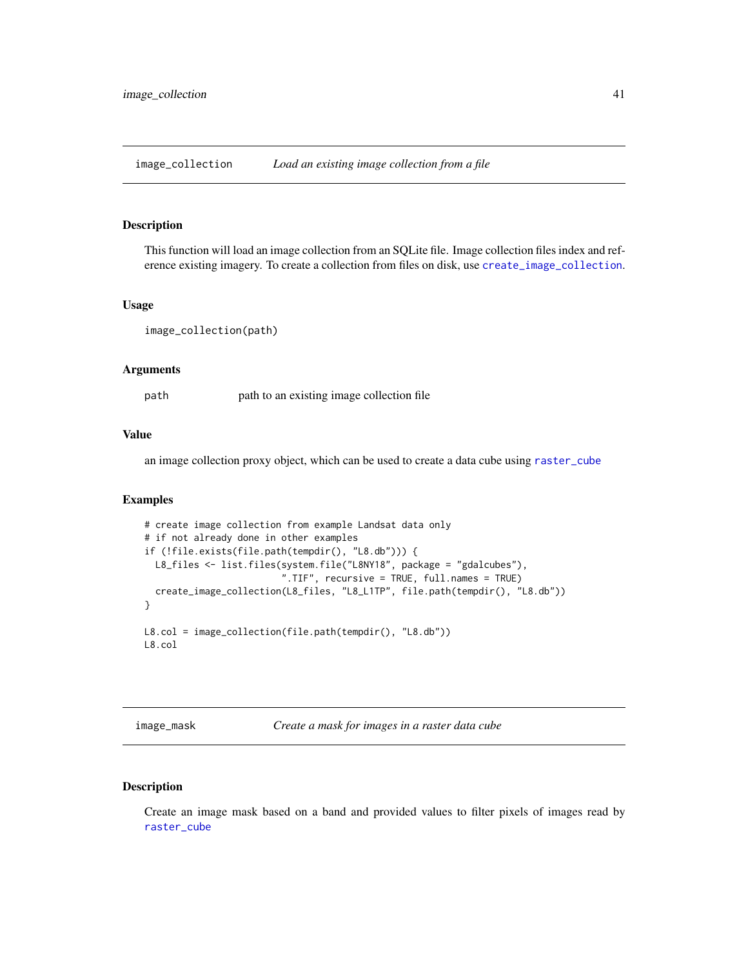image\_collection *Load an existing image collection from a file*

#### Description

This function will load an image collection from an SQLite file. Image collection files index and reference existing imagery. To create a collection from files on disk, use [create\\_image\\_collection](#page-19-0).

#### Usage

image\_collection(path)

### Arguments

path path to an existing image collection file

#### Value

an image collection proxy object, which can be used to create a data cube using [raster\\_cube](#page-55-0)

#### Examples

```
# create image collection from example Landsat data only
# if not already done in other examples
if (!file.exists(file.path(tempdir(), "L8.db"))) {
  L8_files <- list.files(system.file("L8NY18", package = "gdalcubes"),
                         ".TIF", recursive = TRUE, full.names = TRUE)
  create_image_collection(L8_files, "L8_L1TP", file.path(tempdir(), "L8.db"))
}
L8.col = image_collection(file.path(tempdir(), "L8.db"))
L8.col
```
<span id="page-40-0"></span>image\_mask *Create a mask for images in a raster data cube*

# Description

Create an image mask based on a band and provided values to filter pixels of images read by [raster\\_cube](#page-55-0)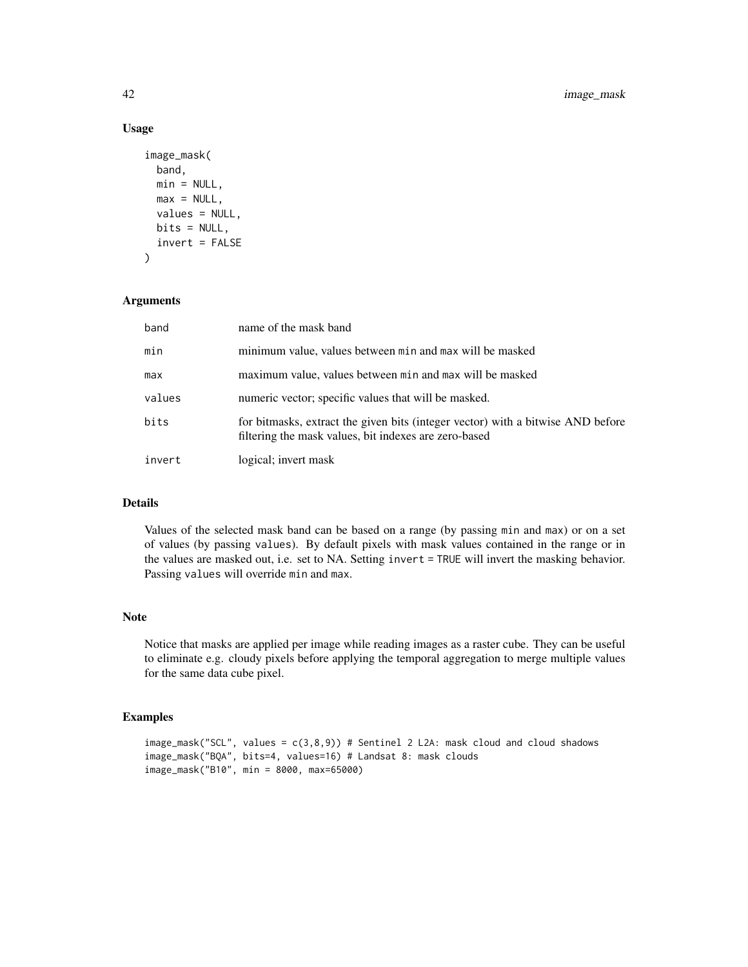# Usage

```
image_mask(
 band,
 min = NULL,
 max = NULL,values = NULL,
 bits = NULL,invert = FALSE
\lambda
```
# Arguments

| band   | name of the mask band                                                                                                                    |
|--------|------------------------------------------------------------------------------------------------------------------------------------------|
| min    | minimum value, values between min and max will be masked                                                                                 |
| max    | maximum value, values between min and max will be masked                                                                                 |
| values | numeric vector; specific values that will be masked.                                                                                     |
| bits   | for bitmasks, extract the given bits (integer vector) with a bitwise AND before<br>filtering the mask values, bit indexes are zero-based |
| invert | logical; invert mask                                                                                                                     |

# Details

Values of the selected mask band can be based on a range (by passing min and max) or on a set of values (by passing values). By default pixels with mask values contained in the range or in the values are masked out, i.e. set to NA. Setting invert = TRUE will invert the masking behavior. Passing values will override min and max.

# Note

Notice that masks are applied per image while reading images as a raster cube. They can be useful to eliminate e.g. cloudy pixels before applying the temporal aggregation to merge multiple values for the same data cube pixel.

```
image_mask("SCL", values = c(3,8,9)) # Sentinel 2 L2A: mask cloud and cloud shadows
image_mask("BQA", bits=4, values=16) # Landsat 8: mask clouds
image_mask("B10", min = 8000, max=65000)
```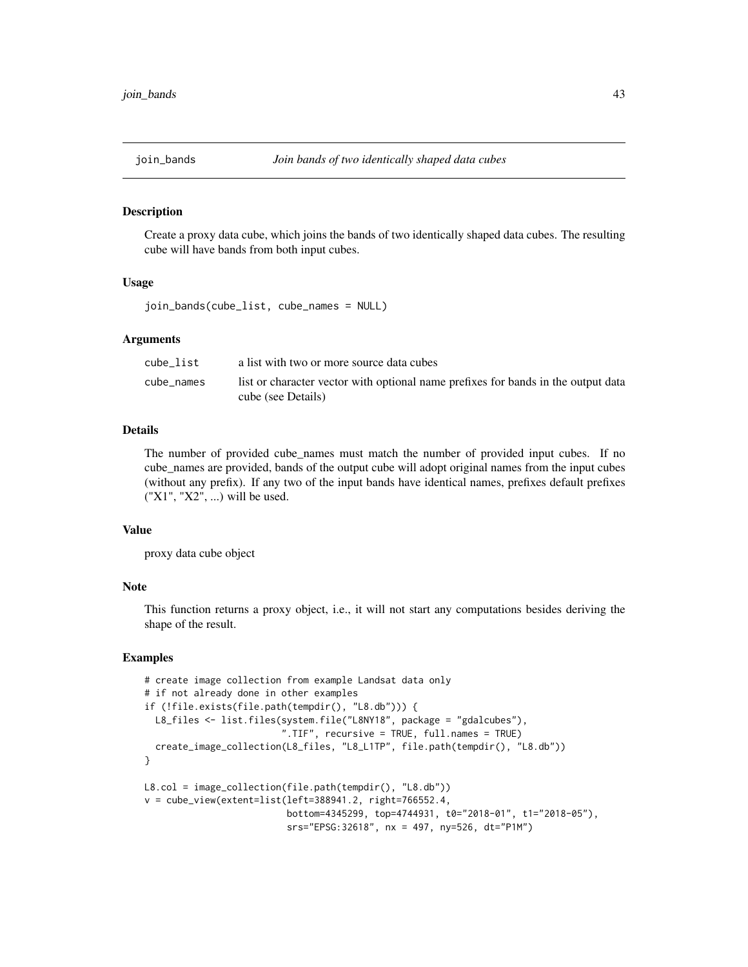### Description

Create a proxy data cube, which joins the bands of two identically shaped data cubes. The resulting cube will have bands from both input cubes.

### Usage

join\_bands(cube\_list, cube\_names = NULL)

### Arguments

| cube list  | a list with two or more source data cubes                                                               |
|------------|---------------------------------------------------------------------------------------------------------|
| cube names | list or character vector with optional name prefixes for bands in the output data<br>cube (see Details) |

# Details

The number of provided cube\_names must match the number of provided input cubes. If no cube\_names are provided, bands of the output cube will adopt original names from the input cubes (without any prefix). If any two of the input bands have identical names, prefixes default prefixes ("X1", "X2", ...) will be used.

### Value

proxy data cube object

### Note

This function returns a proxy object, i.e., it will not start any computations besides deriving the shape of the result.

```
# create image collection from example Landsat data only
# if not already done in other examples
if (!file.exists(file.path(tempdir(), "L8.db"))) {
  L8_files <- list.files(system.file("L8NY18", package = "gdalcubes"),
                         ".TIF", recursive = TRUE, full.names = TRUE)
  create_image_collection(L8_files, "L8_L1TP", file.path(tempdir(), "L8.db"))
}
L8.col = image_collection(file.path(tempdir(), "L8.db"))
v = cube_view(extent=list(left=388941.2, right=766552.4,
                          bottom=4345299, top=4744931, t0="2018-01", t1="2018-05"),
                          srs="EPSG:32618", nx = 497, ny=526, dt="P1M")
```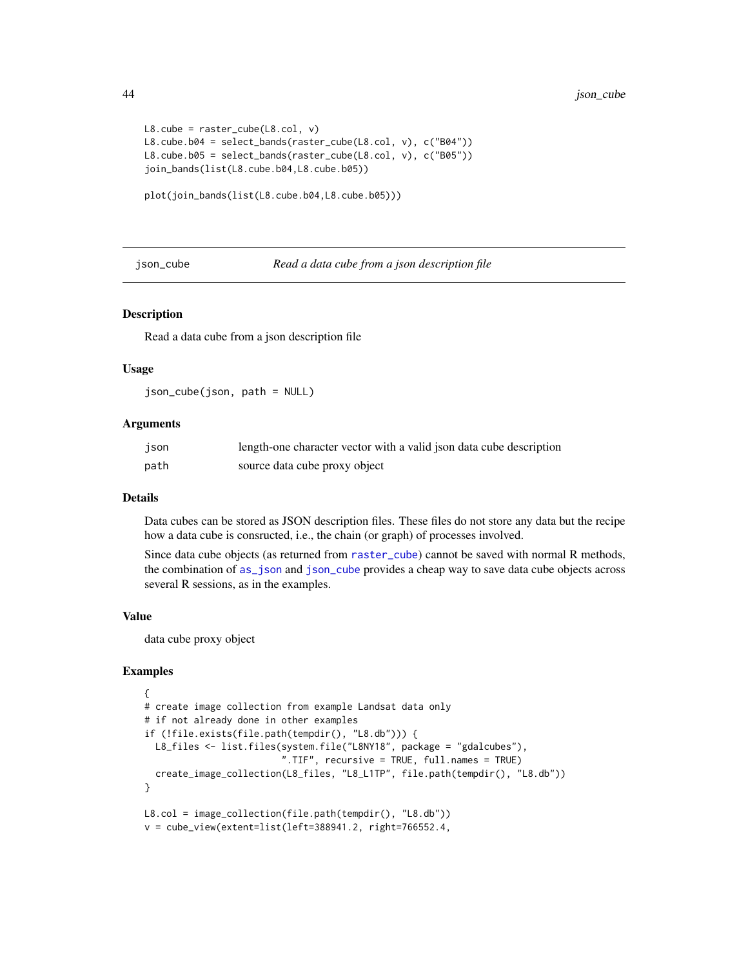```
L8.\text{cube} = \text{raster\_cube}(L8.\text{col}, \text{v})L8.cube.b04 = select_bands(raster_cube(L8.col, v), c("B04"))
L8.cube.b05 = select_bands(raster_cube(L8.col, v), c("B05"))
join_bands(list(L8.cube.b04,L8.cube.b05))
```

```
plot(join_bands(list(L8.cube.b04,L8.cube.b05)))
```
<span id="page-43-0"></span>json\_cube *Read a data cube from a json description file*

### **Description**

Read a data cube from a json description file

# Usage

json\_cube(json, path = NULL)

# Arguments

| json | length-one character vector with a valid json data cube description |
|------|---------------------------------------------------------------------|
| path | source data cube proxy object                                       |

# Details

Data cubes can be stored as JSON description files. These files do not store any data but the recipe how a data cube is consructed, i.e., the chain (or graph) of processes involved.

Since data cube objects (as returned from [raster\\_cube](#page-55-0)) cannot be saved with normal R methods, the combination of [as\\_json](#page-15-0) and [json\\_cube](#page-43-0) provides a cheap way to save data cube objects across several R sessions, as in the examples.

#### Value

data cube proxy object

```
{
# create image collection from example Landsat data only
# if not already done in other examples
if (!file.exists(file.path(tempdir(), "L8.db"))) {
  L8_files <- list.files(system.file("L8NY18", package = "gdalcubes"),
                         ".TIF", recursive = TRUE, full.names = TRUE)
  create_image_collection(L8_files, "L8_L1TP", file.path(tempdir(), "L8.db"))
}
L8.col = image_collection(file.path(tempdir(), "L8.db"))
v = cube_view(extent=list(left=388941.2, right=766552.4,
```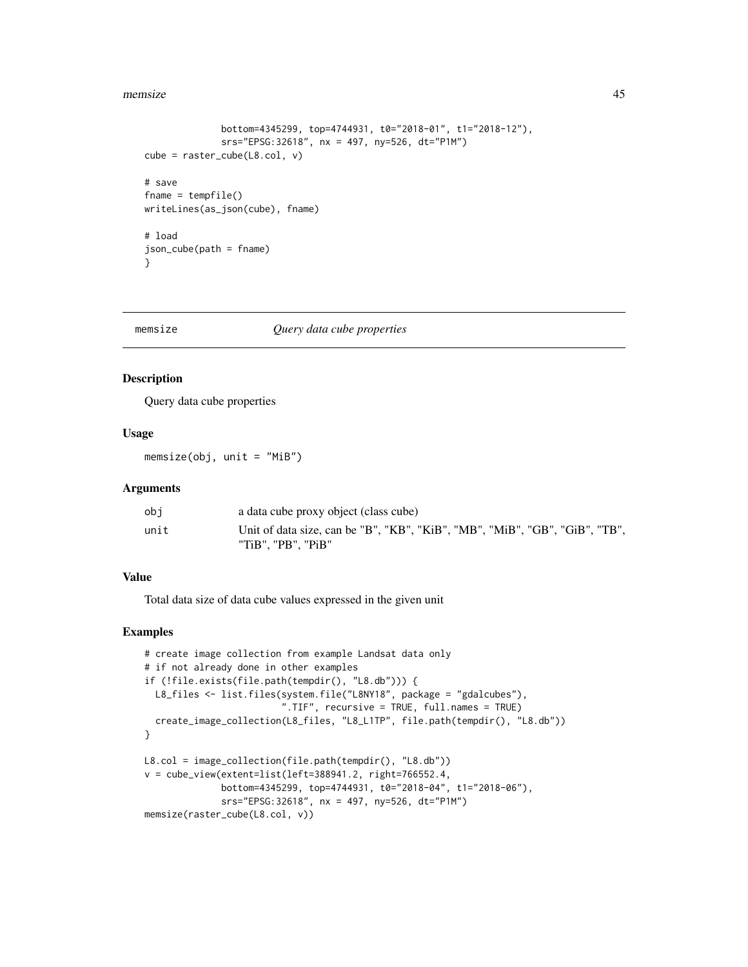#### memsize and the set of the set of the set of the set of the set of the set of the set of the set of the set of the set of the set of the set of the set of the set of the set of the set of the set of the set of the set of t

```
bottom=4345299, top=4744931, t0="2018-01", t1="2018-12"),
              srs="EPSG:32618", nx = 497, ny=526, dt="P1M")
cube = raster_cube(L8.col, v)
# save
fname = tempfile()
writeLines(as_json(cube), fname)
# load
json_cube(path = fname)
}
```
### memsize *Query data cube properties*

#### Description

Query data cube properties

#### Usage

memsize(obj, unit = "MiB")

### Arguments

| ob i | a data cube proxy object (class cube)                                       |
|------|-----------------------------------------------------------------------------|
| unit | Unit of data size, can be "B", "KB", "KiB", "MB", "MiB", "GB", "GiB", "TB", |
|      | "TiB". "PB". "PiB"                                                          |

# Value

Total data size of data cube values expressed in the given unit

```
# create image collection from example Landsat data only
# if not already done in other examples
if (!file.exists(file.path(tempdir(), "L8.db"))) {
  L8_files <- list.files(system.file("L8NY18", package = "gdalcubes"),
                         ".TIF", recursive = TRUE, full.names = TRUE)
  create_image_collection(L8_files, "L8_L1TP", file.path(tempdir(), "L8.db"))
}
L8.col = image_collection(file.path(tempdir(), "L8.db"))
v = cube_view(extent=list(left=388941.2, right=766552.4,
             bottom=4345299, top=4744931, t0="2018-04", t1="2018-06"),
              srs="EPSG:32618", nx = 497, ny=526, dt="P1M")
memsize(raster_cube(L8.col, v))
```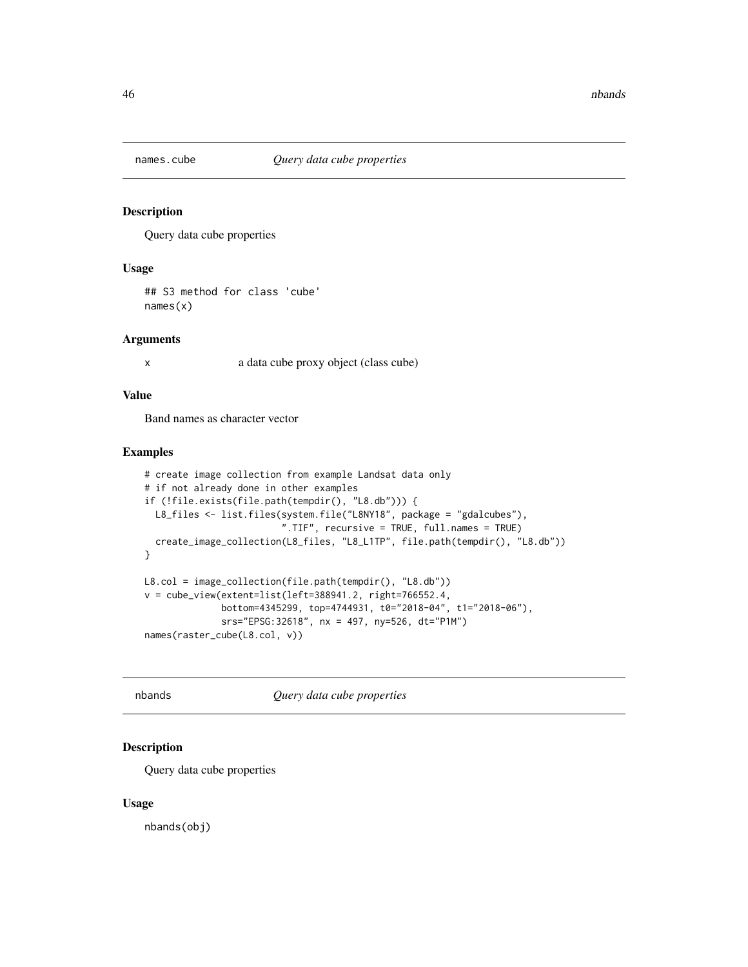### Description

Query data cube properties

# Usage

## S3 method for class 'cube' names(x)

#### Arguments

x a data cube proxy object (class cube)

# Value

Band names as character vector

# Examples

```
# create image collection from example Landsat data only
# if not already done in other examples
if (!file.exists(file.path(tempdir(), "L8.db"))) {
  L8_files <- list.files(system.file("L8NY18", package = "gdalcubes"),
                         ".TIF", recursive = TRUE, full.names = TRUE)
  create_image_collection(L8_files, "L8_L1TP", file.path(tempdir(), "L8.db"))
}
L8.col = image_collection(file.path(tempdir(), "L8.db"))
v = cube_view(extent=list(left=388941.2, right=766552.4,
              bottom=4345299, top=4744931, t0="2018-04", t1="2018-06"),
              srs="EPSG:32618", nx = 497, ny=526, dt="P1M")
names(raster_cube(L8.col, v))
```
nbands *Query data cube properties*

# Description

Query data cube properties

#### Usage

nbands(obj)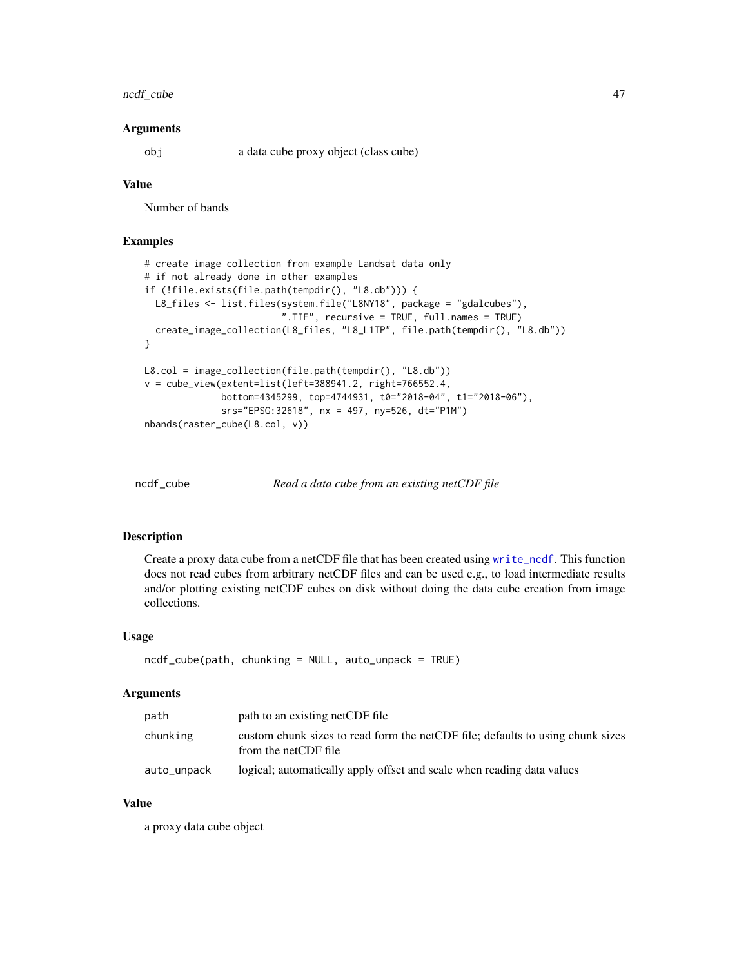# ncdf\_cube 47

#### Arguments

obj a data cube proxy object (class cube)

# Value

Number of bands

# Examples

```
# create image collection from example Landsat data only
# if not already done in other examples
if (!file.exists(file.path(tempdir(), "L8.db"))) {
  L8_files <- list.files(system.file("L8NY18", package = "gdalcubes"),
                         ".TIF", recursive = TRUE, full.names = TRUE)
  create_image_collection(L8_files, "L8_L1TP", file.path(tempdir(), "L8.db"))
}
L8.col = image_collection(file.path(tempdir(), "L8.db"))
v = cube_view(extent=list(left=388941.2, right=766552.4,
              bottom=4345299, top=4744931, t0="2018-04", t1="2018-06"),
              srs="EPSG:32618", nx = 497, ny=526, dt="P1M")
nbands(raster_cube(L8.col, v))
```
ncdf\_cube *Read a data cube from an existing netCDF file*

# Description

Create a proxy data cube from a netCDF file that has been created using [write\\_ncdf](#page-79-0). This function does not read cubes from arbitrary netCDF files and can be used e.g., to load intermediate results and/or plotting existing netCDF cubes on disk without doing the data cube creation from image collections.

### Usage

```
ncdf_cube(path, chunking = NULL, auto\_unpack = TRUE)
```
#### Arguments

| path        | path to an existing netCDF file                                                                        |
|-------------|--------------------------------------------------------------------------------------------------------|
| chunking    | custom chunk sizes to read form the netCDF file; defaults to using chunk sizes<br>from the netCDF file |
| auto_unpack | logical; automatically apply offset and scale when reading data values                                 |

### Value

a proxy data cube object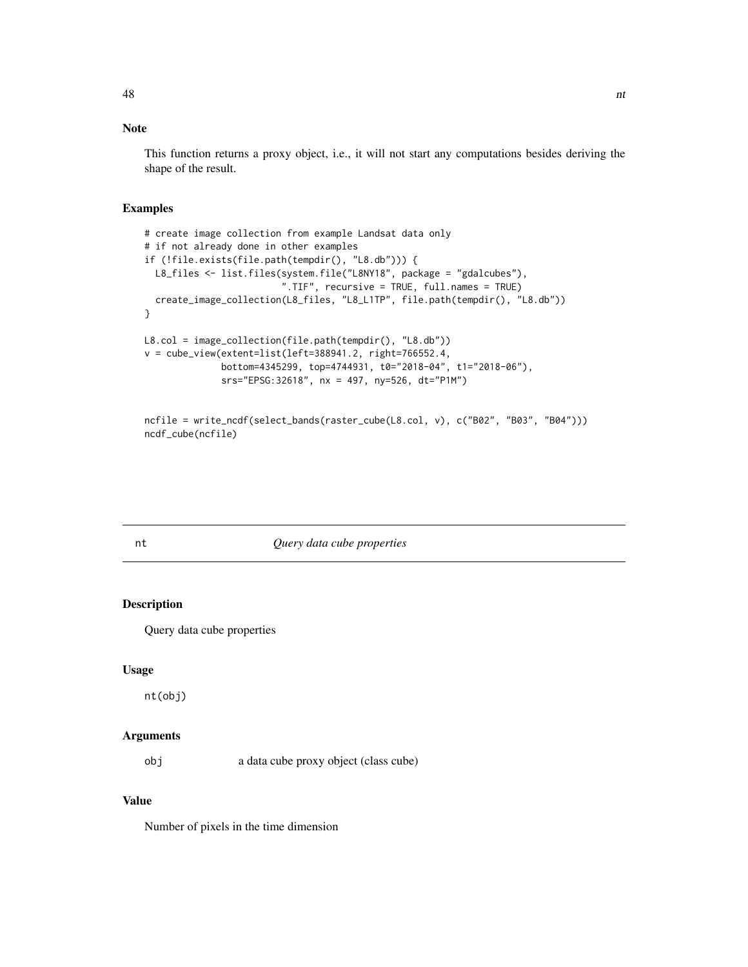# Note

This function returns a proxy object, i.e., it will not start any computations besides deriving the shape of the result.

### Examples

```
# create image collection from example Landsat data only
# if not already done in other examples
if (!file.exists(file.path(tempdir(), "L8.db"))) {
 L8_files <- list.files(system.file("L8NY18", package = "gdalcubes"),
                         ".TIF", recursive = TRUE, full.names = TRUE)
  create_image_collection(L8_files, "L8_L1TP", file.path(tempdir(), "L8.db"))
}
L8.col = image_collection(file.path(tempdir(), "L8.db"))
v = cube_view(extent=list(left=388941.2, right=766552.4,
              bottom=4345299, top=4744931, t0="2018-04", t1="2018-06"),
              srs="EPSG:32618", nx = 497, ny=526, dt="P1M")
```

```
ncfile = write_ncdf(select_bands(raster_cube(L8.col, v), c("B02", "B03", "B04")))
ncdf_cube(ncfile)
```
# nt *Query data cube properties*

# Description

Query data cube properties

#### Usage

nt(obj)

### Arguments

obj a data cube proxy object (class cube)

# Value

Number of pixels in the time dimension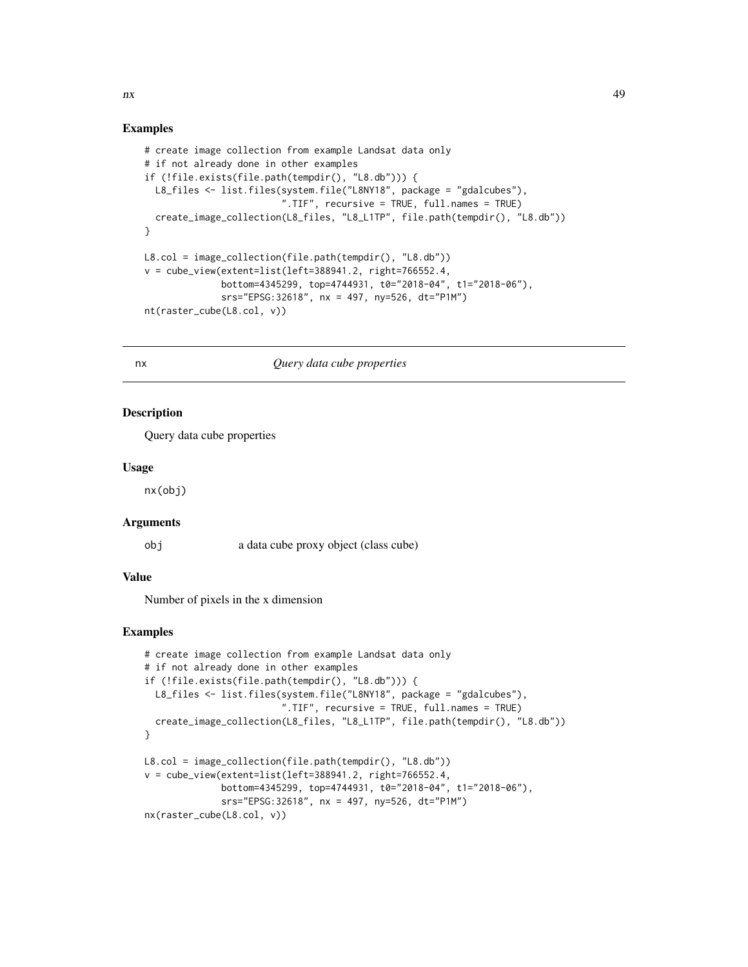#### Examples

```
# create image collection from example Landsat data only
# if not already done in other examples
if (!file.exists(file.path(tempdir(), "L8.db"))) {
  L8_files <- list.files(system.file("L8NY18", package = "gdalcubes"),
                         ".TIF", recursive = TRUE, full.names = TRUE)
  create_image_collection(L8_files, "L8_L1TP", file.path(tempdir(), "L8.db"))
}
L8.col = image_collection(file.path(tempdir(), "L8.db"))
v = cube_view(extent=list(left=388941.2, right=766552.4,
              bottom=4345299, top=4744931, t0="2018-04", t1="2018-06"),
              srs="EPSG:32618", nx = 497, ny=526, dt="P1M")
nt(raster_cube(L8.col, v))
```
### nx *Query data cube properties*

### Description

Query data cube properties

### Usage

nx(obj)

# Arguments

obj a data cube proxy object (class cube)

# Value

Number of pixels in the x dimension

# Examples

```
# create image collection from example Landsat data only
# if not already done in other examples
if (!file.exists(file.path(tempdir(), "L8.db"))) {
  L8_files <- list.files(system.file("L8NY18", package = "gdalcubes"),
                         ".TIF", recursive = TRUE, full.names = TRUE)
  create_image_collection(L8_files, "L8_L1TP", file.path(tempdir(), "L8.db"))
}
L8.col = image_collection(file.path(tempdir(), "L8.db"))
v = cube_view(extent=list(left=388941.2, right=766552.4,
              bottom=4345299, top=4744931, t0="2018-04", t1="2018-06"),
              srs="EPSG:32618", nx = 497, ny=526, dt="P1M")
nx(raster_cube(L8.col, v))
```
 $n x$  and  $n x$  and  $n x$  and  $n x$  and  $n x$  and  $n x$  and  $n x$  and  $n x$  and  $n x$  and  $n x$  and  $n x$  and  $n x$  and  $n x$  and  $n x$  and  $n x$  and  $n x$  and  $n x$  and  $n x$  and  $n x$  and  $n x$  and  $n x$  and  $n x$  and  $n x$  and  $n x$  and  $n x$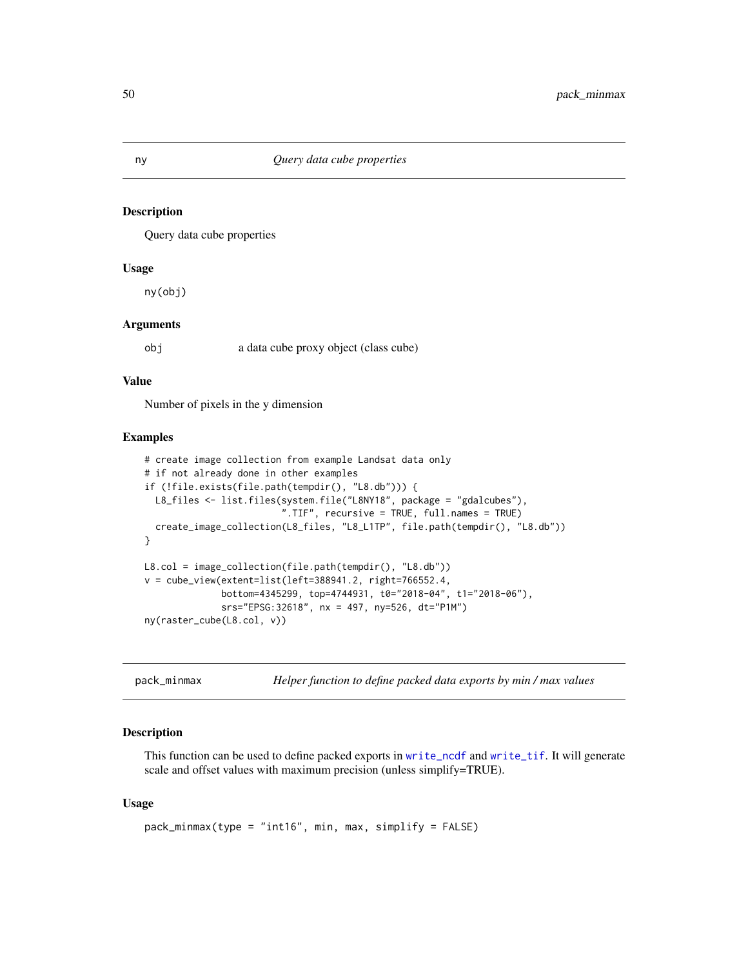### Description

Query data cube properties

# Usage

ny(obj)

### Arguments

obj a data cube proxy object (class cube)

### Value

Number of pixels in the y dimension

### Examples

```
# create image collection from example Landsat data only
# if not already done in other examples
if (!file.exists(file.path(tempdir(), "L8.db"))) {
  L8_files <- list.files(system.file("L8NY18", package = "gdalcubes"),
                         ".TIF", recursive = TRUE, full.names = TRUE)
  create_image_collection(L8_files, "L8_L1TP", file.path(tempdir(), "L8.db"))
}
L8.col = image_collection(file.path(tempdir(), "L8.db"))
v = cube\_view(extent=list(left=388941.2, right=766552.4,bottom=4345299, top=4744931, t0="2018-04", t1="2018-06"),
              srs="EPSG:32618", nx = 497, ny=526, dt="P1M")
ny(raster_cube(L8.col, v))
```
pack\_minmax *Helper function to define packed data exports by min / max values*

# Description

This function can be used to define packed exports in [write\\_ncdf](#page-79-0) and [write\\_tif](#page-81-0). It will generate scale and offset values with maximum precision (unless simplify=TRUE).

### Usage

```
pack_minmax(type = "int16", min, max, simplify = FALSE)
```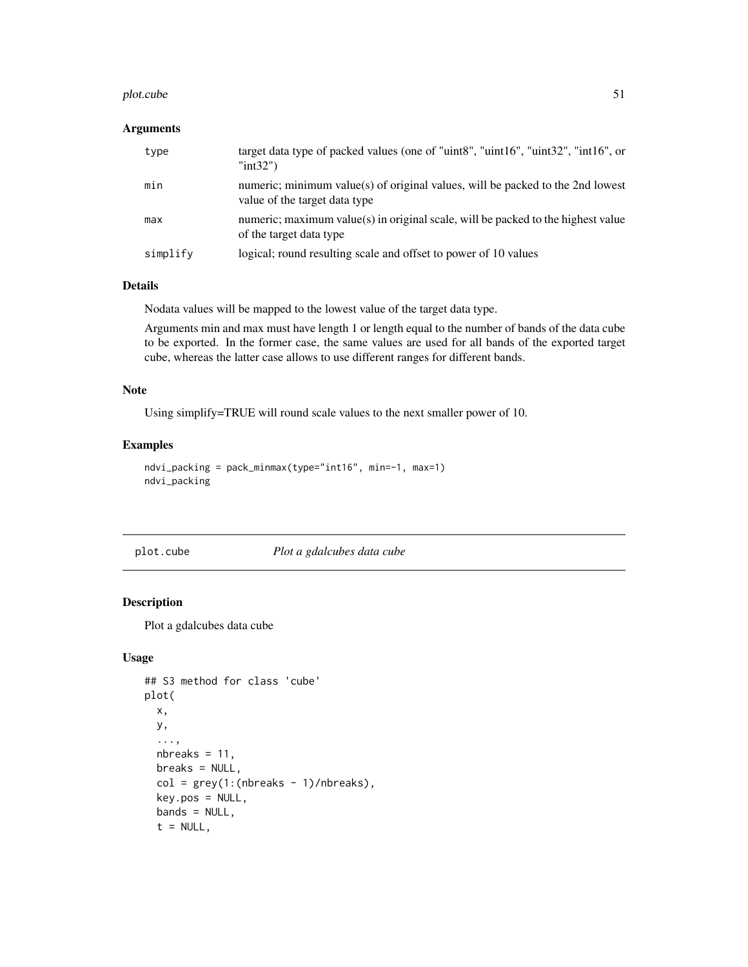#### plot.cube 51

# Arguments

| type     | target data type of packed values (one of "uint8", "uint16", "uint32", "int16", or<br>" $int32$ ")              |
|----------|-----------------------------------------------------------------------------------------------------------------|
| min      | numeric; minimum value(s) of original values, will be packed to the 2nd lowest<br>value of the target data type |
| max      | numeric; maximum value(s) in original scale, will be packed to the highest value<br>of the target data type     |
| simplify | logical; round resulting scale and offset to power of 10 values                                                 |

### Details

Nodata values will be mapped to the lowest value of the target data type.

Arguments min and max must have length 1 or length equal to the number of bands of the data cube to be exported. In the former case, the same values are used for all bands of the exported target cube, whereas the latter case allows to use different ranges for different bands.

### Note

Using simplify=TRUE will round scale values to the next smaller power of 10.

# Examples

```
ndvi_packing = pack_minmax(type="int16", min=-1, max=1)
ndvi_packing
```
plot.cube *Plot a gdalcubes data cube*

### Description

Plot a gdalcubes data cube

# Usage

```
## S3 method for class 'cube'
plot(
  x,
 y,
  ...,
 nbreaks = 11,
 breaks = NULL,
  col = grey(1:(nbreaks - 1)/nbreaks),key.pos = NULL,
  bands = NULL,
  t = NULL,
```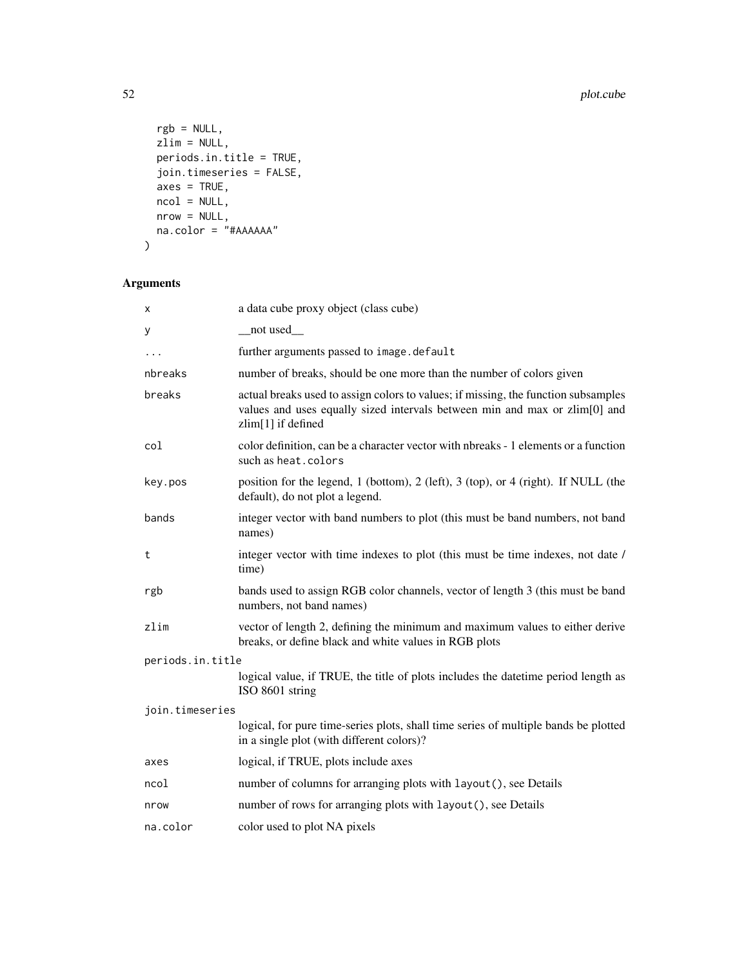```
rgb = NULL,zlim = NULL,
 periods.in.title = TRUE,join.timeseries = FALSE,
 axes = TRUE,ncol = NULL,
 nrow = NULL,na.color = "#AAAAAA"
\mathcal{L}
```
# Arguments

| x                | a data cube proxy object (class cube)                                                                                                                                                  |  |
|------------------|----------------------------------------------------------------------------------------------------------------------------------------------------------------------------------------|--|
| У                | __not used__                                                                                                                                                                           |  |
| .                | further arguments passed to image.default                                                                                                                                              |  |
| nbreaks          | number of breaks, should be one more than the number of colors given                                                                                                                   |  |
| breaks           | actual breaks used to assign colors to values; if missing, the function subsamples<br>values and uses equally sized intervals between min and max or zlim[0] and<br>zlim[1] if defined |  |
| col              | color definition, can be a character vector with nbreaks - 1 elements or a function<br>such as heat, colors                                                                            |  |
| key.pos          | position for the legend, 1 (bottom), 2 (left), 3 (top), or 4 (right). If NULL (the<br>default), do not plot a legend.                                                                  |  |
| bands            | integer vector with band numbers to plot (this must be band numbers, not band<br>names)                                                                                                |  |
| t                | integer vector with time indexes to plot (this must be time indexes, not date /<br>time)                                                                                               |  |
| rgb              | bands used to assign RGB color channels, vector of length 3 (this must be band<br>numbers, not band names)                                                                             |  |
| zlim             | vector of length 2, defining the minimum and maximum values to either derive<br>breaks, or define black and white values in RGB plots                                                  |  |
| periods.in.title |                                                                                                                                                                                        |  |
|                  | logical value, if TRUE, the title of plots includes the date time period length as<br>ISO 8601 string                                                                                  |  |
| join.timeseries  |                                                                                                                                                                                        |  |
|                  | logical, for pure time-series plots, shall time series of multiple bands be plotted<br>in a single plot (with different colors)?                                                       |  |
| axes             | logical, if TRUE, plots include axes                                                                                                                                                   |  |
| ncol             | number of columns for arranging plots with layout (), see Details                                                                                                                      |  |
| nrow             | number of rows for arranging plots with layout (), see Details                                                                                                                         |  |
| na.color         | color used to plot NA pixels                                                                                                                                                           |  |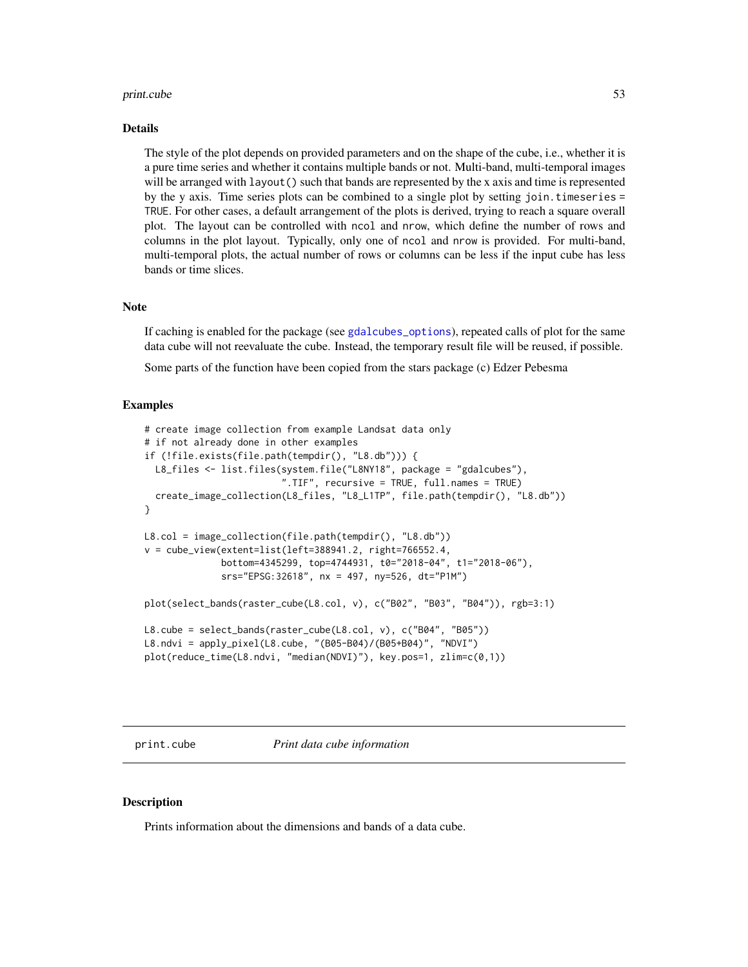#### print.cube 53

#### Details

The style of the plot depends on provided parameters and on the shape of the cube, i.e., whether it is a pure time series and whether it contains multiple bands or not. Multi-band, multi-temporal images will be arranged with layout() such that bands are represented by the x axis and time is represented by the y axis. Time series plots can be combined to a single plot by setting join.timeseries = TRUE. For other cases, a default arrangement of the plots is derived, trying to reach a square overall plot. The layout can be controlled with ncol and nrow, which define the number of rows and columns in the plot layout. Typically, only one of ncol and nrow is provided. For multi-band, multi-temporal plots, the actual number of rows or columns can be less if the input cube has less bands or time slices.

#### **Note**

If caching is enabled for the package (see [gdalcubes\\_options](#page-35-0)), repeated calls of plot for the same data cube will not reevaluate the cube. Instead, the temporary result file will be reused, if possible.

Some parts of the function have been copied from the stars package (c) Edzer Pebesma

#### Examples

```
# create image collection from example Landsat data only
# if not already done in other examples
if (!file.exists(file.path(tempdir(), "L8.db"))) {
  L8_files <- list.files(system.file("L8NY18", package = "gdalcubes"),
                         ".TIF", recursive = TRUE, full.names = TRUE)
  create_image_collection(L8_files, "L8_L1TP", file.path(tempdir(), "L8.db"))
}
L8.col = image_collection(file.path(tempdir(), "L8.db"))
v = cube_view(extent=list(left=388941.2, right=766552.4,
              bottom=4345299, top=4744931, t0="2018-04", t1="2018-06"),
              srs="EPSG:32618", nx = 497, ny=526, dt="P1M")
plot(select_bands(raster_cube(L8.col, v), c("B02", "B03", "B04")), rgb=3:1)
L8.cube = select_bands(raster_cube(L8.col, v), c("B04", "B05"))
L8.ndvi = apply_pixel(L8.cube, "(B05-B04)/(B05+B04)", "NDVI")
plot(reduce_time(L8.ndvi, "median(NDVI)"), key.pos=1, zlim=c(0,1))
```
print.cube *Print data cube information*

### **Description**

Prints information about the dimensions and bands of a data cube.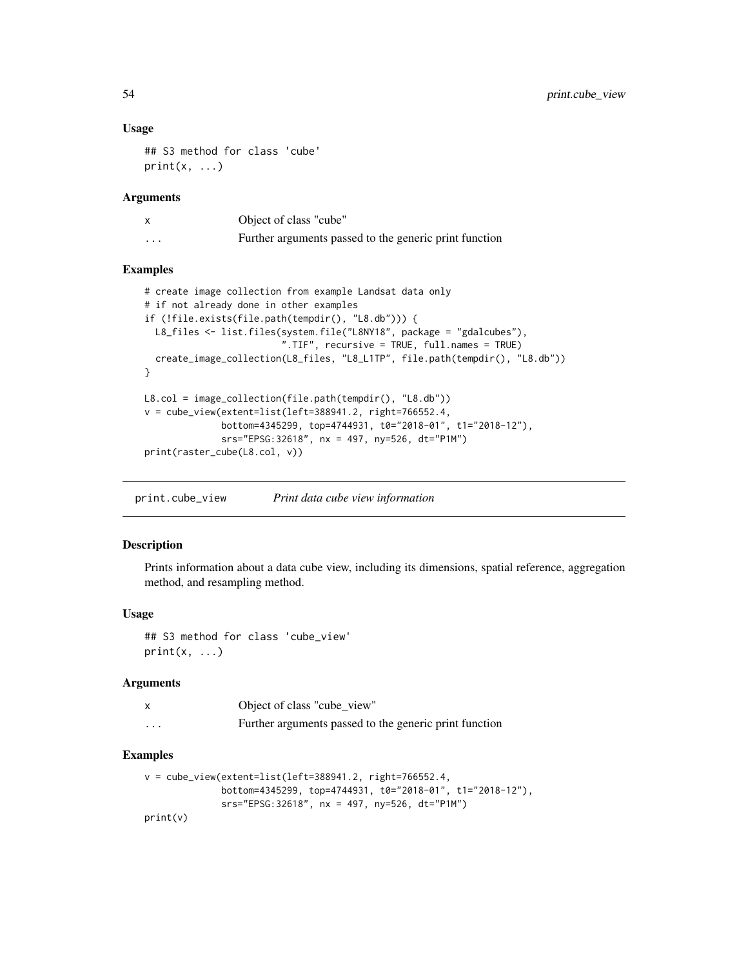### Usage

```
## S3 method for class 'cube'
print(x, \ldots)
```
### Arguments

|          | Object of class "cube"                                 |
|----------|--------------------------------------------------------|
| $\cdots$ | Further arguments passed to the generic print function |

# Examples

```
# create image collection from example Landsat data only
# if not already done in other examples
if (!file.exists(file.path(tempdir(), "L8.db"))) {
  L8_files <- list.files(system.file("L8NY18", package = "gdalcubes"),
                         ".TIF", recursive = TRUE, full.names = TRUE)
  create_image_collection(L8_files, "L8_L1TP", file.path(tempdir(), "L8.db"))
}
L8.col = image_collection(file.path(tempdir(), "L8.db"))
v = cube\_view(extent=list(left=388941.2, right=766552.4,bottom=4345299, top=4744931, t0="2018-01", t1="2018-12"),
              srs="EPSG:32618", nx = 497, ny=526, dt="P1M")
print(raster_cube(L8.col, v))
```
print.cube\_view *Print data cube view information*

### Description

Prints information about a data cube view, including its dimensions, spatial reference, aggregation method, and resampling method.

### Usage

## S3 method for class 'cube\_view'  $print(x, \ldots)$ 

# Arguments

|          | Object of class "cube view"                            |
|----------|--------------------------------------------------------|
| $\cdots$ | Further arguments passed to the generic print function |

```
v = cube\_view(extent=list(left=388941.2, right=766552.4,bottom=4345299, top=4744931, t0="2018-01", t1="2018-12"),
             srs="EPSG:32618", nx = 497, ny=526, dt="P1M")
print(v)
```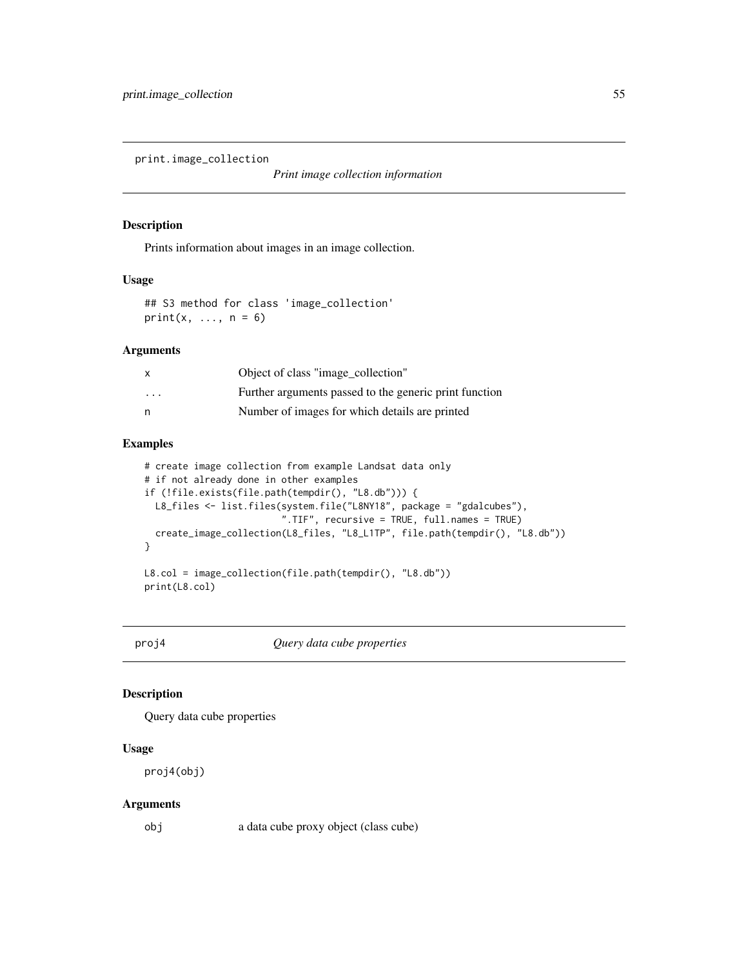print.image\_collection

*Print image collection information*

### Description

Prints information about images in an image collection.

### Usage

## S3 method for class 'image\_collection' print $(x, \ldots, n = 6)$ 

# Arguments

| X        | Object of class "image_collection"                     |
|----------|--------------------------------------------------------|
| $\cdots$ | Further arguments passed to the generic print function |
| n        | Number of images for which details are printed         |

# Examples

```
# create image collection from example Landsat data only
# if not already done in other examples
if (!file.exists(file.path(tempdir(), "L8.db"))) {
  L8_files <- list.files(system.file("L8NY18", package = "gdalcubes"),
                         ".TIF", recursive = TRUE, full.names = TRUE)
  create_image_collection(L8_files, "L8_L1TP", file.path(tempdir(), "L8.db"))
}
L8.col = image_collection(file.path(tempdir(), "L8.db"))
print(L8.col)
```
proj4 *Query data cube properties*

# Description

Query data cube properties

### Usage

proj4(obj)

#### Arguments

obj a data cube proxy object (class cube)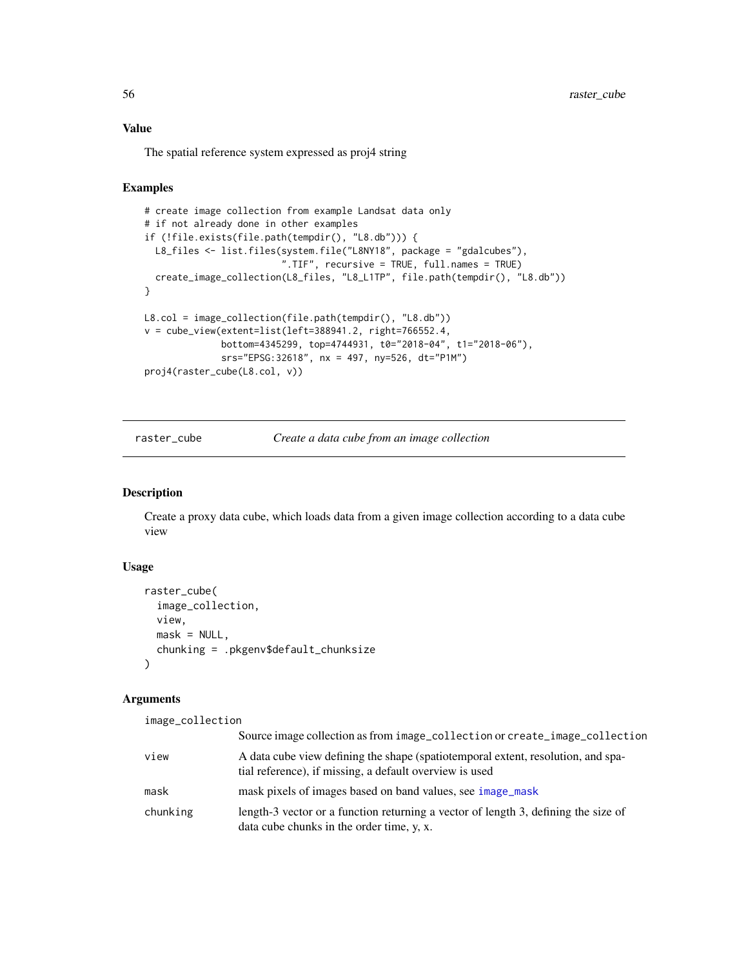# Value

The spatial reference system expressed as proj4 string

# Examples

```
# create image collection from example Landsat data only
# if not already done in other examples
if (!file.exists(file.path(tempdir(), "L8.db"))) {
  L8_files <- list.files(system.file("L8NY18", package = "gdalcubes"),
                         ".TIF", recursive = TRUE, full.names = TRUE)
  create_image_collection(L8_files, "L8_L1TP", file.path(tempdir(), "L8.db"))
}
L8.col = image_collection(file.path(tempdir(), "L8.db"))
v = cube\_view(extent=list(left=388941.2, right=766552.4,bottom=4345299, top=4744931, t0="2018-04", t1="2018-06"),
              srs="EPSG:32618", nx = 497, ny=526, dt="P1M")
proj4(raster_cube(L8.col, v))
```
<span id="page-55-0"></span>raster\_cube *Create a data cube from an image collection*

### Description

Create a proxy data cube, which loads data from a given image collection according to a data cube view

### Usage

```
raster_cube(
  image_collection,
 view,
 mask = NULL,chunking = .pkgenv$default_chunksize
\lambda
```
#### Arguments

| image_collection |                                                                                                                                             |
|------------------|---------------------------------------------------------------------------------------------------------------------------------------------|
|                  | Source image collection as from image_collection or create_image_collection                                                                 |
| view             | A data cube view defining the shape (spatiotemporal extent, resolution, and spa-<br>tial reference), if missing, a default overview is used |
| mask             | mask pixels of images based on band values, see image_mask                                                                                  |
| chunking         | length-3 vector or a function returning a vector of length 3, defining the size of<br>data cube chunks in the order time, y, x.             |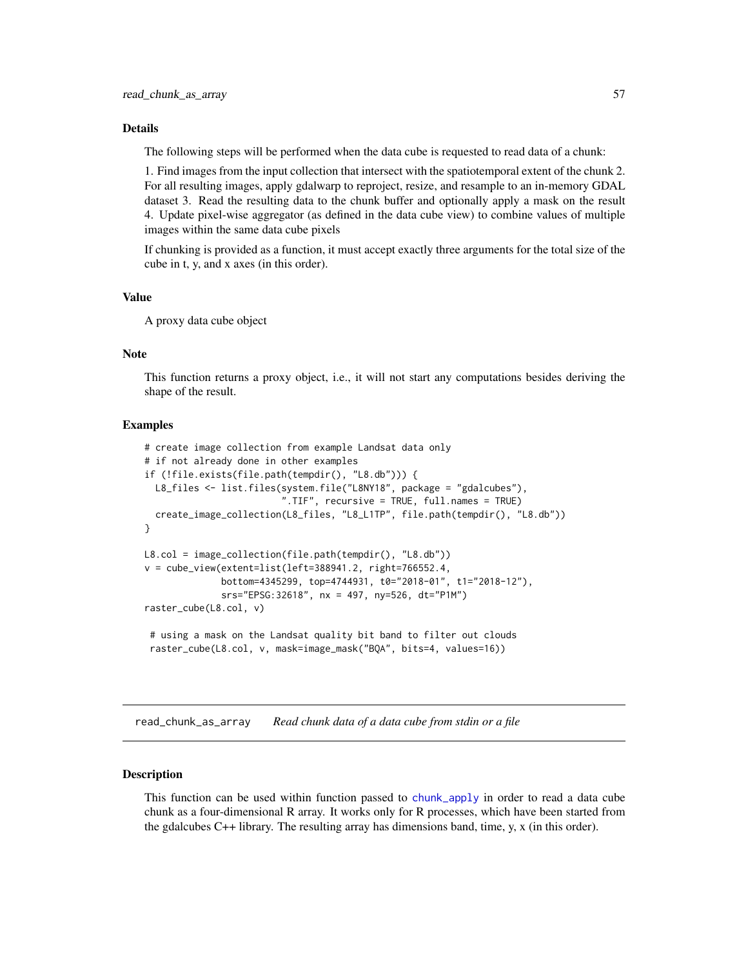### Details

The following steps will be performed when the data cube is requested to read data of a chunk:

1. Find images from the input collection that intersect with the spatiotemporal extent of the chunk 2. For all resulting images, apply gdalwarp to reproject, resize, and resample to an in-memory GDAL dataset 3. Read the resulting data to the chunk buffer and optionally apply a mask on the result 4. Update pixel-wise aggregator (as defined in the data cube view) to combine values of multiple images within the same data cube pixels

If chunking is provided as a function, it must accept exactly three arguments for the total size of the cube in t, y, and x axes (in this order).

# Value

A proxy data cube object

# Note

This function returns a proxy object, i.e., it will not start any computations besides deriving the shape of the result.

### Examples

```
# create image collection from example Landsat data only
# if not already done in other examples
if (!file.exists(file.path(tempdir(), "L8.db"))) {
 L8_files <- list.files(system.file("L8NY18", package = "gdalcubes"),
                         ".TIF", recursive = TRUE, full.names = TRUE)
 create_image_collection(L8_files, "L8_L1TP", file.path(tempdir(), "L8.db"))
}
L8.col = image_collection(file.path(tempdir(), "L8.db"))
v = cube_view(extent=list(left=388941.2, right=766552.4,
             bottom=4345299, top=4744931, t0="2018-01", t1="2018-12"),
              srs="EPSG:32618", nx = 497, ny=526, dt="P1M")
raster_cube(L8.col, v)
 # using a mask on the Landsat quality bit band to filter out clouds
 raster_cube(L8.col, v, mask=image_mask("BQA", bits=4, values=16))
```
read\_chunk\_as\_array *Read chunk data of a data cube from stdin or a file*

### **Description**

This function can be used within function passed to [chunk\\_apply](#page-17-0) in order to read a data cube chunk as a four-dimensional R array. It works only for R processes, which have been started from the gdalcubes  $C_{++}$  library. The resulting array has dimensions band, time, y, x (in this order).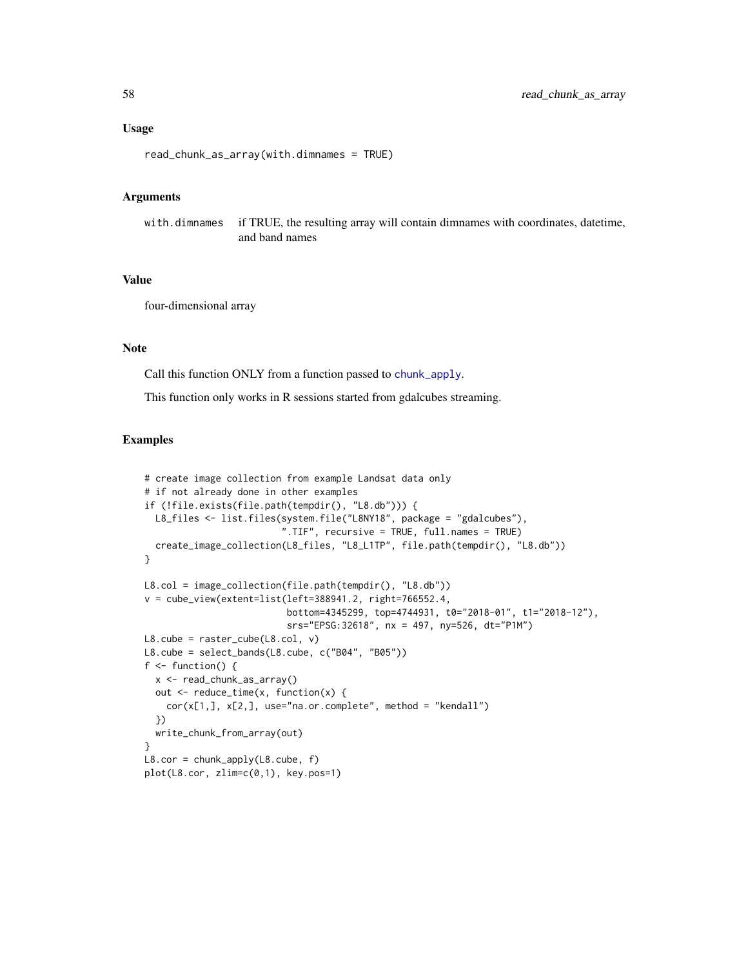### Usage

```
read_chunk_as_array(with.dimnames = TRUE)
```
#### **Arguments**

with.dimnames if TRUE, the resulting array will contain dimnames with coordinates, datetime, and band names

### Value

four-dimensional array

# Note

Call this function ONLY from a function passed to [chunk\\_apply](#page-17-0).

This function only works in R sessions started from gdalcubes streaming.

```
# create image collection from example Landsat data only
# if not already done in other examples
if (!file.exists(file.path(tempdir(), "L8.db"))) {
  L8_files <- list.files(system.file("L8NY18", package = "gdalcubes"),
                         ".TIF", recursive = TRUE, full.names = TRUE)
  create_image_collection(L8_files, "L8_L1TP", file.path(tempdir(), "L8.db"))
}
L8.col = image_collection(file.path(tempdir(), "L8.db"))
v = cube\_view(extent=list(left=388941.2, right=766552.4,bottom=4345299, top=4744931, t0="2018-01", t1="2018-12"),
                          srs="EPSG:32618", nx = 497, ny=526, dt="P1M")
L8.cube = raster_cube(L8.col, v)
L8.cube = select_bands(L8.cube, c("B04", "B05"))
f \leftarrow function() {
  x <- read_chunk_as_array()
  out <- reduce_time(x, function(x) {
    cor(x[1,], x[2,], use="na.or.complete", method = "kendall")
  })
  write_chunk_from_array(out)
}
L8.cor = chunk_apply(L8.cube, f)
plot(L8.cor, zlim=c(0,1), key.pos=1)
```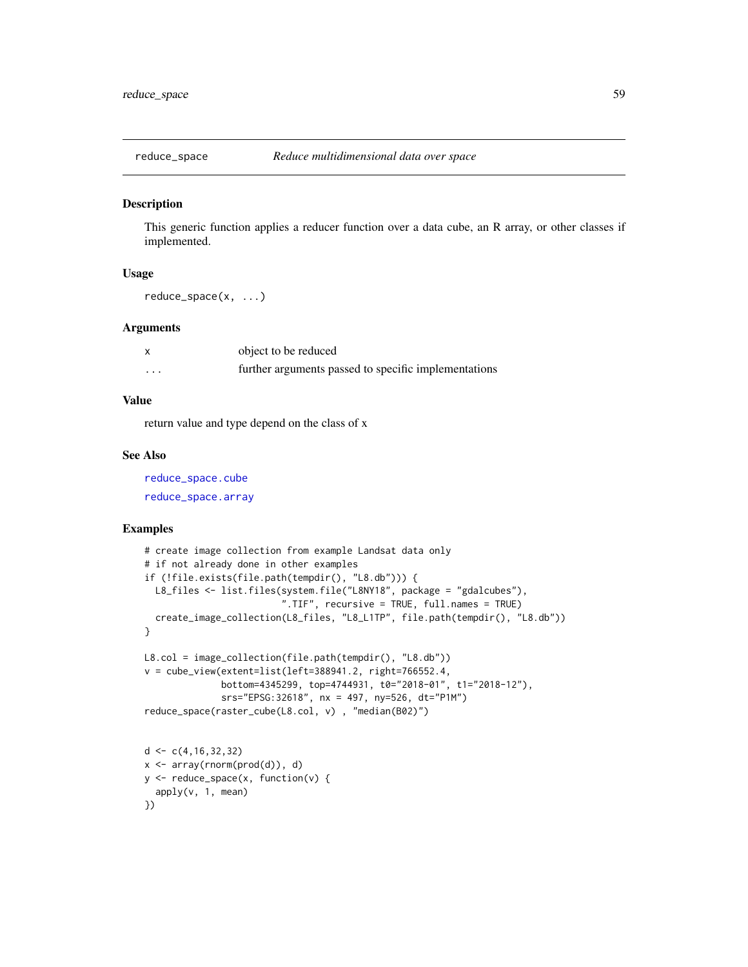#### Description

This generic function applies a reducer function over a data cube, an R array, or other classes if implemented.

### Usage

reduce\_space(x, ...)

#### Arguments

|   | object to be reduced                                 |
|---|------------------------------------------------------|
| . | further arguments passed to specific implementations |

# Value

return value and type depend on the class of x

### See Also

[reduce\\_space.cube](#page-60-0) [reduce\\_space.array](#page-59-0)

### Examples

})

```
# create image collection from example Landsat data only
# if not already done in other examples
if (!file.exists(file.path(tempdir(), "L8.db"))) {
  L8_files <- list.files(system.file("L8NY18", package = "gdalcubes"),
                          ".TIF", recursive = TRUE, full.names = TRUE)
  create_image_collection(L8_files, "L8_L1TP", file.path(tempdir(), "L8.db"))
}
L8.col = image_collection(file.path(tempdir(), "L8.db"))
v = cube_view(extent=list(left=388941.2, right=766552.4,
              bottom=4345299, top=4744931, t0="2018-01", t1="2018-12"),
              srs="EPSG:32618", nx = 497, ny=526, dt="P1M")
reduce_space(raster_cube(L8.col, v) , "median(B02)")
d \leftarrow c(4, 16, 32, 32)x <- array(rnorm(prod(d)), d)
y <- reduce_space(x, function(v) {
  apply(v, 1, mean)
```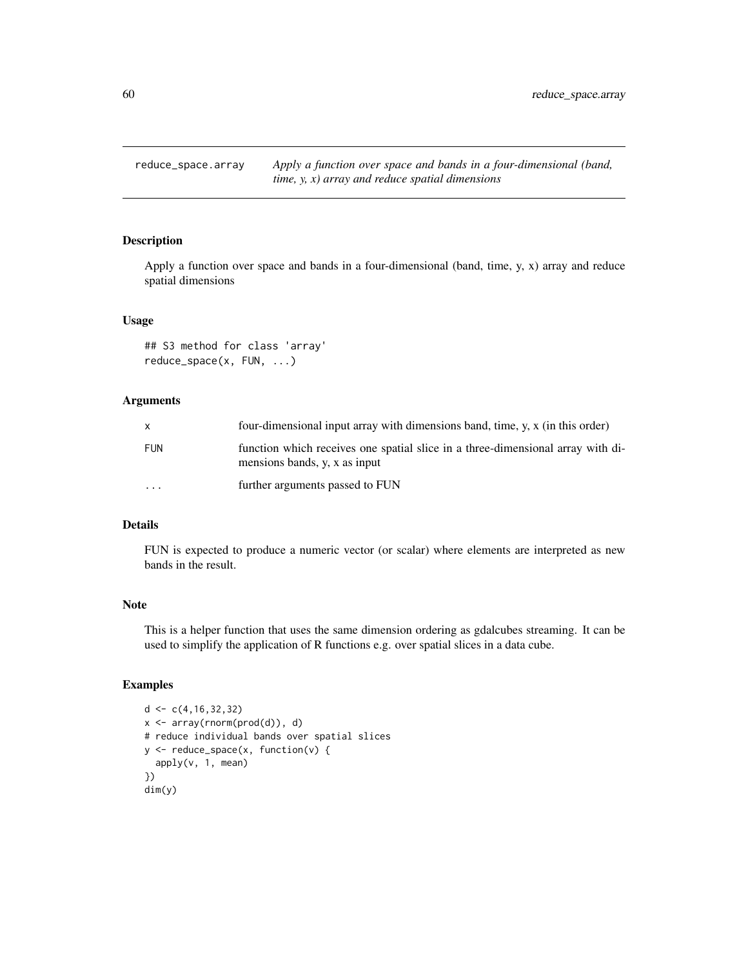<span id="page-59-0"></span>reduce\_space.array *Apply a function over space and bands in a four-dimensional (band, time, y, x) array and reduce spatial dimensions*

# Description

Apply a function over space and bands in a four-dimensional (band, time, y, x) array and reduce spatial dimensions

### Usage

```
## S3 method for class 'array'
reduce_space(x, FUN, ...)
```
### Arguments

| $\mathsf{x}$ | four-dimensional input array with dimensions band, time, y, x (in this order)                                    |
|--------------|------------------------------------------------------------------------------------------------------------------|
| <b>FUN</b>   | function which receives one spatial slice in a three-dimensional array with di-<br>mensions bands, y, x as input |
| $\cdots$     | further arguments passed to FUN                                                                                  |

# Details

FUN is expected to produce a numeric vector (or scalar) where elements are interpreted as new bands in the result.

# Note

This is a helper function that uses the same dimension ordering as gdalcubes streaming. It can be used to simplify the application of R functions e.g. over spatial slices in a data cube.

```
d < -c(4, 16, 32, 32)x <- array(rnorm(prod(d)), d)
# reduce individual bands over spatial slices
y <- reduce_space(x, function(v) {
  apply(v, 1, mean)
})
dim(y)
```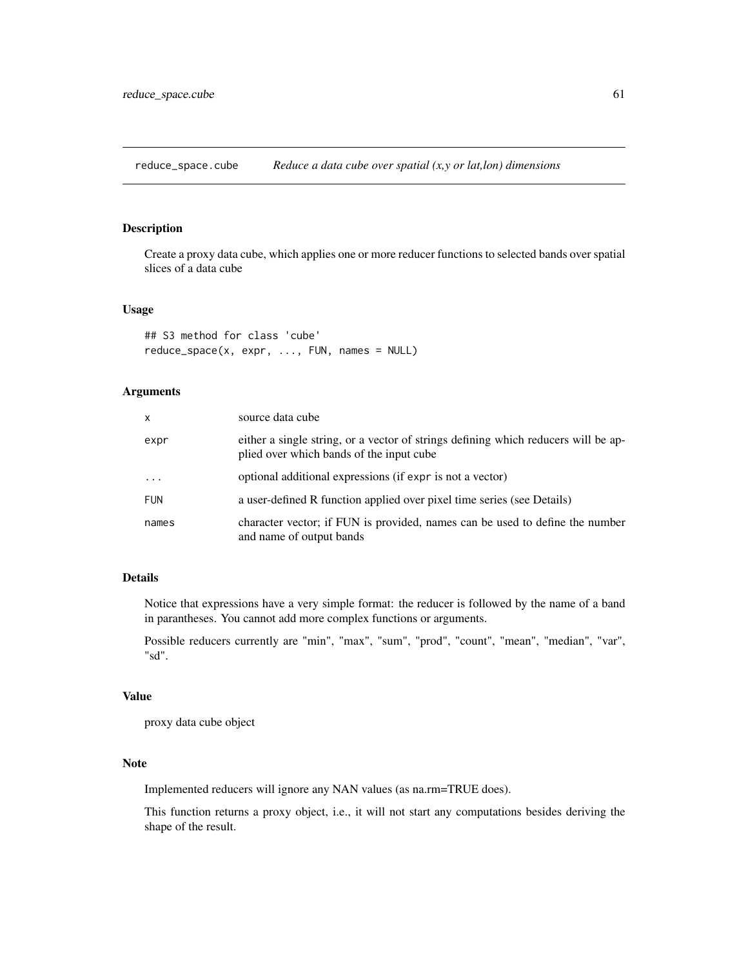<span id="page-60-0"></span>reduce\_space.cube *Reduce a data cube over spatial (x,y or lat,lon) dimensions*

# Description

Create a proxy data cube, which applies one or more reducer functions to selected bands over spatial slices of a data cube

# Usage

```
## S3 method for class 'cube'
reduce_space(x, expr, ..., FUN, names = NULL)
```
# Arguments

| x          | source data cube                                                                                                               |
|------------|--------------------------------------------------------------------------------------------------------------------------------|
| expr       | either a single string, or a vector of strings defining which reducers will be ap-<br>plied over which bands of the input cube |
| $\ddots$   | optional additional expressions (if expr is not a vector)                                                                      |
| <b>FUN</b> | a user-defined R function applied over pixel time series (see Details)                                                         |
| names      | character vector; if FUN is provided, names can be used to define the number<br>and name of output bands                       |

# Details

Notice that expressions have a very simple format: the reducer is followed by the name of a band in parantheses. You cannot add more complex functions or arguments.

Possible reducers currently are "min", "max", "sum", "prod", "count", "mean", "median", "var", "sd".

#### Value

proxy data cube object

# Note

Implemented reducers will ignore any NAN values (as na.rm=TRUE does).

This function returns a proxy object, i.e., it will not start any computations besides deriving the shape of the result.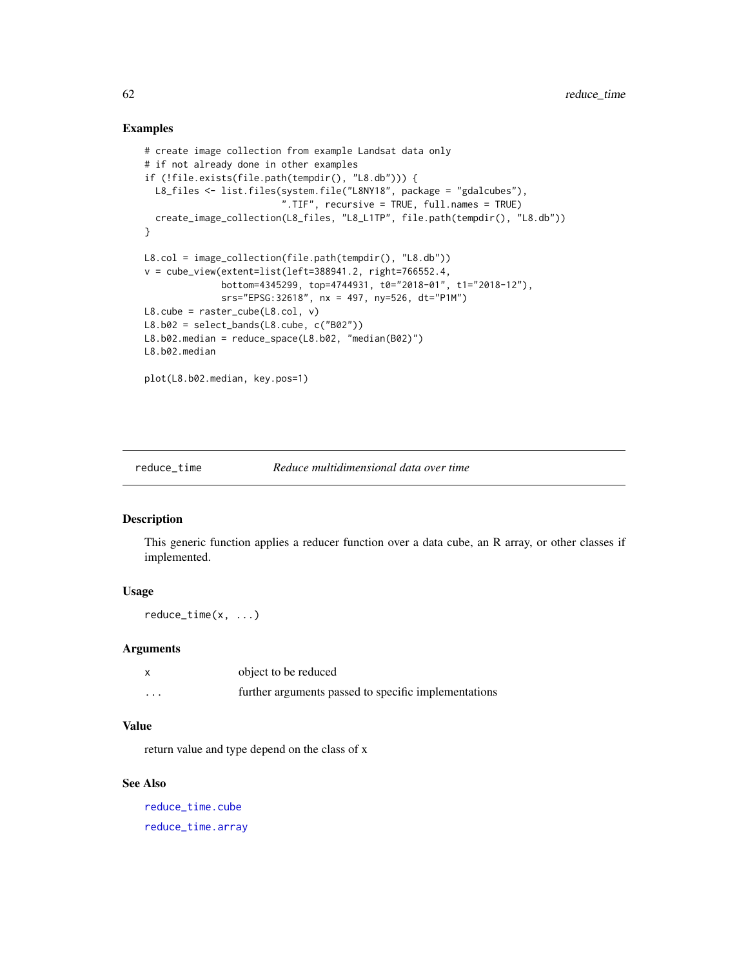## Examples

```
# create image collection from example Landsat data only
# if not already done in other examples
if (!file.exists(file.path(tempdir(), "L8.db"))) {
  L8_files <- list.files(system.file("L8NY18", package = "gdalcubes"),
                         ".TIF", recursive = TRUE, full.names = TRUE)
  create_image_collection(L8_files, "L8_L1TP", file.path(tempdir(), "L8.db"))
}
L8.col = image_collection(file.path(tempdir(), "L8.db"))
v = cube_view(extent=list(left=388941.2, right=766552.4,
              bottom=4345299, top=4744931, t0="2018-01", t1="2018-12"),
              srs="EPSG:32618", nx = 497, ny=526, dt="P1M")
L8.cube = raster_cube(L8.col, v)
L8.b02 = select_bands(L8.cube, c("B02"))L8.b02.median = reduce_space(L8.b02, "median(B02)")
L8.b02.median
plot(L8.b02.median, key.pos=1)
```
reduce\_time *Reduce multidimensional data over time*

#### Description

This generic function applies a reducer function over a data cube, an R array, or other classes if implemented.

# Usage

reduce\_time(x, ...)

#### Arguments

|   | object to be reduced                                 |
|---|------------------------------------------------------|
| . | further arguments passed to specific implementations |

# Value

return value and type depend on the class of x

# See Also

[reduce\\_time.cube](#page-63-0) [reduce\\_time.array](#page-62-0)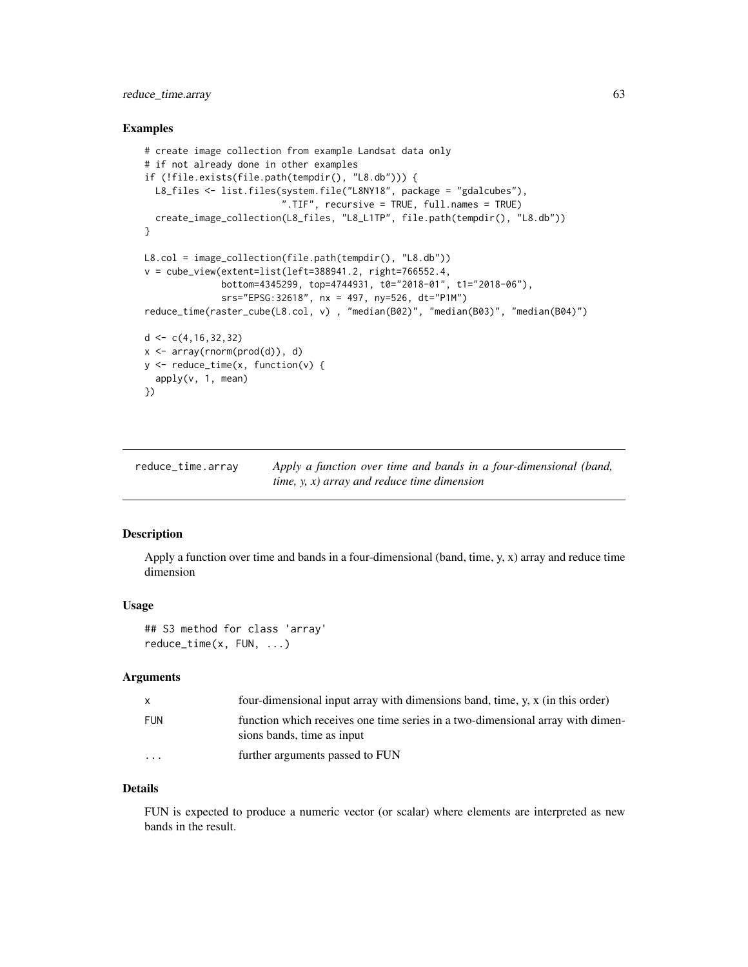# reduce\_time.array 63

### Examples

```
# create image collection from example Landsat data only
# if not already done in other examples
if (!file.exists(file.path(tempdir(), "L8.db"))) {
  L8_files <- list.files(system.file("L8NY18", package = "gdalcubes"),
                          ".TIF", recursive = TRUE, full.names = TRUE)
  create_image_collection(L8_files, "L8_L1TP", file.path(tempdir(), "L8.db"))
}
L8.col = image_collection(file.path(tempdir(), "L8.db"))
v = cube\_view(extent=list(left=388941.2, right=766552.4,bottom=4345299, top=4744931, t0="2018-01", t1="2018-06"),
              srs="EPSG:32618", nx = 497, ny=526, dt="P1M")
reduce_time(raster_cube(L8.col, v) , "median(B02)", "median(B03)", "median(B04)")
d \leq c(4, 16, 32, 32)x \leftarrow \text{array}(rnorm(prod(d)), d)y \leftarrow reduce_time(x, function(v) {
  apply(v, 1, mean)
})
```
<span id="page-62-0"></span>reduce\_time.array *Apply a function over time and bands in a four-dimensional (band, time, y, x) array and reduce time dimension*

### Description

Apply a function over time and bands in a four-dimensional (band, time, y, x) array and reduce time dimension

### Usage

```
## S3 method for class 'array'
reduce_time(x, FUN, ...)
```
# Arguments

| $\mathsf{x}$            | four-dimensional input array with dimensions band, time, y, x (in this order)                                |
|-------------------------|--------------------------------------------------------------------------------------------------------------|
| FUN                     | function which receives one time series in a two-dimensional array with dimen-<br>sions bands, time as input |
| $\cdot$ $\cdot$ $\cdot$ | further arguments passed to FUN                                                                              |

### Details

FUN is expected to produce a numeric vector (or scalar) where elements are interpreted as new bands in the result.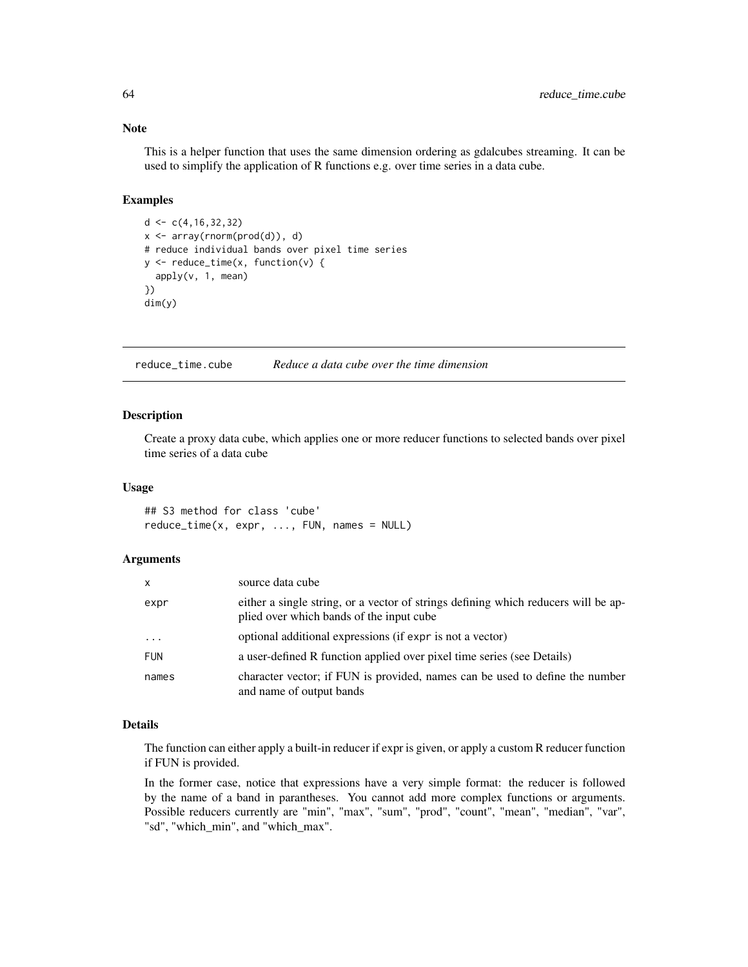#### Note

This is a helper function that uses the same dimension ordering as gdalcubes streaming. It can be used to simplify the application of R functions e.g. over time series in a data cube.

# Examples

```
d < -c(4, 16, 32, 32)x <- array(rnorm(prod(d)), d)
# reduce individual bands over pixel time series
y <- reduce_time(x, function(v) {
  apply(v, 1, mean)
})
dim(y)
```
<span id="page-63-0"></span>reduce\_time.cube *Reduce a data cube over the time dimension*

#### Description

Create a proxy data cube, which applies one or more reducer functions to selected bands over pixel time series of a data cube

#### Usage

## S3 method for class 'cube' reduce\_time(x, expr, ..., FUN, names = NULL)

### Arguments

| x          | source data cube                                                                                                               |
|------------|--------------------------------------------------------------------------------------------------------------------------------|
| expr       | either a single string, or a vector of strings defining which reducers will be ap-<br>plied over which bands of the input cube |
| $\cdots$   | optional additional expressions (if expr is not a vector)                                                                      |
| <b>FUN</b> | a user-defined R function applied over pixel time series (see Details)                                                         |
| names      | character vector; if FUN is provided, names can be used to define the number<br>and name of output bands                       |

### Details

The function can either apply a built-in reducer if expr is given, or apply a custom R reducer function if FUN is provided.

In the former case, notice that expressions have a very simple format: the reducer is followed by the name of a band in parantheses. You cannot add more complex functions or arguments. Possible reducers currently are "min", "max", "sum", "prod", "count", "mean", "median", "var", "sd", "which\_min", and "which\_max".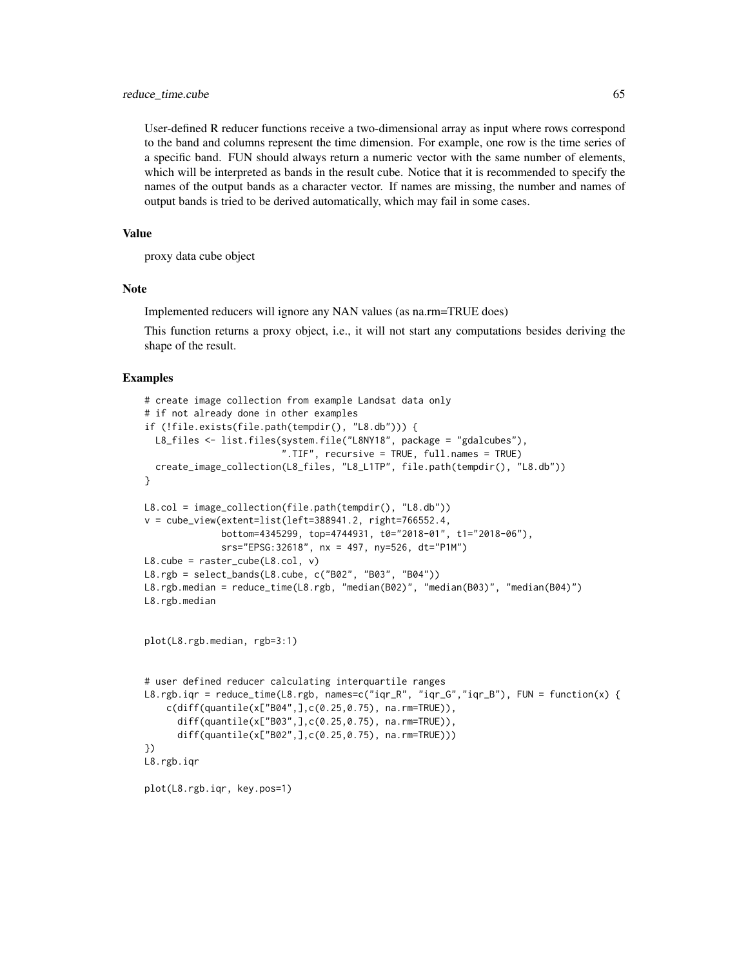User-defined R reducer functions receive a two-dimensional array as input where rows correspond to the band and columns represent the time dimension. For example, one row is the time series of a specific band. FUN should always return a numeric vector with the same number of elements, which will be interpreted as bands in the result cube. Notice that it is recommended to specify the names of the output bands as a character vector. If names are missing, the number and names of output bands is tried to be derived automatically, which may fail in some cases.

### Value

proxy data cube object

### Note

Implemented reducers will ignore any NAN values (as na.rm=TRUE does)

This function returns a proxy object, i.e., it will not start any computations besides deriving the shape of the result.

```
# create image collection from example Landsat data only
# if not already done in other examples
if (!file.exists(file.path(tempdir(), "L8.db"))) {
  L8_files <- list.files(system.file("L8NY18", package = "gdalcubes"),
                          ".TIF", recursive = TRUE, full.names = TRUE)
  create_image_collection(L8_files, "L8_L1TP", file.path(tempdir(), "L8.db"))
}
L8.col = image_collection(file.path(tempdir(), "L8.db"))
v = cube\_view(extent=list(left=388941.2, right=766552.4,bottom=4345299, top=4744931, t0="2018-01", t1="2018-06"),
              srs="EPSG:32618", nx = 497, ny=526, dt="P1M")
L8.\text{cube} = \text{raster\_cube}(L8.\text{col}, \text{v})L8.rgb = select_bands(L8.cube, c("B02", "B03", "B04"))
L8.rgb.median = reduce_time(L8.rgb, "median(B02)", "median(B03)", "median(B04)")
L8.rgb.median
plot(L8.rgb.median, rgb=3:1)
# user defined reducer calculating interquartile ranges
L8.rgb.iqr = reduce_time(L8.rgb, names=c("iqr_R", "iqr_G","iqr_B"), FUN = function(x) {
    c(diff(quantile(x["B04",],c(0.25,0.75), na.rm=TRUE)),
      diff(quantile(x["B03",],c(0.25,0.75), na.rm=TRUE)),
      diff(quantile(x["B02",],c(0.25,0.75), na.rm=TRUE)))
})
L8.rgb.iqr
plot(L8.rgb.iqr, key.pos=1)
```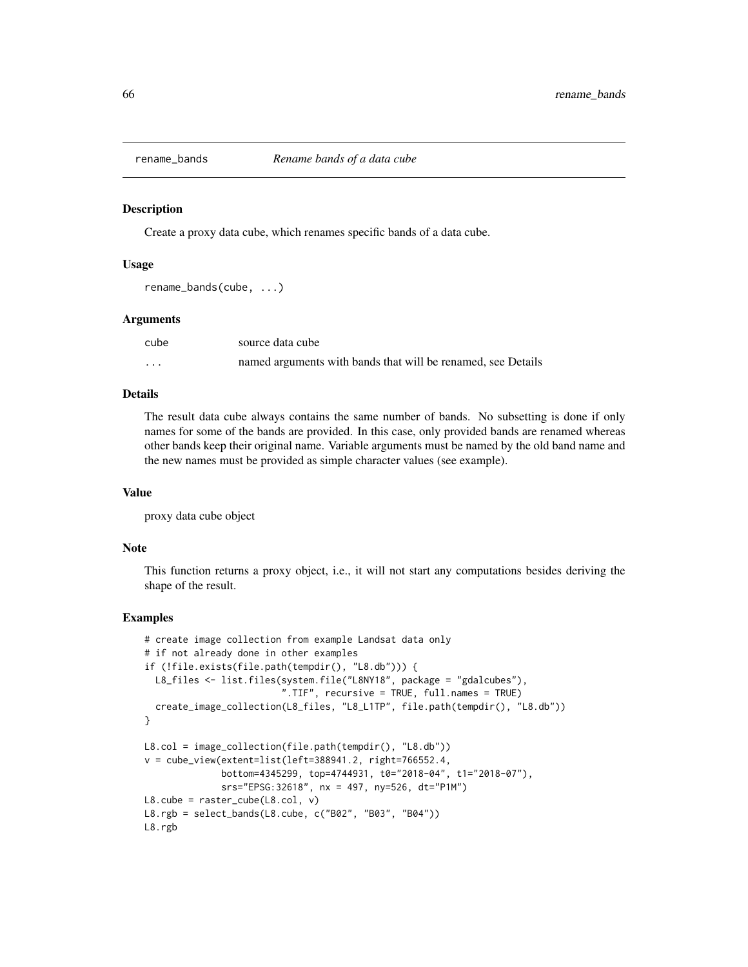### **Description**

Create a proxy data cube, which renames specific bands of a data cube.

### Usage

```
rename_bands(cube, ...)
```
### Arguments

| cube     | source data cube                                             |
|----------|--------------------------------------------------------------|
| $\cdots$ | named arguments with bands that will be renamed, see Details |

### Details

The result data cube always contains the same number of bands. No subsetting is done if only names for some of the bands are provided. In this case, only provided bands are renamed whereas other bands keep their original name. Variable arguments must be named by the old band name and the new names must be provided as simple character values (see example).

#### Value

proxy data cube object

### Note

This function returns a proxy object, i.e., it will not start any computations besides deriving the shape of the result.

```
# create image collection from example Landsat data only
# if not already done in other examples
if (!file.exists(file.path(tempdir(), "L8.db"))) {
  L8_files <- list.files(system.file("L8NY18", package = "gdalcubes"),
                         ".TIF", recursive = TRUE, full.names = TRUE)
  create_image_collection(L8_files, "L8_L1TP", file.path(tempdir(), "L8.db"))
}
L8.col = image_collection(file.path(tempdir(), "L8.db"))
v = cube_view(extent=list(left=388941.2, right=766552.4,
              bottom=4345299, top=4744931, t0="2018-04", t1="2018-07"),
              srs="EPSG:32618", nx = 497, ny=526, dt="P1M")
L8.cube = raster_cube(L8.col, v)
L8.rgb = select_bands(L8.cube, c("B02", "B03", "B04"))
L8.rgb
```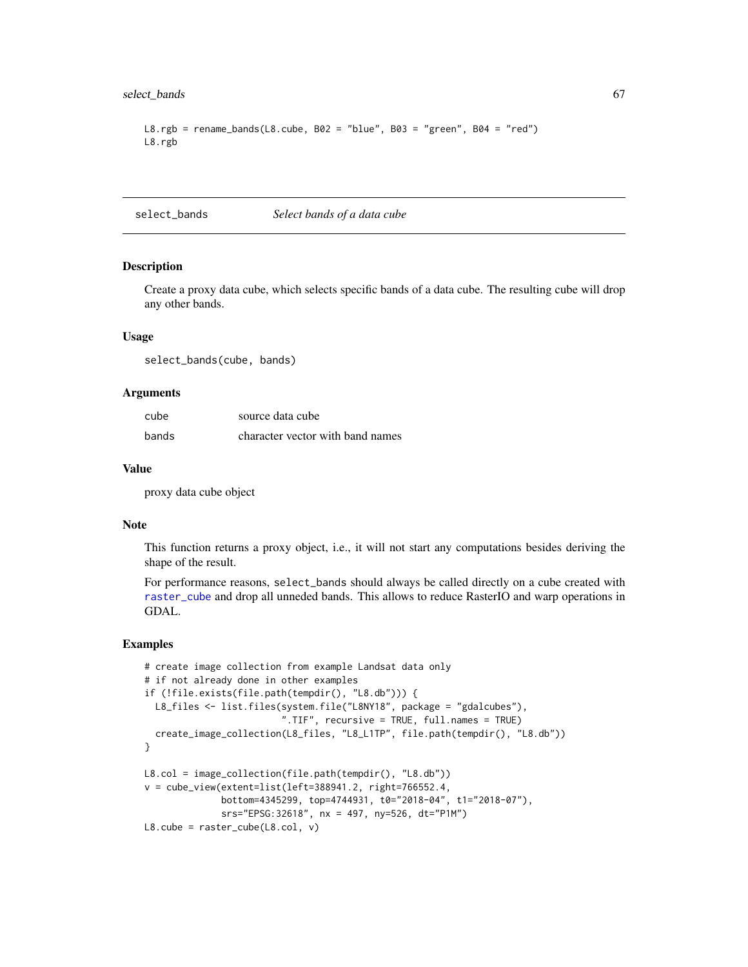# select\_bands 67

```
L8.rgb = rename_bands(L8.cube, B02 = "blue", B03 = "green", B04 = "red")
L8.rgb
```
select\_bands *Select bands of a data cube*

### **Description**

Create a proxy data cube, which selects specific bands of a data cube. The resulting cube will drop any other bands.

# Usage

select\_bands(cube, bands)

### Arguments

| cube  | source data cube                 |
|-------|----------------------------------|
| bands | character vector with band names |

#### Value

proxy data cube object

## Note

This function returns a proxy object, i.e., it will not start any computations besides deriving the shape of the result.

For performance reasons, select\_bands should always be called directly on a cube created with [raster\\_cube](#page-55-0) and drop all unneded bands. This allows to reduce RasterIO and warp operations in GDAL.

```
# create image collection from example Landsat data only
# if not already done in other examples
if (!file.exists(file.path(tempdir(), "L8.db"))) {
  L8_files <- list.files(system.file("L8NY18", package = "gdalcubes"),
                         ".TIF", recursive = TRUE, full.names = TRUE)
  create_image_collection(L8_files, "L8_L1TP", file.path(tempdir(), "L8.db"))
}
L8.col = image_collection(file.path(tempdir(), "L8.db"))
v = cube_view(extent=list(left=388941.2, right=766552.4,
              bottom=4345299, top=4744931, t0="2018-04", t1="2018-07"),
              srs="EPSG:32618", nx = 497, ny=526, dt="P1M")
L8.cube = raster_cube(L8.col, v)
```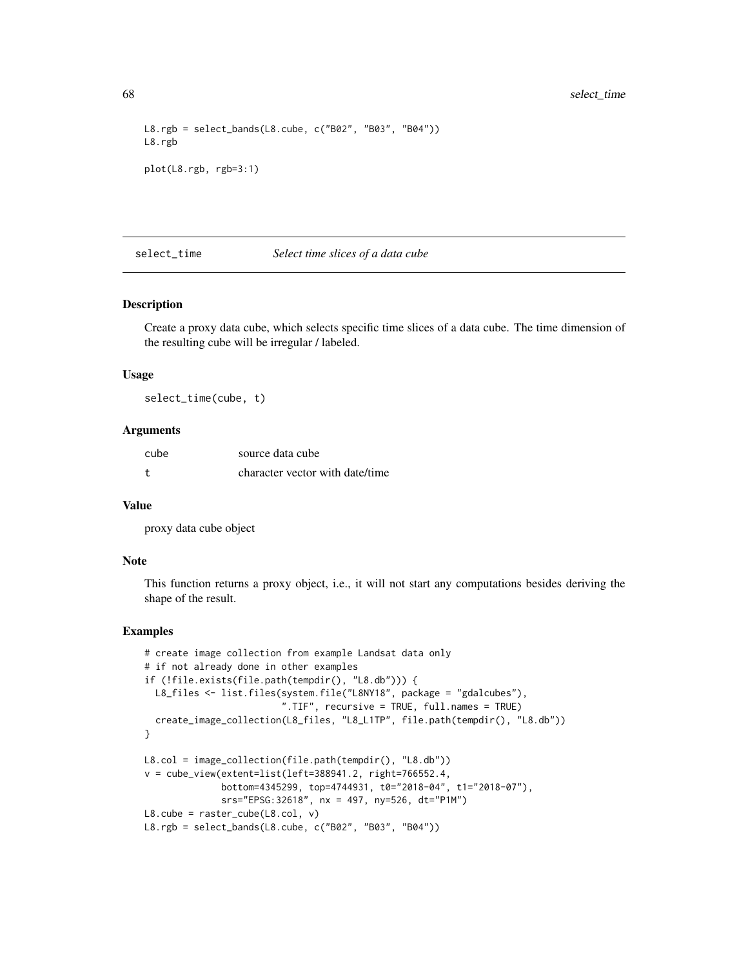```
L8.rgb = select_bands(L8.cube, c("B02", "B03", "B04"))
L8.rgb
plot(L8.rgb, rgb=3:1)
```
#### select\_time *Select time slices of a data cube*

### Description

Create a proxy data cube, which selects specific time slices of a data cube. The time dimension of the resulting cube will be irregular / labeled.

# Usage

select\_time(cube, t)

### Arguments

| cube | source data cube                |
|------|---------------------------------|
|      | character vector with date/time |

#### Value

proxy data cube object

### Note

This function returns a proxy object, i.e., it will not start any computations besides deriving the shape of the result.

```
# create image collection from example Landsat data only
# if not already done in other examples
if (!file.exists(file.path(tempdir(), "L8.db"))) {
  L8_files <- list.files(system.file("L8NY18", package = "gdalcubes"),
                          ".TIF", recursive = TRUE, full.names = TRUE)
  create_image_collection(L8_files, "L8_L1TP", file.path(tempdir(), "L8.db"))
}
L8.col = image_collection(file.path(tempdir(), "L8.db"))
v = cube_view(extent=list(left=388941.2, right=766552.4,
              bottom=4345299, top=4744931, t0="2018-04", t1="2018-07"),
              srs="EPSG:32618", nx = 497, ny=526, dt="P1M")
L8.\text{cube} = \text{raster\_cube}(L8.\text{col}, \text{v})L8.rgb = select_bands(L8.cube, c("B02", "B03", "B04"))
```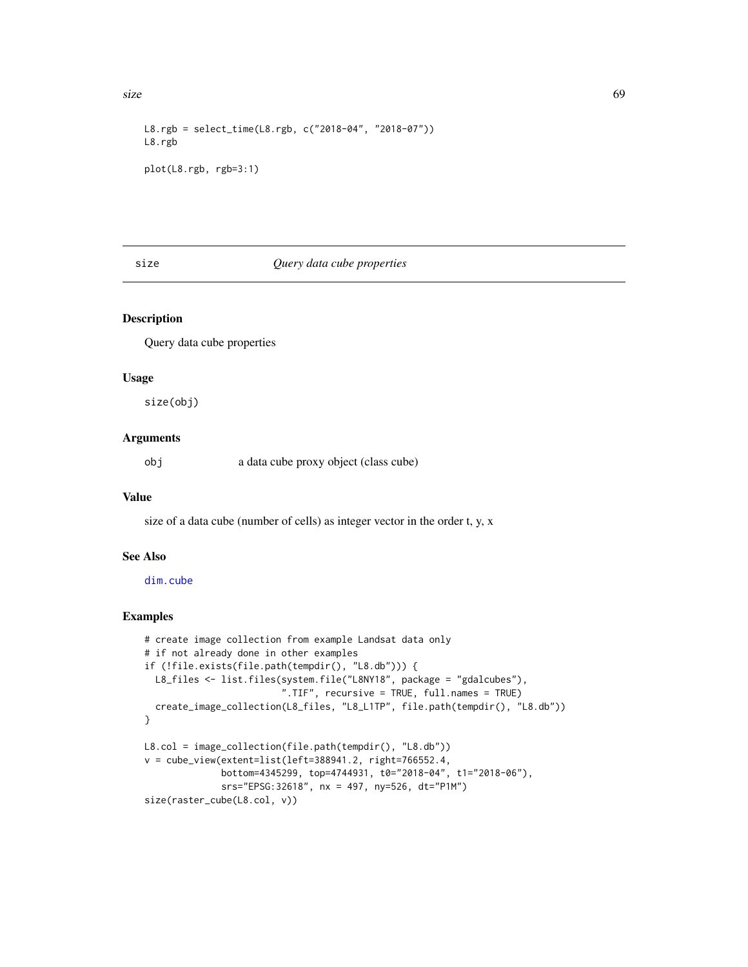size 69

```
L8.rgb = select_time(L8.rgb, c("2018-04", "2018-07"))
L8.rgb
plot(L8.rgb, rgb=3:1)
```
# size *Query data cube properties*

### Description

Query data cube properties

# Usage

size(obj)

# Arguments

obj a data cube proxy object (class cube)

# Value

size of a data cube (number of cells) as integer vector in the order t, y, x

# See Also

[dim.cube](#page-24-0)

```
# create image collection from example Landsat data only
# if not already done in other examples
if (!file.exists(file.path(tempdir(), "L8.db"))) {
 L8_files <- list.files(system.file("L8NY18", package = "gdalcubes"),
                         ".TIF", recursive = TRUE, full.names = TRUE)
  create_image_collection(L8_files, "L8_L1TP", file.path(tempdir(), "L8.db"))
}
L8.col = image_collection(file.path(tempdir(), "L8.db"))
v = cube_view(extent=list(left=388941.2, right=766552.4,
             bottom=4345299, top=4744931, t0="2018-04", t1="2018-06"),
              srs="EPSG:32618", nx = 497, ny=526, dt="P1M")
size(raster_cube(L8.col, v))
```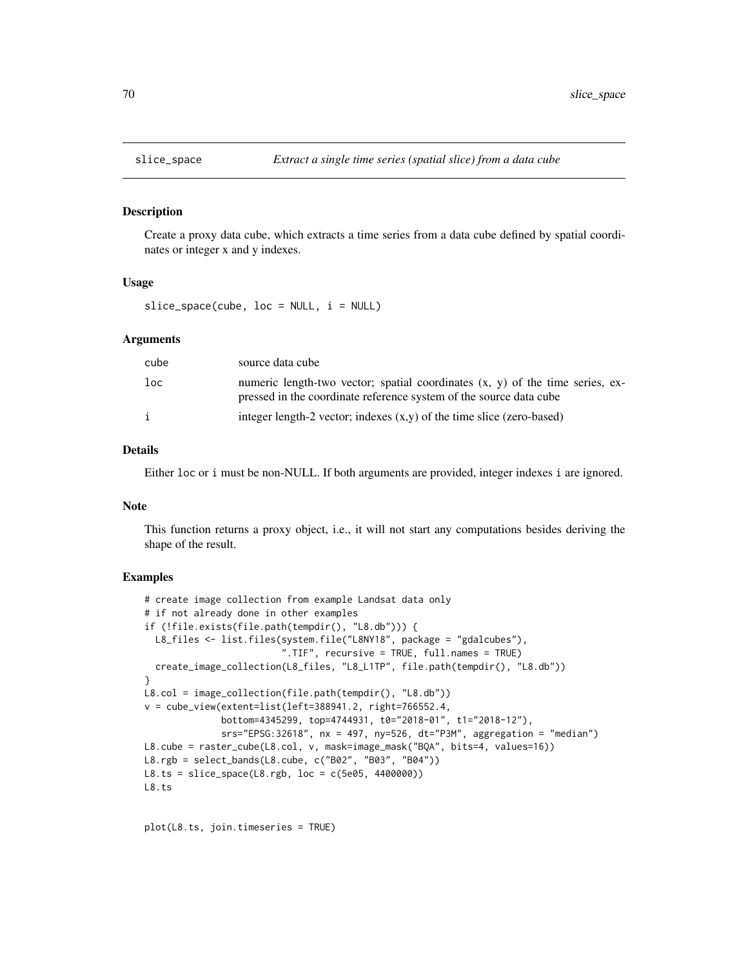### Description

Create a proxy data cube, which extracts a time series from a data cube defined by spatial coordinates or integer x and y indexes.

## Usage

 $slice\_space(cube, loc = NULL, i = NULL)$ 

# Arguments

| cube | source data cube                                                                                                                                      |
|------|-------------------------------------------------------------------------------------------------------------------------------------------------------|
| loc  | numeric length-two vector; spatial coordinates $(x, y)$ of the time series, ex-<br>pressed in the coordinate reference system of the source data cube |
|      | integer length-2 vector; indexes $(x,y)$ of the time slice (zero-based)                                                                               |

# Details

Either loc or i must be non-NULL. If both arguments are provided, integer indexes i are ignored.

#### Note

This function returns a proxy object, i.e., it will not start any computations besides deriving the shape of the result.

# Examples

```
# create image collection from example Landsat data only
# if not already done in other examples
if (!file.exists(file.path(tempdir(), "L8.db"))) {
  L8_files <- list.files(system.file("L8NY18", package = "gdalcubes"),
                         ".TIF", recursive = TRUE, full.names = TRUE)
  create_image_collection(L8_files, "L8_L1TP", file.path(tempdir(), "L8.db"))
}
L8.col = image_collection(file.path(tempdir(), "L8.db"))
v = cube_view(extent=list(left=388941.2, right=766552.4,
              bottom=4345299, top=4744931, t0="2018-01", t1="2018-12"),
              srs="EPSG:32618", nx = 497, ny=526, dt="P3M", aggregation = "median")
L8.cube = raster_cube(L8.col, v, mask=image_mask("BQA", bits=4, values=16))
L8.rgb = select_bands(L8.cube, c("B02", "B03", "B04"))
L8.ts = slice_space(L8.rgb, loc = c(5e05, 4400000))
L8.ts
```
plot(L8.ts, join.timeseries = TRUE)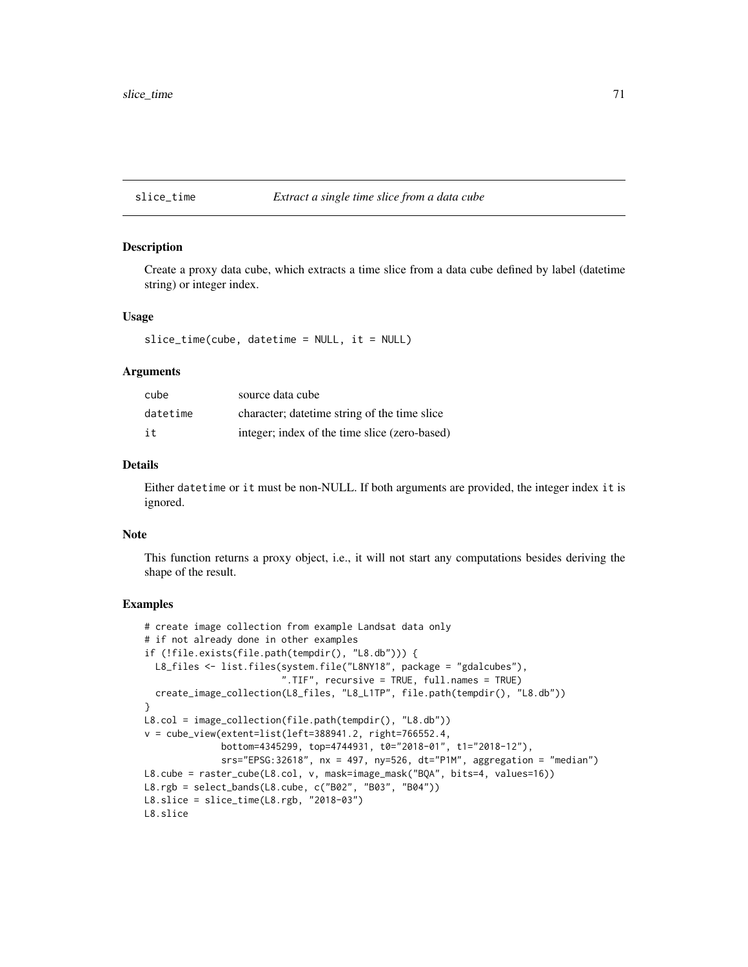#### slice\_time *Extract a single time slice from a data cube*

### Description

Create a proxy data cube, which extracts a time slice from a data cube defined by label (datetime string) or integer index.

#### Usage

```
slice_time(cube, datetime = NULL, it = NULL)
```
#### **Arguments**

| cube     | source data cube                              |
|----------|-----------------------------------------------|
| datetime | character; date time string of the time slice |
| it       | integer; index of the time slice (zero-based) |

# Details

Either datetime or it must be non-NULL. If both arguments are provided, the integer index it is ignored.

#### Note

This function returns a proxy object, i.e., it will not start any computations besides deriving the shape of the result.

```
# create image collection from example Landsat data only
# if not already done in other examples
if (!file.exists(file.path(tempdir(), "L8.db"))) {
  L8_files <- list.files(system.file("L8NY18", package = "gdalcubes"),
                         ".TIF", recursive = TRUE, full.names = TRUE)
  create_image_collection(L8_files, "L8_L1TP", file.path(tempdir(), "L8.db"))
}
L8.col = image_collection(file.path(tempdir(), "L8.db"))
v = cube_view(extent=list(left=388941.2, right=766552.4,
             bottom=4345299, top=4744931, t0="2018-01", t1="2018-12"),
              srs="EPSG:32618", nx = 497, ny=526, dt="P1M", aggregation = "median")
L8.cube = raster_cube(L8.col, v, mask=image_mask("BQA", bits=4, values=16))
L8.rgb = select_bands(L8.cube, c("B02", "B03", "B04"))
L8.slice = slice_time(L8.rgb, "2018-03")
L8.slice
```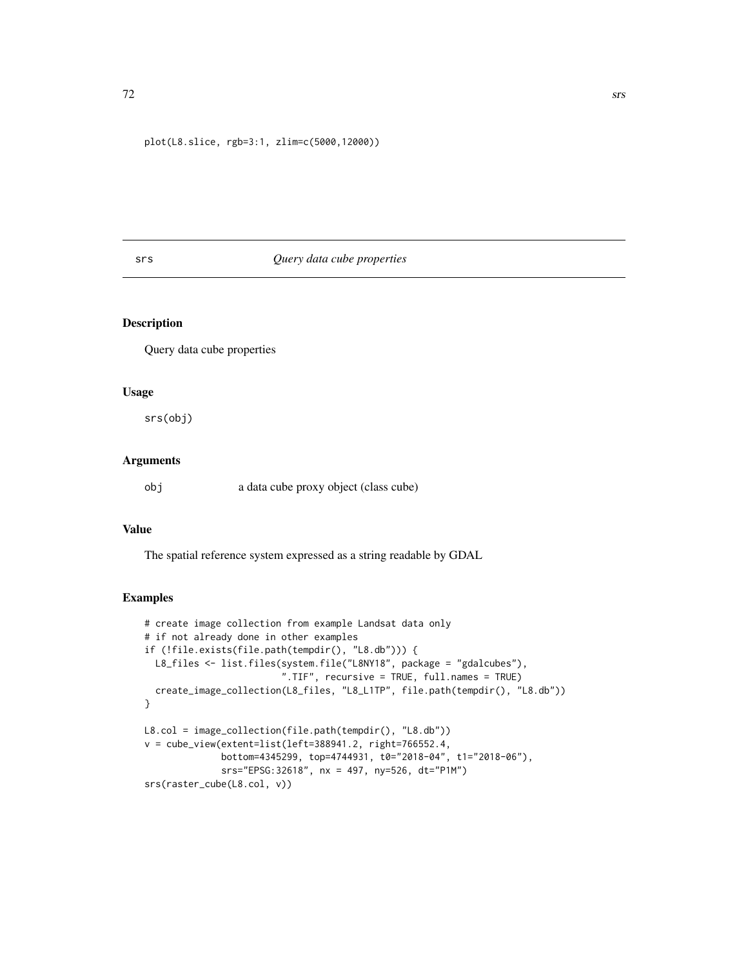plot(L8.slice, rgb=3:1, zlim=c(5000,12000))

# srs *Query data cube properties*

# Description

Query data cube properties

# Usage

srs(obj)

### Arguments

obj a data cube proxy object (class cube)

# Value

The spatial reference system expressed as a string readable by GDAL

```
# create image collection from example Landsat data only
# if not already done in other examples
if (!file.exists(file.path(tempdir(), "L8.db"))) {
 L8_files <- list.files(system.file("L8NY18", package = "gdalcubes"),
                         ".TIF", recursive = TRUE, full.names = TRUE)
  create_image_collection(L8_files, "L8_L1TP", file.path(tempdir(), "L8.db"))
}
L8.col = image_collection(file.path(tempdir(), "L8.db"))
v = cube_view(extent=list(left=388941.2, right=766552.4,
              bottom=4345299, top=4744931, t0="2018-04", t1="2018-06"),
              srs="EPSG:32618", nx = 497, ny=526, dt="P1M")
srs(raster_cube(L8.col, v))
```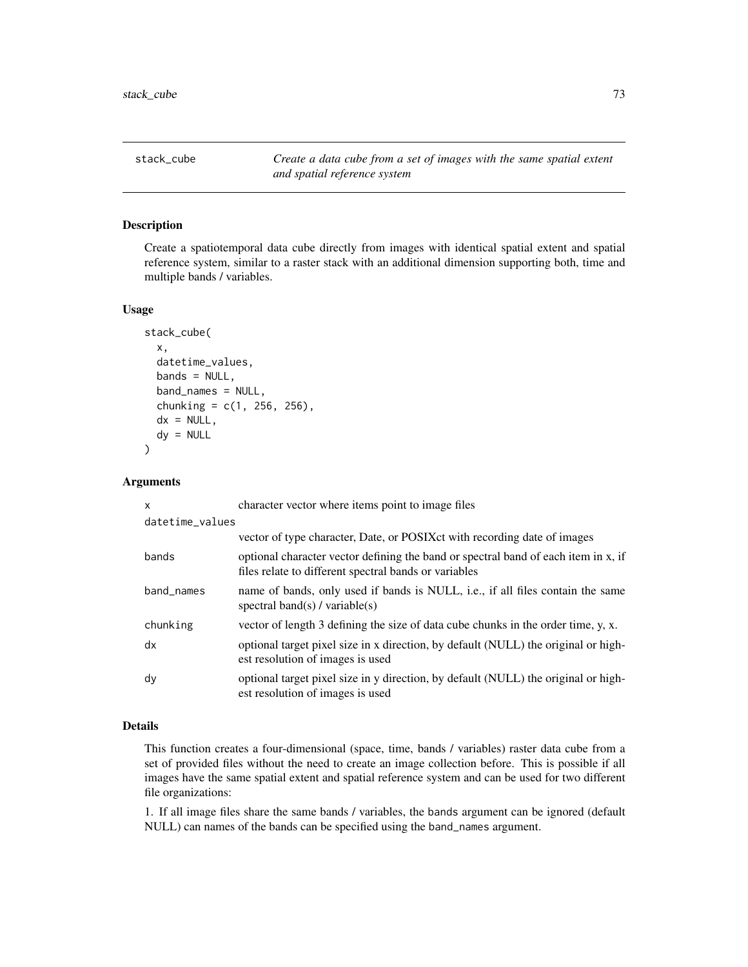<span id="page-72-0"></span>stack\_cube *Create a data cube from a set of images with the same spatial extent and spatial reference system*

## Description

Create a spatiotemporal data cube directly from images with identical spatial extent and spatial reference system, similar to a raster stack with an additional dimension supporting both, time and multiple bands / variables.

#### Usage

```
stack_cube(
  x,
  datetime_values,
  bands = NULL,band_names = NULL,
  chunking = c(1, 256, 256),
  dx = NULL,dy = NULL\mathcal{E}
```
## Arguments

| X               | character vector where items point to image files                                                                                           |
|-----------------|---------------------------------------------------------------------------------------------------------------------------------------------|
| datetime_values |                                                                                                                                             |
|                 | vector of type character, Date, or POSIX ct with recording date of images                                                                   |
| bands           | optional character vector defining the band or spectral band of each item in x, if<br>files relate to different spectral bands or variables |
| band_names      | name of bands, only used if bands is NULL, i.e., if all files contain the same<br>spectral band(s) / variable(s)                            |
| chunking        | vector of length 3 defining the size of data cube chunks in the order time, y, x.                                                           |
| dx              | optional target pixel size in x direction, by default (NULL) the original or high-<br>est resolution of images is used                      |
| dy              | optional target pixel size in y direction, by default (NULL) the original or high-<br>est resolution of images is used                      |

# Details

This function creates a four-dimensional (space, time, bands / variables) raster data cube from a set of provided files without the need to create an image collection before. This is possible if all images have the same spatial extent and spatial reference system and can be used for two different file organizations:

1. If all image files share the same bands / variables, the bands argument can be ignored (default NULL) can names of the bands can be specified using the band\_names argument.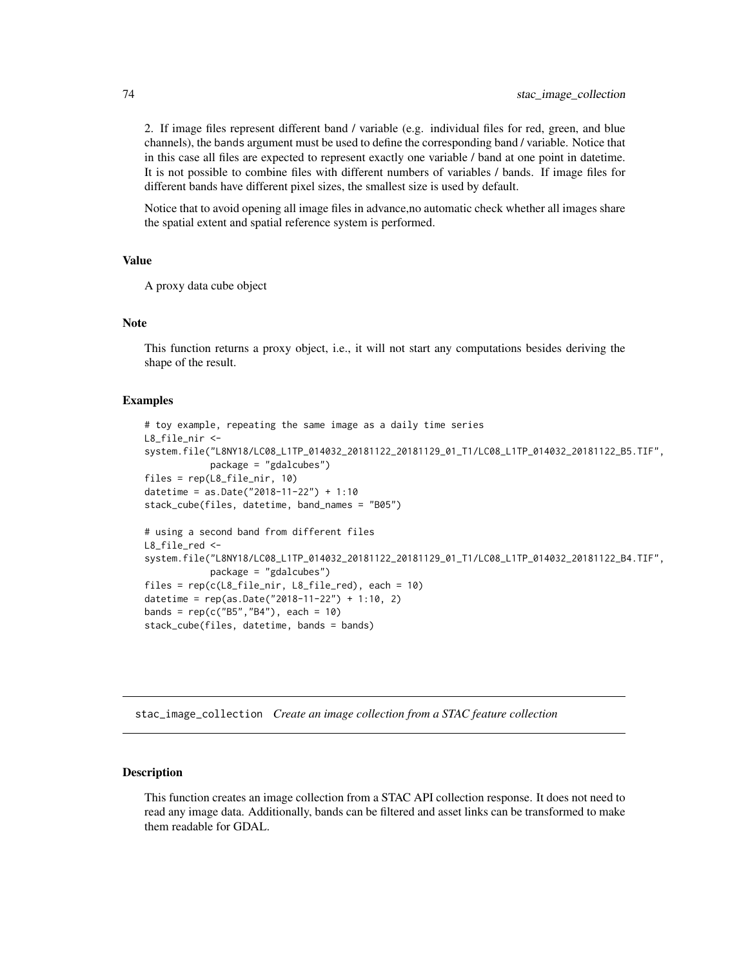<span id="page-73-0"></span>2. If image files represent different band / variable (e.g. individual files for red, green, and blue channels), the bands argument must be used to define the corresponding band / variable. Notice that in this case all files are expected to represent exactly one variable / band at one point in datetime. It is not possible to combine files with different numbers of variables / bands. If image files for different bands have different pixel sizes, the smallest size is used by default.

Notice that to avoid opening all image files in advance,no automatic check whether all images share the spatial extent and spatial reference system is performed.

#### Value

A proxy data cube object

#### Note

This function returns a proxy object, i.e., it will not start any computations besides deriving the shape of the result.

#### Examples

```
# toy example, repeating the same image as a daily time series
L8_file_nir <-
system.file("L8NY18/LC08_L1TP_014032_20181122_20181129_01_T1/LC08_L1TP_014032_20181122_B5.TIF",
            package = "gdalcubes")
files = rep(L8_file_nir, 10)
datetime = as.Date("2018-11-22") + 1:10
stack_cube(files, datetime, band_names = "B05")
# using a second band from different files
L8_file_red <-
system.file("L8NY18/LC08_L1TP_014032_20181122_20181129_01_T1/LC08_L1TP_014032_20181122_B4.TIF",
            package = "gdalcubes")
files = rep(c(L8_file_nir, L8_file_red), each = 10)
datetime = rep(as.Date("2018-11-22") + 1:10, 2)
bands = rep(c("B5", "B4"), each = 10)
stack_cube(files, datetime, bands = bands)
```
stac\_image\_collection *Create an image collection from a STAC feature collection*

#### Description

This function creates an image collection from a STAC API collection response. It does not need to read any image data. Additionally, bands can be filtered and asset links can be transformed to make them readable for GDAL.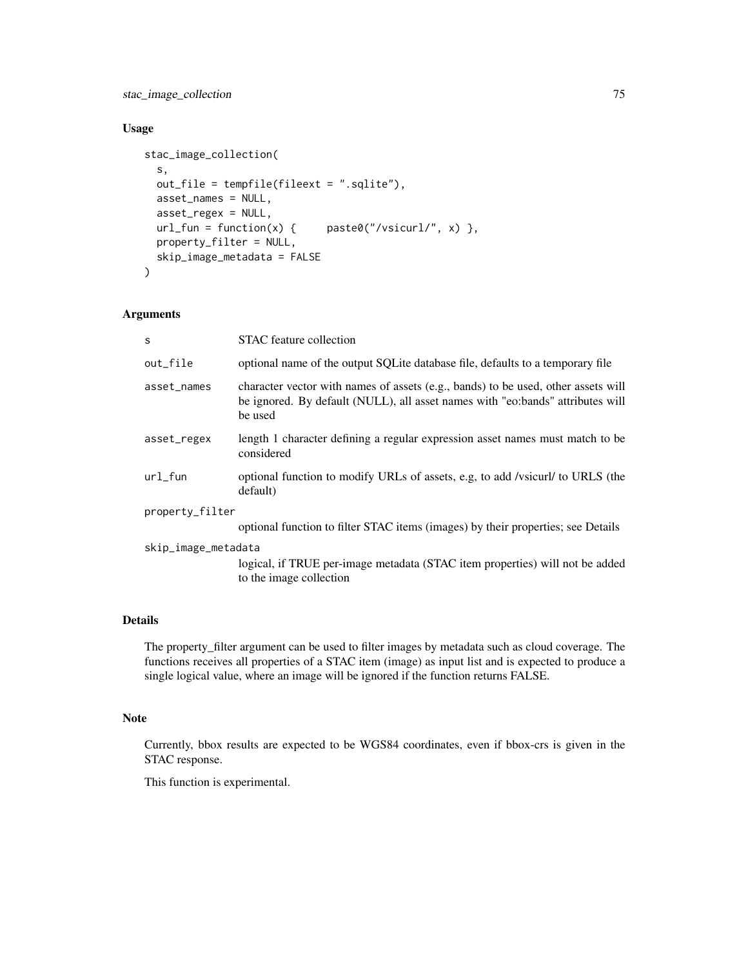stac\_image\_collection 75

# Usage

```
stac_image_collection(
  s,
 out_file = tempfile(fileext = ".sqlite"),
 asset_names = NULL,
  asset_regex = NULL,
 url_fun = function(x) { paste0("/vsicurl/", x) },
 property_filter = NULL,
 skip_image_metadata = FALSE
)
```
## Arguments

| STAC feature collection                                                                                                                                                        |  |  |
|--------------------------------------------------------------------------------------------------------------------------------------------------------------------------------|--|--|
| optional name of the output SQLite database file, defaults to a temporary file                                                                                                 |  |  |
| character vector with names of assets (e.g., bands) to be used, other assets will<br>be ignored. By default (NULL), all asset names with "eo:bands" attributes will<br>be used |  |  |
| length 1 character defining a regular expression asset names must match to be<br>considered                                                                                    |  |  |
| optional function to modify URLs of assets, e.g, to add /vsicurl/ to URLS (the<br>default)                                                                                     |  |  |
| property_filter                                                                                                                                                                |  |  |
| optional function to filter STAC items (images) by their properties; see Details                                                                                               |  |  |
| skip_image_metadata<br>logical, if TRUE per-image metadata (STAC item properties) will not be added<br>to the image collection                                                 |  |  |
|                                                                                                                                                                                |  |  |

# Details

The property\_filter argument can be used to filter images by metadata such as cloud coverage. The functions receives all properties of a STAC item (image) as input list and is expected to produce a single logical value, where an image will be ignored if the function returns FALSE.

# Note

Currently, bbox results are expected to be WGS84 coordinates, even if bbox-crs is given in the STAC response.

This function is experimental.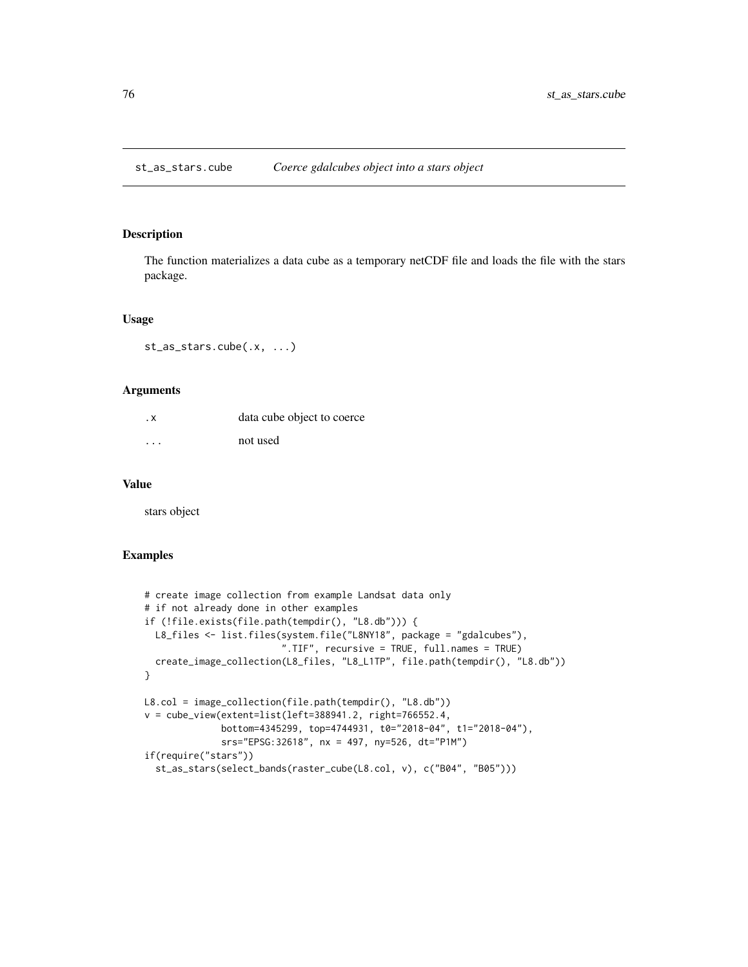<span id="page-75-0"></span>st\_as\_stars.cube *Coerce gdalcubes object into a stars object*

## Description

The function materializes a data cube as a temporary netCDF file and loads the file with the stars package.

#### Usage

```
st_as_stars.cube(.x, ...)
```
## Arguments

| $\cdot$ X               | data cube object to coerce |
|-------------------------|----------------------------|
| $\cdot$ $\cdot$ $\cdot$ | not used                   |

#### Value

stars object

## Examples

```
# create image collection from example Landsat data only
# if not already done in other examples
if (!file.exists(file.path(tempdir(), "L8.db"))) {
  L8_files <- list.files(system.file("L8NY18", package = "gdalcubes"),
                         ".TIF", recursive = TRUE, full.names = TRUE)
  create_image_collection(L8_files, "L8_L1TP", file.path(tempdir(), "L8.db"))
}
L8.col = image_collection(file.path(tempdir(), "L8.db"))
v = cube_view(extent=list(left=388941.2, right=766552.4,
              bottom=4345299, top=4744931, t0="2018-04", t1="2018-04"),
              srs="EPSG:32618", nx = 497, ny=526, dt="P1M")
if(require("stars"))
  st_as_stars(select_bands(raster_cube(L8.col, v), c("B04", "B05")))
```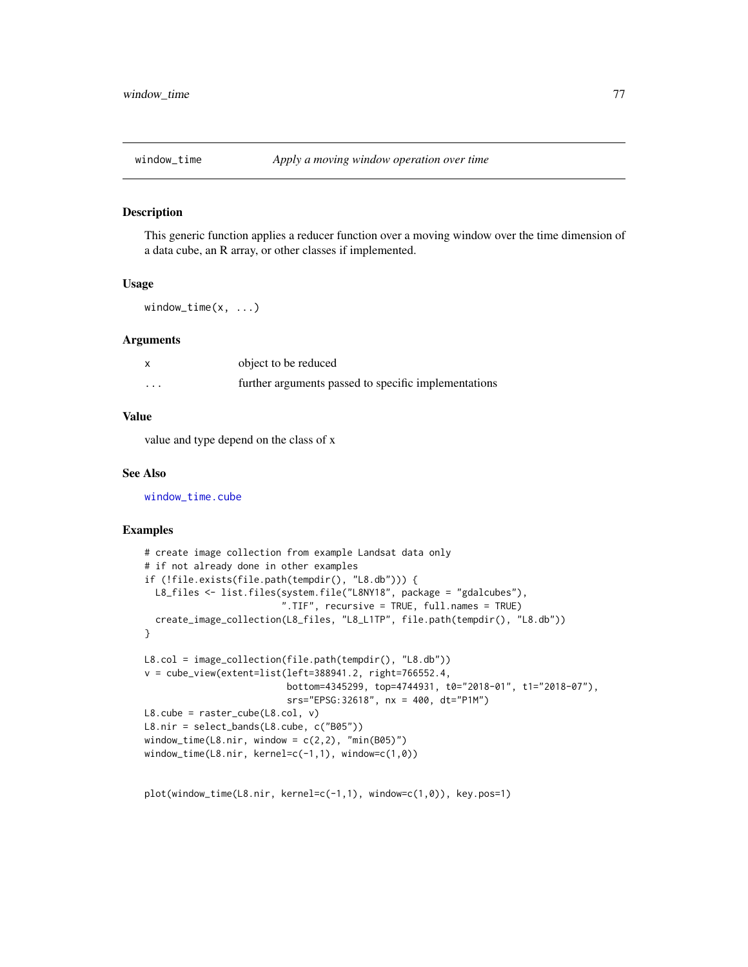<span id="page-76-0"></span>

#### Description

This generic function applies a reducer function over a moving window over the time dimension of a data cube, an R array, or other classes if implemented.

#### Usage

window\_time(x, ...)

#### Arguments

|                   | object to be reduced                                 |
|-------------------|------------------------------------------------------|
| $\cdot\cdot\cdot$ | further arguments passed to specific implementations |

# Value

value and type depend on the class of x

#### See Also

[window\\_time.cube](#page-77-0)

## Examples

```
# create image collection from example Landsat data only
# if not already done in other examples
if (!file.exists(file.path(tempdir(), "L8.db"))) {
  L8_files <- list.files(system.file("L8NY18", package = "gdalcubes"),
                         ".TIF", recursive = TRUE, full.names = TRUE)
  create_image_collection(L8_files, "L8_L1TP", file.path(tempdir(), "L8.db"))
}
L8.col = image_collection(file.path(tempdir(), "L8.db"))
v = cube\_view(extent=list(left=388941.2, right=766552.4,bottom=4345299, top=4744931, t0="2018-01", t1="2018-07"),
                          srs="EPSG:32618", nx = 400, dt="P1M")
L8.cube = raster_cube(L8.col, v)
L8.nir = select_bands(L8.cube, c("B05"))
window_time(L8.nir, window = c(2,2), "min(B05)")
window_time(L8.nir, kernel=c(-1,1), window=c(1,0))
```
plot(window\_time(L8.nir, kernel=c(-1,1), window=c(1,0)), key.pos=1)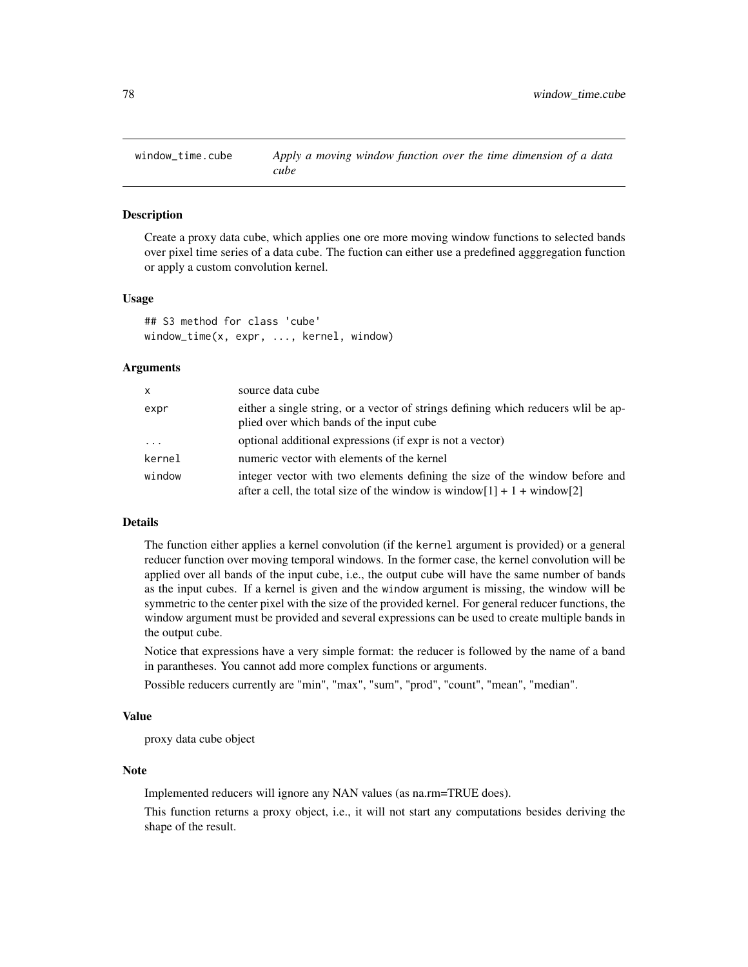<span id="page-77-1"></span><span id="page-77-0"></span>

## Description

Create a proxy data cube, which applies one ore more moving window functions to selected bands over pixel time series of a data cube. The fuction can either use a predefined agggregation function or apply a custom convolution kernel.

#### Usage

```
## S3 method for class 'cube'
window_time(x, expr, ..., kernel, window)
```
#### Arguments

| $\mathsf{x}$        | source data cube                                                                                                                                             |
|---------------------|--------------------------------------------------------------------------------------------------------------------------------------------------------------|
| expr                | either a single string, or a vector of strings defining which reducers will be ap-<br>plied over which bands of the input cube                               |
| $\cdot \cdot \cdot$ | optional additional expressions (if expr is not a vector)                                                                                                    |
| kernel              | numeric vector with elements of the kernel                                                                                                                   |
| window              | integer vector with two elements defining the size of the window before and<br>after a cell, the total size of the window is window $[1] + 1 +$ window $[2]$ |

## Details

The function either applies a kernel convolution (if the kernel argument is provided) or a general reducer function over moving temporal windows. In the former case, the kernel convolution will be applied over all bands of the input cube, i.e., the output cube will have the same number of bands as the input cubes. If a kernel is given and the window argument is missing, the window will be symmetric to the center pixel with the size of the provided kernel. For general reducer functions, the window argument must be provided and several expressions can be used to create multiple bands in the output cube.

Notice that expressions have a very simple format: the reducer is followed by the name of a band in parantheses. You cannot add more complex functions or arguments.

Possible reducers currently are "min", "max", "sum", "prod", "count", "mean", "median".

#### Value

proxy data cube object

#### Note

Implemented reducers will ignore any NAN values (as na.rm=TRUE does).

This function returns a proxy object, i.e., it will not start any computations besides deriving the shape of the result.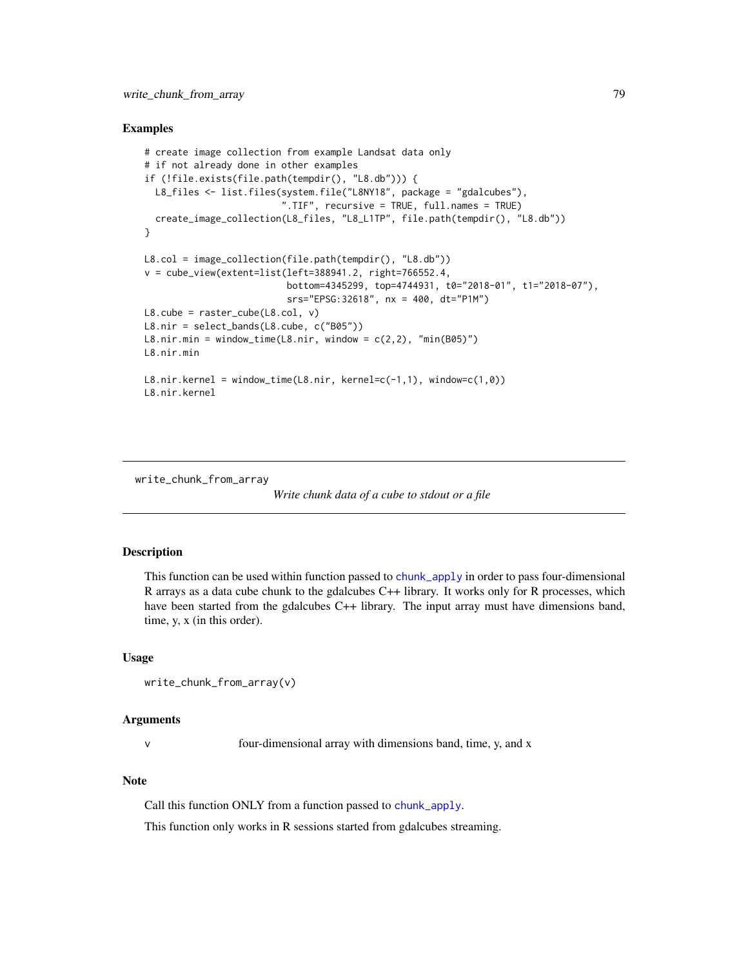## <span id="page-78-0"></span>Examples

```
# create image collection from example Landsat data only
# if not already done in other examples
if (!file.exists(file.path(tempdir(), "L8.db"))) {
  L8_files <- list.files(system.file("L8NY18", package = "gdalcubes"),
                          ".TIF", recursive = TRUE, full.names = TRUE)
  create_image_collection(L8_files, "L8_L1TP", file.path(tempdir(), "L8.db"))
}
L8.col = image_collection(file.path(tempdir(), "L8.db"))
v = cube_view(extent=list(left=388941.2, right=766552.4,
                           bottom=4345299, top=4744931, t0="2018-01", t1="2018-07"),
                           srs="EPSG:32618", nx = 400, dt="P1M")
L8.\text{cube} = \text{raster\_cube}(L8.\text{col}, \text{v})L8.nir = select_bands(L8.cube, c("B05"))
L8.nir.min = window_time(L8.nir, window = c(2,2), "min(B05)")L8.nir.min
L8.nir.kernel = window_time(L8.nir, kernel=c(-1,1), window=c(1,0))
L8.nir.kernel
```
write\_chunk\_from\_array

```
Write chunk data of a cube to stdout or a file
```
# Description

This function can be used within function passed to [chunk\\_apply](#page-17-0) in order to pass four-dimensional R arrays as a data cube chunk to the gdalcubes C++ library. It works only for R processes, which have been started from the gdalcubes C++ library. The input array must have dimensions band, time, y, x (in this order).

#### Usage

```
write_chunk_from_array(v)
```
#### Arguments

v four-dimensional array with dimensions band, time, y, and x

# Note

Call this function ONLY from a function passed to [chunk\\_apply](#page-17-0).

This function only works in R sessions started from gdalcubes streaming.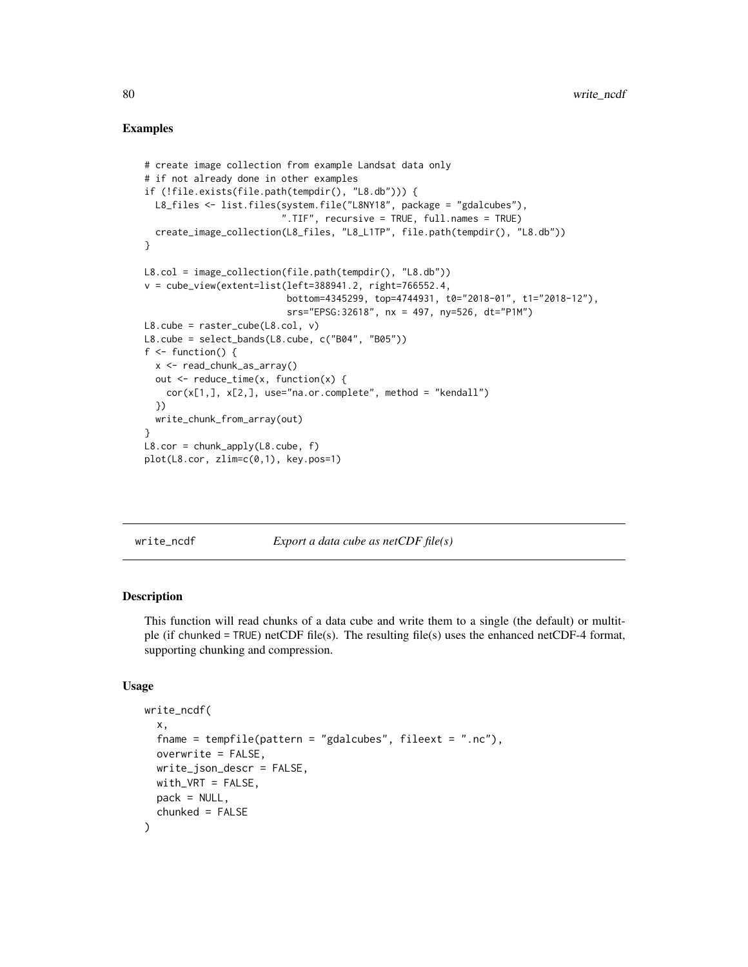# Examples

```
# create image collection from example Landsat data only
# if not already done in other examples
if (!file.exists(file.path(tempdir(), "L8.db"))) {
  L8_files <- list.files(system.file("L8NY18", package = "gdalcubes"),
                           ".TIF", recursive = TRUE, full.names = TRUE)
  create_image_collection(L8_files, "L8_L1TP", file.path(tempdir(), "L8.db"))
}
L8.col = image_collection(file.path(tempdir(), "L8.db"))
v = cube\_view(extent=list(left=388941.2, right=766552.4,bottom=4345299, top=4744931, t0="2018-01", t1="2018-12"),
                           srs="EPSG:32618", nx = 497, ny=526, dt="P1M")
L8.\text{cube} = \text{raster}\_\text{cube}(L8.\text{col}, \text{v})L8.cube = select_bands(L8.cube, c("B04", "B05"))
f \leftarrow function() {
  x <- read_chunk_as_array()
  out <- reduce_time(x, function(x) {
    cor(x[1,], x[2,], use="na.or.compilelete", method = "kendall")})
  write_chunk_from_array(out)
}
L8.cor = chunk_apply(L8.cube, f)
plot(L8.cor, zlim=c(0,1), key.pos=1)
```
write\_ncdf *Export a data cube as netCDF file(s)*

# Description

This function will read chunks of a data cube and write them to a single (the default) or multitple (if chunked = TRUE) netCDF file(s). The resulting file(s) uses the enhanced netCDF-4 format, supporting chunking and compression.

# Usage

```
write_ncdf(
  x,
  fname = tempfile(pattern = "gdalcubes", fileext = ".nc"),
  overwrite = FALSE,
  write_json_descr = FALSE,
  width_VRT = FALSE,
  pack = NULL,
  chunked = FALSE)
```
<span id="page-79-0"></span>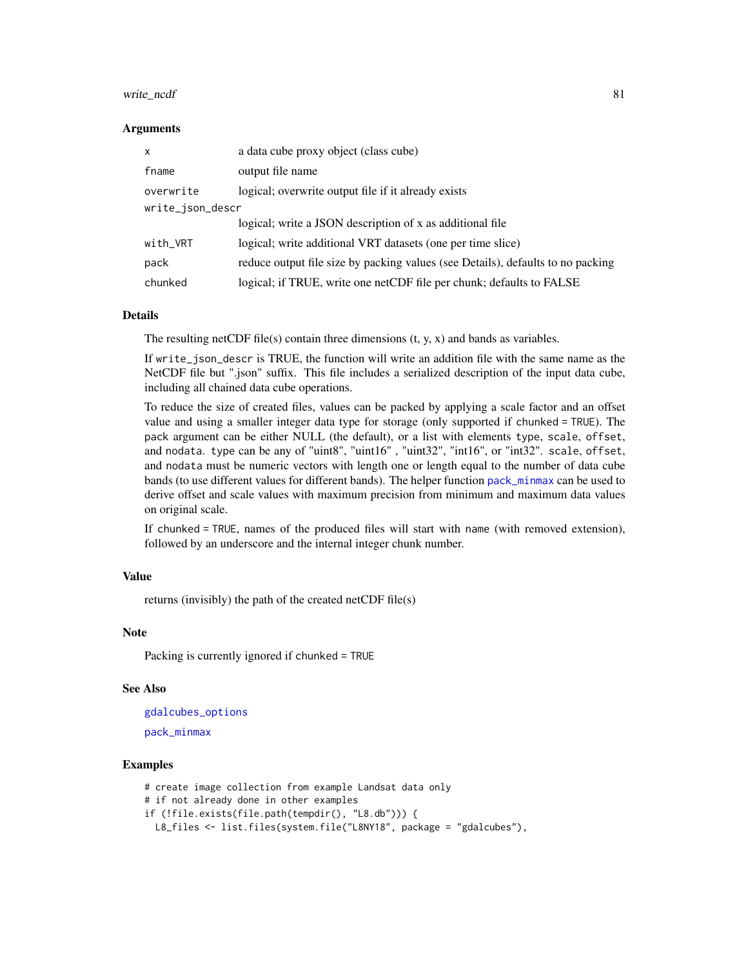#### <span id="page-80-0"></span>write\_ncdf 81

#### Arguments

| $\mathsf{x}$     | a data cube proxy object (class cube)                                           |  |
|------------------|---------------------------------------------------------------------------------|--|
| fname            | output file name                                                                |  |
| overwrite        | logical; overwrite output file if it already exists                             |  |
| write_json_descr |                                                                                 |  |
|                  | logical; write a JSON description of x as additional file                       |  |
| with_VRT         | logical; write additional VRT datasets (one per time slice)                     |  |
| pack             | reduce output file size by packing values (see Details), defaults to no packing |  |
| chunked          | logical; if TRUE, write one netCDF file per chunk; defaults to FALSE            |  |

#### Details

The resulting netCDF file(s) contain three dimensions  $(t, y, x)$  and bands as variables.

If write\_json\_descr is TRUE, the function will write an addition file with the same name as the NetCDF file but ".json" suffix. This file includes a serialized description of the input data cube, including all chained data cube operations.

To reduce the size of created files, values can be packed by applying a scale factor and an offset value and using a smaller integer data type for storage (only supported if chunked = TRUE). The pack argument can be either NULL (the default), or a list with elements type, scale, offset, and nodata. type can be any of "uint8", "uint16" , "uint32", "int16", or "int32". scale, offset, and nodata must be numeric vectors with length one or length equal to the number of data cube bands (to use different values for different bands). The helper function [pack\\_minmax](#page-49-0) can be used to derive offset and scale values with maximum precision from minimum and maximum data values on original scale.

If chunked = TRUE, names of the produced files will start with name (with removed extension), followed by an underscore and the internal integer chunk number.

#### Value

returns (invisibly) the path of the created netCDF file(s)

#### Note

Packing is currently ignored if chunked = TRUE

#### See Also

[gdalcubes\\_options](#page-35-0) [pack\\_minmax](#page-49-0)

#### Examples

```
# create image collection from example Landsat data only
# if not already done in other examples
if (!file.exists(file.path(tempdir(), "L8.db"))) {
 L8_files <- list.files(system.file("L8NY18", package = "gdalcubes"),
```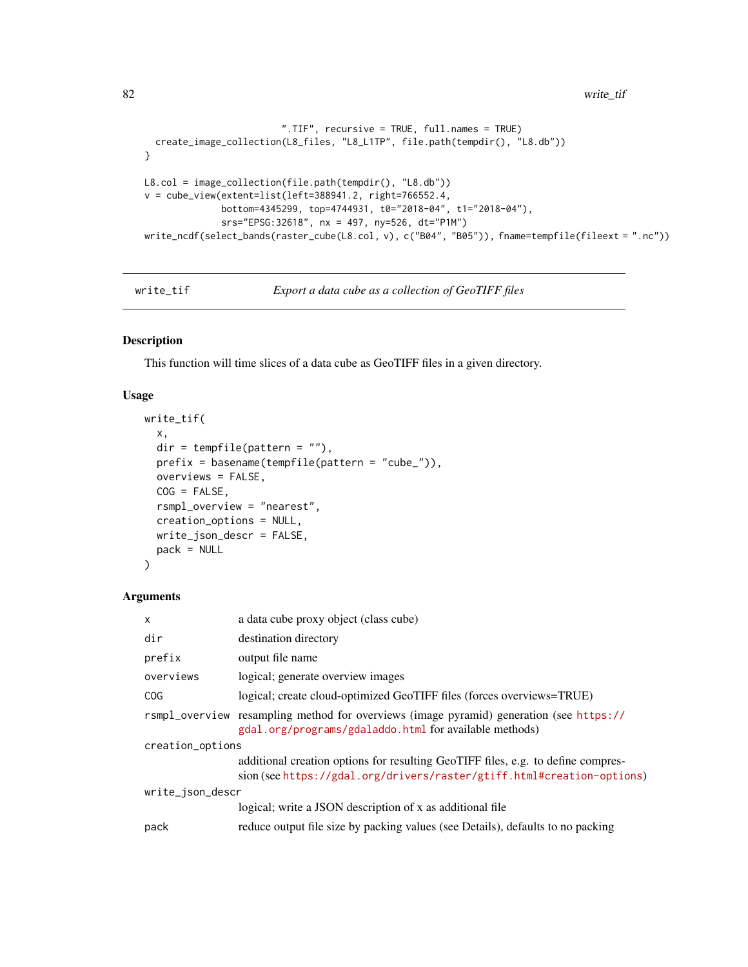```
82 write_tif
```

```
".TIF", recursive = TRUE, full.names = TRUE)
 create_image_collection(L8_files, "L8_L1TP", file.path(tempdir(), "L8.db"))
}
L8.col = image_collection(file.path(tempdir(), "L8.db"))
v = cube_view(extent=list(left=388941.2, right=766552.4,
              bottom=4345299, top=4744931, t0="2018-04", t1="2018-04"),
              srs="EPSG:32618", nx = 497, ny=526, dt="P1M")
write_ncdf(select_bands(raster_cube(L8.col, v), c("B04", "B05")), fname=tempfile(fileext = ".nc"))
```

```
write_tif Export a data cube as a collection of GeoTIFF files
```
## Description

This function will time slices of a data cube as GeoTIFF files in a given directory.

## Usage

```
write_tif(
 x,
 dir = tempfile(pathern = ""),prefix = basename(tempfile(pattern = "cube_")),
  overviews = FALSE,
 COG = FALSE,rsmpl_overview = "nearest",
  creation_options = NULL,
 write_json_descr = FALSE,
 pack = NULL
)
```
# Arguments

| X                | a data cube proxy object (class cube)                                                                                                                      |
|------------------|------------------------------------------------------------------------------------------------------------------------------------------------------------|
| dir              | destination directory                                                                                                                                      |
| prefix           | output file name                                                                                                                                           |
| overviews        | logical; generate overview images                                                                                                                          |
| <b>COG</b>       | logical; create cloud-optimized GeoTIFF files (forces overviews=TRUE)                                                                                      |
|                  | rsmpl_overview resampling method for overviews (image pyramid) generation (see https://<br>gdal.org/programs/gdaladdo.html for available methods)          |
| creation_options |                                                                                                                                                            |
|                  | additional creation options for resulting GeoTIFF files, e.g. to define compres-<br>sion (see https://gdal.org/drivers/raster/gtiff.html#creation-options) |
| write_json_descr |                                                                                                                                                            |
|                  | logical; write a JSON description of x as additional file                                                                                                  |
| pack             | reduce output file size by packing values (see Details), defaults to no packing                                                                            |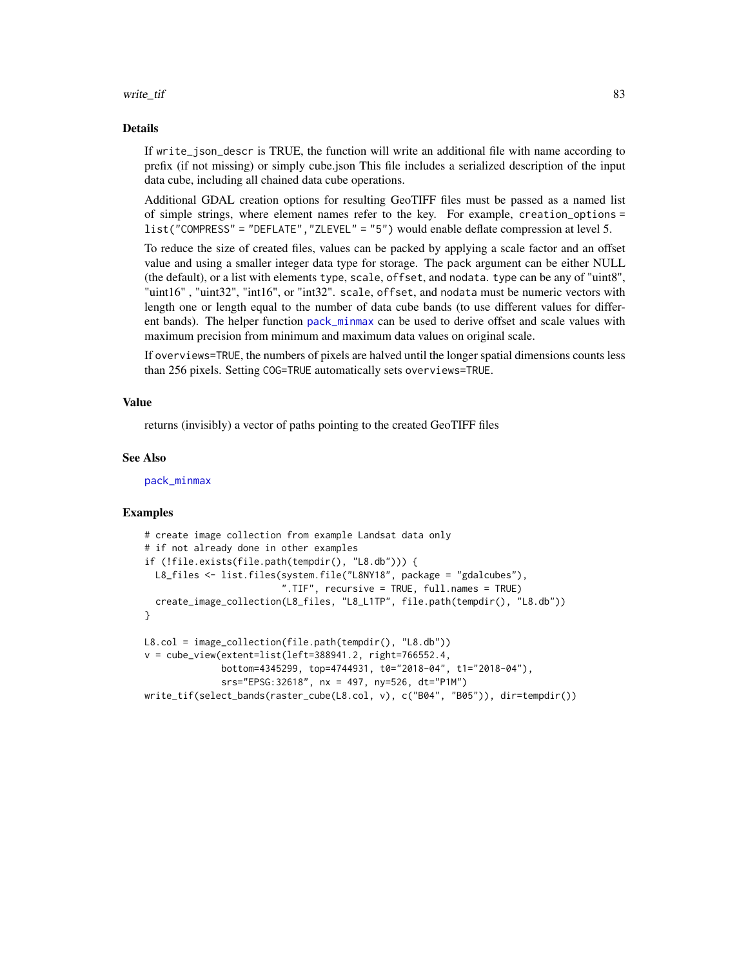#### <span id="page-82-0"></span>write\_tif 83

#### Details

If write\_json\_descr is TRUE, the function will write an additional file with name according to prefix (if not missing) or simply cube.json This file includes a serialized description of the input data cube, including all chained data cube operations.

Additional GDAL creation options for resulting GeoTIFF files must be passed as a named list of simple strings, where element names refer to the key. For example, creation\_options = list("COMPRESS" = "DEFLATE","ZLEVEL" = "5") would enable deflate compression at level 5.

To reduce the size of created files, values can be packed by applying a scale factor and an offset value and using a smaller integer data type for storage. The pack argument can be either NULL (the default), or a list with elements type, scale, offset, and nodata. type can be any of "uint8", "uint16" , "uint32", "int16", or "int32". scale, offset, and nodata must be numeric vectors with length one or length equal to the number of data cube bands (to use different values for different bands). The helper function [pack\\_minmax](#page-49-0) can be used to derive offset and scale values with maximum precision from minimum and maximum data values on original scale.

If overviews=TRUE, the numbers of pixels are halved until the longer spatial dimensions counts less than 256 pixels. Setting COG=TRUE automatically sets overviews=TRUE.

## Value

returns (invisibly) a vector of paths pointing to the created GeoTIFF files

#### See Also

[pack\\_minmax](#page-49-0)

## Examples

```
# create image collection from example Landsat data only
# if not already done in other examples
if (!file.exists(file.path(tempdir(), "L8.db"))) {
  L8_files <- list.files(system.file("L8NY18", package = "gdalcubes"),
                         ".TIF", recursive = TRUE, full.names = TRUE)
  create_image_collection(L8_files, "L8_L1TP", file.path(tempdir(), "L8.db"))
}
L8.col = image_collection(file.path(tempdir(), "L8.db"))
v = cube_view(extent=list(left=388941.2, right=766552.4,
              bottom=4345299, top=4744931, t0="2018-04", t1="2018-04"),
              srs="EPSG:32618", nx = 497, ny=526, dt="P1M")
write_tif(select_bands(raster_cube(L8.col, v), c("B04", "B05")), dir=tempdir())
```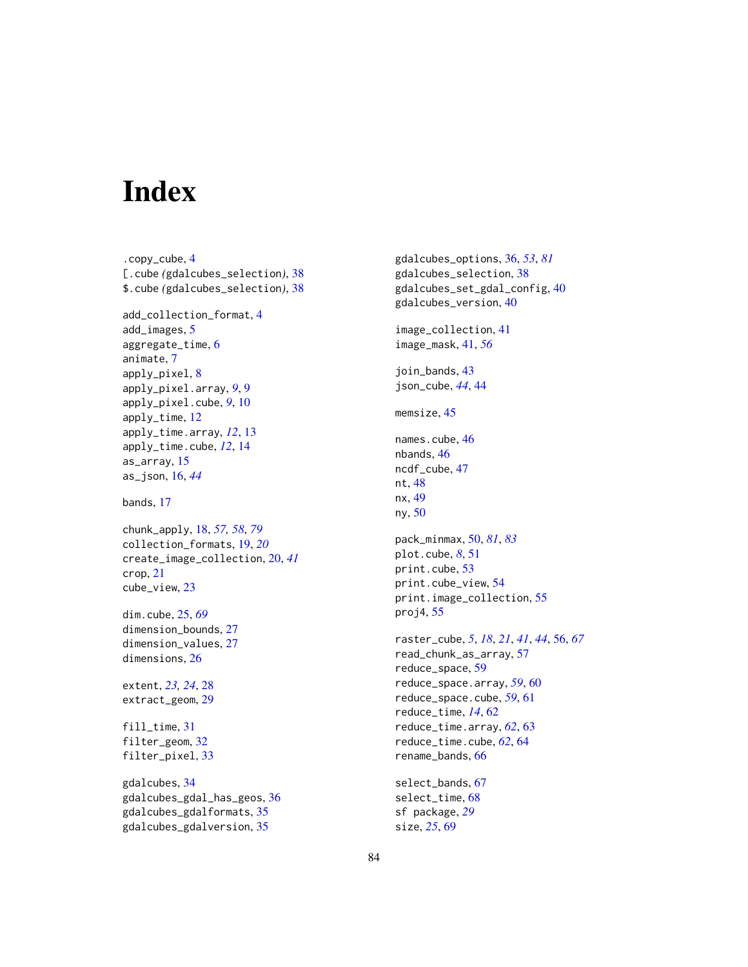# **Index**

.copy\_cube, [4](#page-3-0) [.cube *(*gdalcubes\_selection*)*, [38](#page-37-0) \$.cube *(*gdalcubes\_selection*)*, [38](#page-37-0) add\_collection\_format, [4](#page-3-0) add\_images, [5](#page-4-0) aggregate\_time, [6](#page-5-0) animate, [7](#page-6-0) apply\_pixel, [8](#page-7-0) apply\_pixel.array, *[9](#page-8-0)*, [9](#page-8-0) apply\_pixel.cube, *[9](#page-8-0)*, [10](#page-9-0) apply\_time, [12](#page-11-0) apply\_time.array, *[12](#page-11-0)*, [13](#page-12-0) apply\_time.cube, *[12](#page-11-0)*, [14](#page-13-0) as\_array, [15](#page-14-0) as\_json, [16,](#page-15-0) *[44](#page-43-0)* bands, [17](#page-16-0) chunk\_apply, [18,](#page-17-1) *[57,](#page-56-0) [58](#page-57-0)*, *[79](#page-78-0)* collection\_formats, [19,](#page-18-0) *[20](#page-19-0)* create\_image\_collection, [20,](#page-19-0) *[41](#page-40-0)* crop, [21](#page-20-0) cube\_view, [23](#page-22-0) dim.cube, [25,](#page-24-0) *[69](#page-68-0)* dimension\_bounds, [27](#page-26-0)

dimension\_values, [27](#page-26-0) dimensions, [26](#page-25-0)

extent, *[23,](#page-22-0) [24](#page-23-0)*, [28](#page-27-0) extract\_geom, [29](#page-28-0)

fill\_time, [31](#page-30-0) filter\_geom, [32](#page-31-0) filter\_pixel, [33](#page-32-0)

gdalcubes, [34](#page-33-0) gdalcubes\_gdal\_has\_geos, [36](#page-35-1) gdalcubes\_gdalformats, [35](#page-34-0) gdalcubes\_gdalversion, [35](#page-34-0)

gdalcubes\_options, [36,](#page-35-1) *[53](#page-52-0)*, *[81](#page-80-0)* gdalcubes\_selection, [38](#page-37-0) gdalcubes\_set\_gdal\_config, [40](#page-39-0) gdalcubes\_version, [40](#page-39-0) image\_collection, [41](#page-40-0) image\_mask, [41,](#page-40-0) *[56](#page-55-0)* join\_bands, [43](#page-42-0) json\_cube, *[44](#page-43-0)*, [44](#page-43-0) memsize, [45](#page-44-0) names.cube, [46](#page-45-0) nbands, [46](#page-45-0) ncdf\_cube, [47](#page-46-0) nt, [48](#page-47-0) nx, [49](#page-48-0) ny, [50](#page-49-1) pack\_minmax, [50,](#page-49-1) *[81](#page-80-0)*, *[83](#page-82-0)* plot.cube, *[8](#page-7-0)*, [51](#page-50-0) print.cube, [53](#page-52-0) print.cube\_view, [54](#page-53-0) print.image\_collection, [55](#page-54-0) proj4, [55](#page-54-0) raster\_cube, *[5](#page-4-0)*, *[18](#page-17-1)*, *[21](#page-20-0)*, *[41](#page-40-0)*, *[44](#page-43-0)*, [56,](#page-55-0) *[67](#page-66-0)* read\_chunk\_as\_array, [57](#page-56-0) reduce\_space, [59](#page-58-0) reduce\_space.array, *[59](#page-58-0)*, [60](#page-59-0) reduce\_space.cube, *[59](#page-58-0)*, [61](#page-60-0) reduce\_time, *[14](#page-13-0)*, [62](#page-61-0) reduce\_time.array, *[62](#page-61-0)*, [63](#page-62-0) reduce\_time.cube, *[62](#page-61-0)*, [64](#page-63-0) rename\_bands, [66](#page-65-0) select\_bands, [67](#page-66-0) select\_time, [68](#page-67-0) sf package, *[29](#page-28-0)*

size, *[25](#page-24-0)*, [69](#page-68-0)